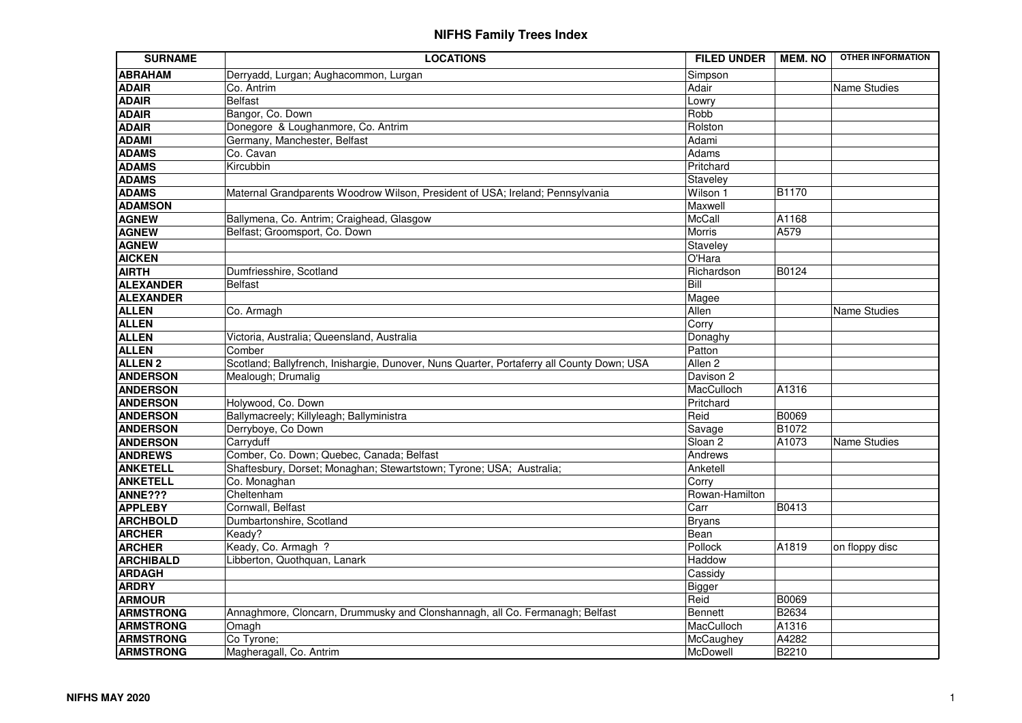| <b>SURNAME</b>   | <b>LOCATIONS</b>                                                                          | <b>FILED UNDER</b> | <b>MEM.NO</b> | <b>OTHER INFORMATION</b> |
|------------------|-------------------------------------------------------------------------------------------|--------------------|---------------|--------------------------|
| <b>ABRAHAM</b>   | Derryadd, Lurgan; Aughacommon, Lurgan                                                     | Simpson            |               |                          |
| <b>ADAIR</b>     | Co. Antrim                                                                                | Adair              |               | <b>Name Studies</b>      |
| <b>ADAIR</b>     | <b>Belfast</b>                                                                            | Lowry              |               |                          |
| <b>ADAIR</b>     | Bangor, Co. Down                                                                          | Robb               |               |                          |
| <b>ADAIR</b>     | Donegore & Loughanmore, Co. Antrim                                                        | Rolston            |               |                          |
| <b>ADAMI</b>     | Germany, Manchester, Belfast                                                              | Adami              |               |                          |
| <b>ADAMS</b>     | Co. Cavan                                                                                 | Adams              |               |                          |
| <b>ADAMS</b>     | Kircubbin                                                                                 | Pritchard          |               |                          |
| <b>ADAMS</b>     |                                                                                           | Staveley           |               |                          |
| <b>ADAMS</b>     | Maternal Grandparents Woodrow Wilson, President of USA; Ireland; Pennsylvania             | Wilson 1           | <b>B1170</b>  |                          |
| <b>ADAMSON</b>   |                                                                                           | Maxwell            |               |                          |
| <b>AGNEW</b>     | Ballymena, Co. Antrim; Craighead, Glasgow                                                 | <b>McCall</b>      | A1168         |                          |
| <b>AGNEW</b>     | Belfast; Groomsport, Co. Down                                                             | Morris             | A579          |                          |
| <b>AGNEW</b>     |                                                                                           | Staveley           |               |                          |
| <b>AICKEN</b>    |                                                                                           | O'Hara             |               |                          |
| <b>AIRTH</b>     | Dumfriesshire, Scotland                                                                   | Richardson         | <b>B0124</b>  |                          |
| <b>ALEXANDER</b> | <b>Belfast</b>                                                                            | Bill               |               |                          |
| <b>ALEXANDER</b> |                                                                                           | Magee              |               |                          |
| <b>ALLEN</b>     | Co. Armagh                                                                                | Allen              |               | <b>Name Studies</b>      |
| <b>ALLEN</b>     |                                                                                           | Corry              |               |                          |
| <b>ALLEN</b>     | Victoria, Australia; Queensland, Australia                                                | Donaghy            |               |                          |
| <b>ALLEN</b>     | Comber                                                                                    | Patton             |               |                          |
| <b>ALLEN 2</b>   | Scotland; Ballyfrench, Inishargie, Dunover, Nuns Quarter, Portaferry all County Down; USA | Allen <sub>2</sub> |               |                          |
| <b>ANDERSON</b>  | Mealough; Drumalig                                                                        | Davison 2          |               |                          |
| <b>ANDERSON</b>  |                                                                                           | MacCulloch         | A1316         |                          |
| <b>ANDERSON</b>  | Holywood, Co. Down                                                                        | Pritchard          |               |                          |
| <b>ANDERSON</b>  | Ballymacreely; Killyleagh; Ballyministra                                                  | Reid               | <b>B0069</b>  |                          |
| <b>ANDERSON</b>  | Derryboye, Co Down                                                                        | Savage             | <b>B1072</b>  |                          |
| <b>ANDERSON</b>  | Carryduff                                                                                 | Sloan <sub>2</sub> | A1073         | Name Studies             |
| <b>ANDREWS</b>   | Comber, Co. Down; Quebec, Canada; Belfast                                                 | Andrews            |               |                          |
| <b>ANKETELL</b>  | Shaftesbury, Dorset; Monaghan; Stewartstown; Tyrone; USA; Australia;                      | Anketell           |               |                          |
| <b>ANKETELL</b>  | Co. Monaghan                                                                              | Corry              |               |                          |
| ANNE???          | Cheltenham                                                                                | Rowan-Hamilton     |               |                          |
| <b>APPLEBY</b>   | Cornwall, Belfast                                                                         | Carr               | <b>B0413</b>  |                          |
| <b>ARCHBOLD</b>  | Dumbartonshire, Scotland                                                                  | <b>Bryans</b>      |               |                          |
| <b>ARCHER</b>    | Keady?                                                                                    | Bean               |               |                          |
| <b>ARCHER</b>    | Keady, Co. Armagh ?                                                                       | Pollock            | A1819         | on floppy disc           |
| <b>ARCHIBALD</b> | Libberton, Quothquan, Lanark                                                              | Haddow             |               |                          |
| <b>ARDAGH</b>    |                                                                                           | Cassidy            |               |                          |
| <b>ARDRY</b>     |                                                                                           | <b>Bigger</b>      |               |                          |
| <b>ARMOUR</b>    |                                                                                           | Reid               | <b>B0069</b>  |                          |
| <b>ARMSTRONG</b> | Annaghmore, Cloncarn, Drummusky and Clonshannagh, all Co. Fermanagh; Belfast              | <b>Bennett</b>     | <b>B2634</b>  |                          |
| <b>ARMSTRONG</b> | Omagh                                                                                     | MacCulloch         | A1316         |                          |
| <b>ARMSTRONG</b> | Co Tyrone;                                                                                | McCaughey          | A4282         |                          |
| <b>ARMSTRONG</b> | Magheragall, Co. Antrim                                                                   | McDowell           | <b>B2210</b>  |                          |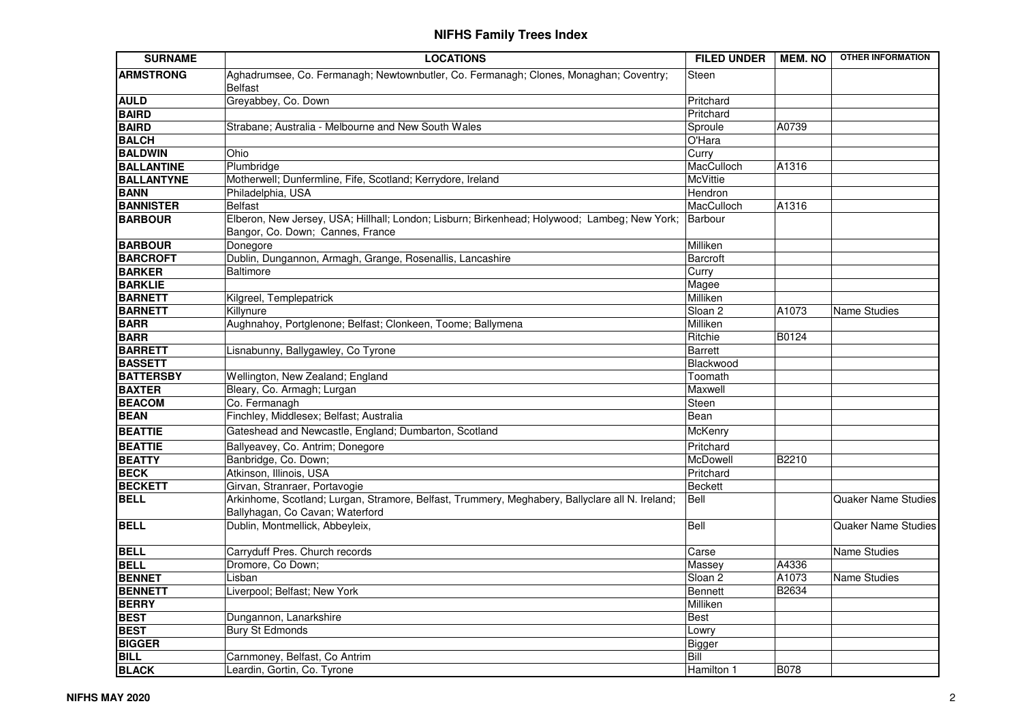| <b>SURNAME</b>    | <b>LOCATIONS</b>                                                                                                                   | <b>FILED UNDER</b> | <b>MEM. NO</b> | <b>OTHER INFORMATION</b>   |
|-------------------|------------------------------------------------------------------------------------------------------------------------------------|--------------------|----------------|----------------------------|
| <b>ARMSTRONG</b>  | Aghadrumsee, Co. Fermanagh; Newtownbutler, Co. Fermanagh; Clones, Monaghan; Coventry;<br><b>Belfast</b>                            | Steen              |                |                            |
| <b>AULD</b>       | Greyabbey, Co. Down                                                                                                                | Pritchard          |                |                            |
| <b>BAIRD</b>      |                                                                                                                                    | Pritchard          |                |                            |
| <b>BAIRD</b>      | Strabane; Australia - Melbourne and New South Wales                                                                                | Sproule            | A0739          |                            |
| <b>BALCH</b>      |                                                                                                                                    | O'Hara             |                |                            |
| <b>BALDWIN</b>    | Ohio                                                                                                                               | Curry              |                |                            |
| <b>BALLANTINE</b> | Plumbridge                                                                                                                         | MacCulloch         | A1316          |                            |
| <b>BALLANTYNE</b> | Motherwell; Dunfermline, Fife, Scotland; Kerrydore, Ireland                                                                        | <b>McVittie</b>    |                |                            |
| <b>BANN</b>       | Philadelphia, USA                                                                                                                  | Hendron            |                |                            |
| <b>BANNISTER</b>  | <b>Belfast</b>                                                                                                                     | MacCulloch         | A1316          |                            |
| <b>BARBOUR</b>    | Elberon, New Jersey, USA; Hillhall; London; Lisburn; Birkenhead; Holywood; Lambeg; New York;<br>Bangor, Co. Down; Cannes, France   | Barbour            |                |                            |
| <b>BARBOUR</b>    | Donegore                                                                                                                           | Milliken           |                |                            |
| <b>BARCROFT</b>   | Dublin, Dungannon, Armagh, Grange, Rosenallis, Lancashire                                                                          | <b>Barcroft</b>    |                |                            |
| <b>BARKER</b>     | <b>Baltimore</b>                                                                                                                   | Curry              |                |                            |
| <b>BARKLIE</b>    |                                                                                                                                    | Magee              |                |                            |
| <b>BARNETT</b>    | Kilgreel, Templepatrick                                                                                                            | Milliken           |                |                            |
| <b>BARNETT</b>    | Killynure                                                                                                                          | Sloan <sub>2</sub> | A1073          | <b>Name Studies</b>        |
| <b>BARR</b>       | Aughnahoy, Portglenone; Belfast; Clonkeen, Toome; Ballymena                                                                        | Milliken           |                |                            |
| <b>BARR</b>       |                                                                                                                                    | Ritchie            | B0124          |                            |
| <b>BARRETT</b>    | Lisnabunny, Ballygawley, Co Tyrone                                                                                                 | <b>Barrett</b>     |                |                            |
| <b>BASSETT</b>    |                                                                                                                                    | Blackwood          |                |                            |
| <b>BATTERSBY</b>  | Wellington, New Zealand; England                                                                                                   | Toomath            |                |                            |
| <b>BAXTER</b>     | Bleary, Co. Armagh; Lurgan                                                                                                         | Maxwell            |                |                            |
| <b>BEACOM</b>     | Co. Fermanagh                                                                                                                      | Steen              |                |                            |
| <b>BEAN</b>       | Finchley, Middlesex; Belfast; Australia                                                                                            | Bean               |                |                            |
| <b>BEATTIE</b>    | Gateshead and Newcastle, England; Dumbarton, Scotland                                                                              | McKenry            |                |                            |
| <b>BEATTIE</b>    | Ballyeavey, Co. Antrim; Donegore                                                                                                   | Pritchard          |                |                            |
| <b>BEATTY</b>     | Banbridge, Co. Down;                                                                                                               | McDowell           | B2210          |                            |
| <b>BECK</b>       | Atkinson, Illinois, USA                                                                                                            | Pritchard          |                |                            |
| <b>BECKETT</b>    | Girvan, Stranraer, Portavogie                                                                                                      | Beckett            |                |                            |
| <b>BELL</b>       | Arkinhome, Scotland; Lurgan, Stramore, Belfast, Trummery, Meghabery, Ballyclare all N. Ireland;<br>Ballyhagan, Co Cavan; Waterford | Bell               |                | <b>Quaker Name Studies</b> |
| <b>BELL</b>       | Dublin, Montmellick, Abbeyleix,                                                                                                    | Bell               |                | <b>Quaker Name Studies</b> |
| <b>BELL</b>       | Carryduff Pres. Church records                                                                                                     | Carse              |                | Name Studies               |
| <b>BELL</b>       | Dromore, Co Down;                                                                                                                  | Massey             | A4336          |                            |
| <b>BENNET</b>     | Lisban                                                                                                                             | Sloan 2            | A1073          | Name Studies               |
| <b>BENNETT</b>    | Liverpool; Belfast; New York                                                                                                       | <b>Bennett</b>     | B2634          |                            |
| <b>BERRY</b>      |                                                                                                                                    | Milliken           |                |                            |
| <b>BEST</b>       | Dungannon, Lanarkshire                                                                                                             | <b>Best</b>        |                |                            |
| <b>BEST</b>       | <b>Bury St Edmonds</b>                                                                                                             | Lowry              |                |                            |
| <b>BIGGER</b>     |                                                                                                                                    | Bigger             |                |                            |
| <b>BILL</b>       | Carnmoney, Belfast, Co Antrim                                                                                                      | Bill               |                |                            |
| <b>BLACK</b>      | Leardin, Gortin, Co. Tyrone                                                                                                        | Hamilton 1         | <b>B078</b>    |                            |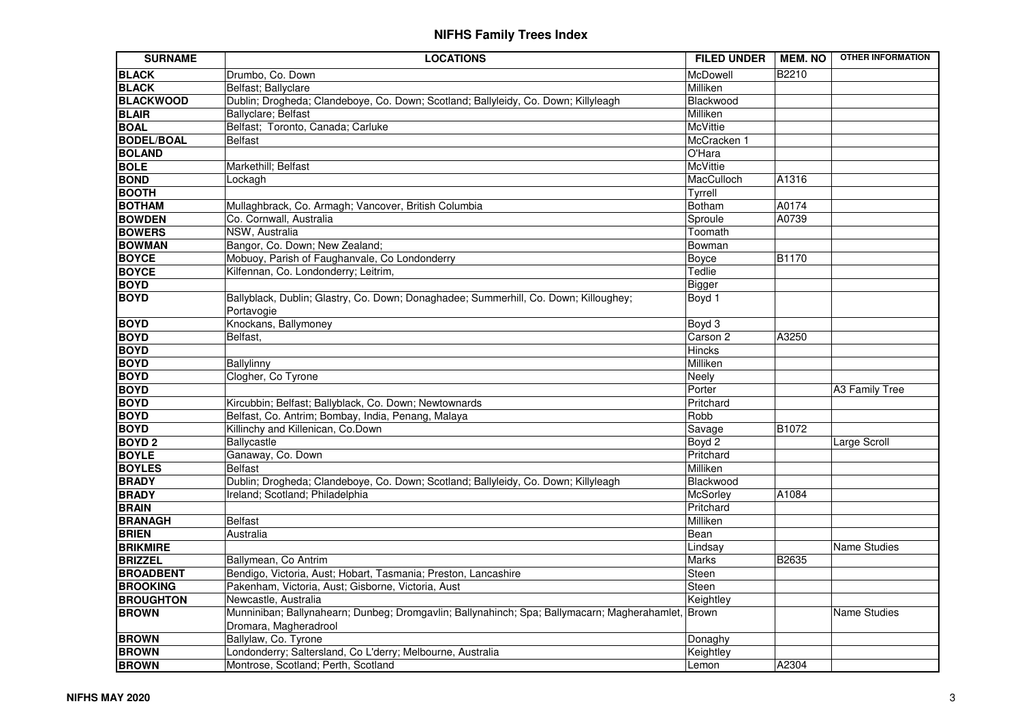| <b>SURNAME</b>    | <b>LOCATIONS</b>                                                                                                            | <b>FILED UNDER</b> | MEM. NO      | <b>OTHER INFORMATION</b> |
|-------------------|-----------------------------------------------------------------------------------------------------------------------------|--------------------|--------------|--------------------------|
| <b>BLACK</b>      | Drumbo, Co. Down                                                                                                            | McDowell           | <b>B2210</b> |                          |
| <b>BLACK</b>      | Belfast; Ballyclare                                                                                                         | Milliken           |              |                          |
| <b>BLACKWOOD</b>  | Dublin; Drogheda; Clandeboye, Co. Down; Scotland; Ballyleidy, Co. Down; Killyleagh                                          | Blackwood          |              |                          |
| <b>BLAIR</b>      | Ballyclare; Belfast                                                                                                         | Milliken           |              |                          |
| <b>BOAL</b>       | Belfast; Toronto, Canada; Carluke                                                                                           | McVittie           |              |                          |
| <b>BODEL/BOAL</b> | <b>Belfast</b>                                                                                                              | McCracken 1        |              |                          |
| <b>BOLAND</b>     |                                                                                                                             | O'Hara             |              |                          |
| <b>BOLE</b>       | Markethill; Belfast                                                                                                         | <b>McVittie</b>    |              |                          |
| <b>BOND</b>       | Lockagh                                                                                                                     | MacCulloch         | A1316        |                          |
| <b>BOOTH</b>      |                                                                                                                             | Tyrrell            |              |                          |
| <b>BOTHAM</b>     | Mullaghbrack, Co. Armagh; Vancover, British Columbia                                                                        | Botham             | A0174        |                          |
| <b>BOWDEN</b>     | Co. Cornwall, Australia                                                                                                     | Sproule            | A0739        |                          |
| <b>BOWERS</b>     | NSW, Australia                                                                                                              | Toomath            |              |                          |
| <b>BOWMAN</b>     | Bangor, Co. Down; New Zealand;                                                                                              | Bowman             |              |                          |
| <b>BOYCE</b>      | Mobuoy, Parish of Faughanvale, Co Londonderry                                                                               | Boyce              | B1170        |                          |
| <b>BOYCE</b>      | Kilfennan, Co. Londonderry; Leitrim,                                                                                        | Tedlie             |              |                          |
| <b>BOYD</b>       |                                                                                                                             | <b>Bigger</b>      |              |                          |
| <b>BOYD</b>       | Ballyblack, Dublin; Glastry, Co. Down; Donaghadee; Summerhill, Co. Down; Killoughey;<br>Portavogie                          | Boyd 1             |              |                          |
| <b>BOYD</b>       | Knockans, Ballymoney                                                                                                        | Boyd 3             |              |                          |
| <b>BOYD</b>       | Belfast,                                                                                                                    | Carson 2           | A3250        |                          |
| <b>BOYD</b>       |                                                                                                                             | <b>Hincks</b>      |              |                          |
| <b>BOYD</b>       | Ballylinny                                                                                                                  | Milliken           |              |                          |
| <b>BOYD</b>       | Clogher, Co Tyrone                                                                                                          | Neely              |              |                          |
| <b>BOYD</b>       |                                                                                                                             | Porter             |              | A3 Family Tree           |
| <b>BOYD</b>       | Kircubbin; Belfast; Ballyblack, Co. Down; Newtownards                                                                       | Pritchard          |              |                          |
| <b>BOYD</b>       | Belfast, Co. Antrim; Bombay, India, Penang, Malaya                                                                          | Robb               |              |                          |
| <b>BOYD</b>       | Killinchy and Killenican, Co.Down                                                                                           | Savage             | B1072        |                          |
| <b>BOYD2</b>      | Ballycastle                                                                                                                 | Boyd 2             |              | Large Scroll             |
| <b>BOYLE</b>      | Ganaway, Co. Down                                                                                                           | Pritchard          |              |                          |
| <b>BOYLES</b>     | <b>Belfast</b>                                                                                                              | Milliken           |              |                          |
| <b>BRADY</b>      | Dublin; Drogheda; Clandeboye, Co. Down; Scotland; Ballyleidy, Co. Down; Killyleagh                                          | Blackwood          |              |                          |
| <b>BRADY</b>      | Ireland; Scotland; Philadelphia                                                                                             | McSorley           | A1084        |                          |
| <b>BRAIN</b>      |                                                                                                                             | Pritchard          |              |                          |
| <b>BRANAGH</b>    | <b>Belfast</b>                                                                                                              | Milliken           |              |                          |
| <b>BRIEN</b>      | Australia                                                                                                                   | Bean               |              |                          |
| <b>BRIKMIRE</b>   |                                                                                                                             | Lindsay            |              | <b>Name Studies</b>      |
| <b>BRIZZEL</b>    | Ballymean, Co Antrim                                                                                                        | Marks              | B2635        |                          |
| <b>BROADBENT</b>  | Bendigo, Victoria, Aust; Hobart, Tasmania; Preston, Lancashire                                                              | Steen              |              |                          |
| <b>BROOKING</b>   | Pakenham, Victoria, Aust; Gisborne, Victoria, Aust                                                                          | Steen              |              |                          |
| <b>BROUGHTON</b>  | Newcastle, Australia                                                                                                        | Keightley          |              |                          |
| <b>BROWN</b>      | Munniniban; Ballynahearn; Dunbeg; Dromgavlin; Ballynahinch; Spa; Ballymacarn; Magherahamlet, Brown<br>Dromara, Magheradrool |                    |              | Name Studies             |
| <b>BROWN</b>      | Ballylaw, Co. Tyrone                                                                                                        | Donaghy            |              |                          |
| <b>BROWN</b>      | Londonderry; Saltersland, Co L'derry; Melbourne, Australia                                                                  | Keightley          |              |                          |
| <b>BROWN</b>      | Montrose, Scotland; Perth, Scotland                                                                                         | Lemon              | A2304        |                          |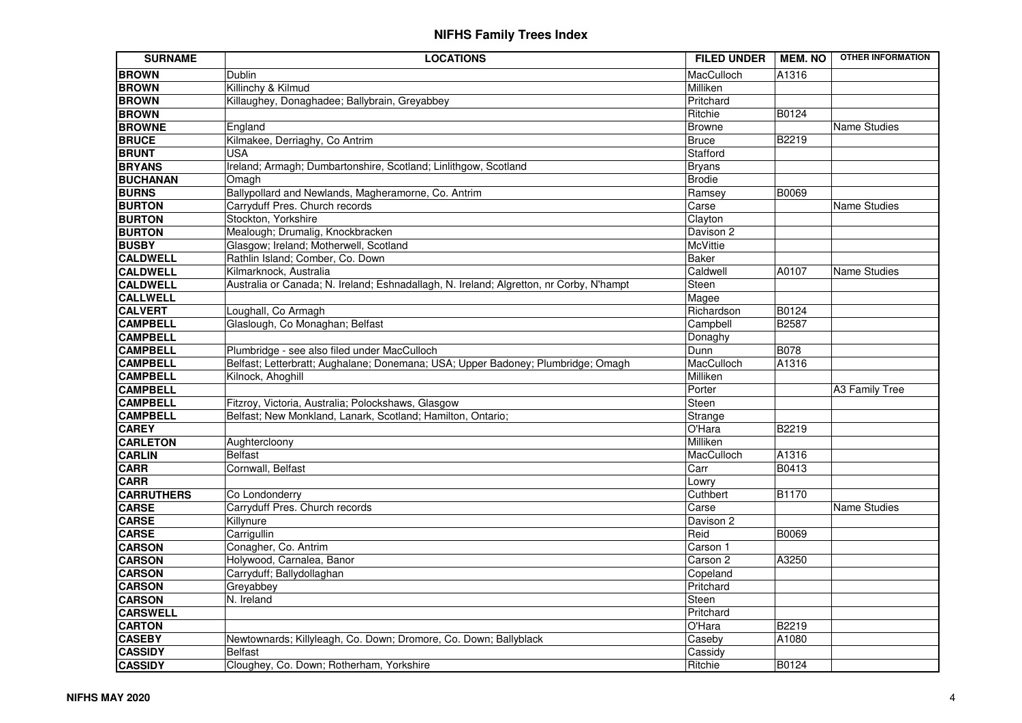| <b>SURNAME</b>    | <b>LOCATIONS</b>                                                                        | <b>FILED UNDER</b> | <b>MEM. NO</b> | <b>OTHER INFORMATION</b> |
|-------------------|-----------------------------------------------------------------------------------------|--------------------|----------------|--------------------------|
| <b>BROWN</b>      | Dublin                                                                                  | MacCulloch         | A1316          |                          |
| <b>BROWN</b>      | Killinchy & Kilmud                                                                      | Milliken           |                |                          |
| <b>BROWN</b>      | Killaughey, Donaghadee; Ballybrain, Greyabbey                                           | Pritchard          |                |                          |
| <b>BROWN</b>      |                                                                                         | Ritchie            | B0124          |                          |
| <b>BROWNE</b>     | England                                                                                 | <b>Browne</b>      |                | Name Studies             |
| <b>BRUCE</b>      | Kilmakee, Derriaghy, Co Antrim                                                          | Bruce              | B2219          |                          |
| <b>BRUNT</b>      | <b>USA</b>                                                                              | Stafford           |                |                          |
| <b>BRYANS</b>     | Ireland; Armagh; Dumbartonshire, Scotland; Linlithgow, Scotland                         | Bryans             |                |                          |
| <b>BUCHANAN</b>   | Omagh                                                                                   | <b>Brodie</b>      |                |                          |
| <b>BURNS</b>      | Ballypollard and Newlands, Magheramorne, Co. Antrim                                     | Ramsey             | <b>B0069</b>   |                          |
| <b>BURTON</b>     | Carryduff Pres. Church records                                                          | Carse              |                | <b>Name Studies</b>      |
| <b>BURTON</b>     | Stockton, Yorkshire                                                                     | Clayton            |                |                          |
| <b>BURTON</b>     | Mealough; Drumalig, Knockbracken                                                        | Davison 2          |                |                          |
| <b>BUSBY</b>      | Glasgow; Ireland; Motherwell, Scotland                                                  | McVittie           |                |                          |
| <b>CALDWELL</b>   | Rathlin Island; Comber, Co. Down                                                        | <b>Baker</b>       |                |                          |
| <b>CALDWELL</b>   | Kilmarknock, Australia                                                                  | Caldwell           | A0107          | Name Studies             |
| <b>CALDWELL</b>   | Australia or Canada; N. Ireland; Eshnadallagh, N. Ireland; Algretton, nr Corby, N'hampt | Steen              |                |                          |
| <b>CALLWELL</b>   |                                                                                         | Magee              |                |                          |
| <b>CALVERT</b>    | Loughall, Co Armagh                                                                     | Richardson         | <b>B0124</b>   |                          |
| <b>CAMPBELL</b>   | Glaslough, Co Monaghan; Belfast                                                         | Campbell           | <b>B2587</b>   |                          |
| <b>CAMPBELL</b>   |                                                                                         | Donaghy            |                |                          |
| <b>CAMPBELL</b>   | Plumbridge - see also filed under MacCulloch                                            | Dunn               | <b>B078</b>    |                          |
| <b>CAMPBELL</b>   | Belfast; Letterbratt; Aughalane; Donemana; USA; Upper Badoney; Plumbridge; Omagh        | MacCulloch         | A1316          |                          |
| <b>CAMPBELL</b>   | Kilnock, Ahoghill                                                                       | Milliken           |                |                          |
| <b>CAMPBELL</b>   |                                                                                         | Porter             |                | A3 Family Tree           |
| <b>CAMPBELL</b>   | Fitzroy, Victoria, Australia; Polockshaws, Glasgow                                      | Steen              |                |                          |
| <b>CAMPBELL</b>   | Belfast; New Monkland, Lanark, Scotland; Hamilton, Ontario;                             | Strange            |                |                          |
| <b>CAREY</b>      |                                                                                         | O'Hara             | B2219          |                          |
| <b>CARLETON</b>   | Aughtercloony                                                                           | Milliken           |                |                          |
| <b>CARLIN</b>     | Belfast                                                                                 | MacCulloch         | A1316          |                          |
| <b>CARR</b>       | Cornwall, Belfast                                                                       | Carr               | B0413          |                          |
| <b>CARR</b>       |                                                                                         | Lowry              |                |                          |
| <b>CARRUTHERS</b> | Co Londonderry                                                                          | Cuthbert           | <b>B1170</b>   |                          |
| <b>CARSE</b>      | Carryduff Pres. Church records                                                          | Carse              |                | <b>Name Studies</b>      |
| <b>CARSE</b>      | Killynure                                                                               | Davison 2          |                |                          |
| <b>CARSE</b>      | Carrigullin                                                                             | Reid               | B0069          |                          |
| <b>CARSON</b>     | Conagher, Co. Antrim                                                                    | Carson 1           |                |                          |
| <b>CARSON</b>     | Holywood, Carnalea, Banor                                                               | Carson 2           | A3250          |                          |
| <b>CARSON</b>     | Carryduff; Ballydollaghan                                                               | Copeland           |                |                          |
| <b>CARSON</b>     | Greyabbey                                                                               | Pritchard          |                |                          |
| <b>CARSON</b>     | N. Ireland                                                                              | Steen              |                |                          |
| <b>CARSWELL</b>   |                                                                                         | Pritchard          |                |                          |
| <b>CARTON</b>     |                                                                                         | O'Hara             | B2219          |                          |
| <b>CASEBY</b>     | Newtownards; Killyleagh, Co. Down; Dromore, Co. Down; Ballyblack                        | Caseby             | A1080          |                          |
| <b>CASSIDY</b>    | <b>Belfast</b>                                                                          | Cassidy            |                |                          |
| <b>CASSIDY</b>    | Cloughey, Co. Down; Rotherham, Yorkshire                                                | Ritchie            | <b>B0124</b>   |                          |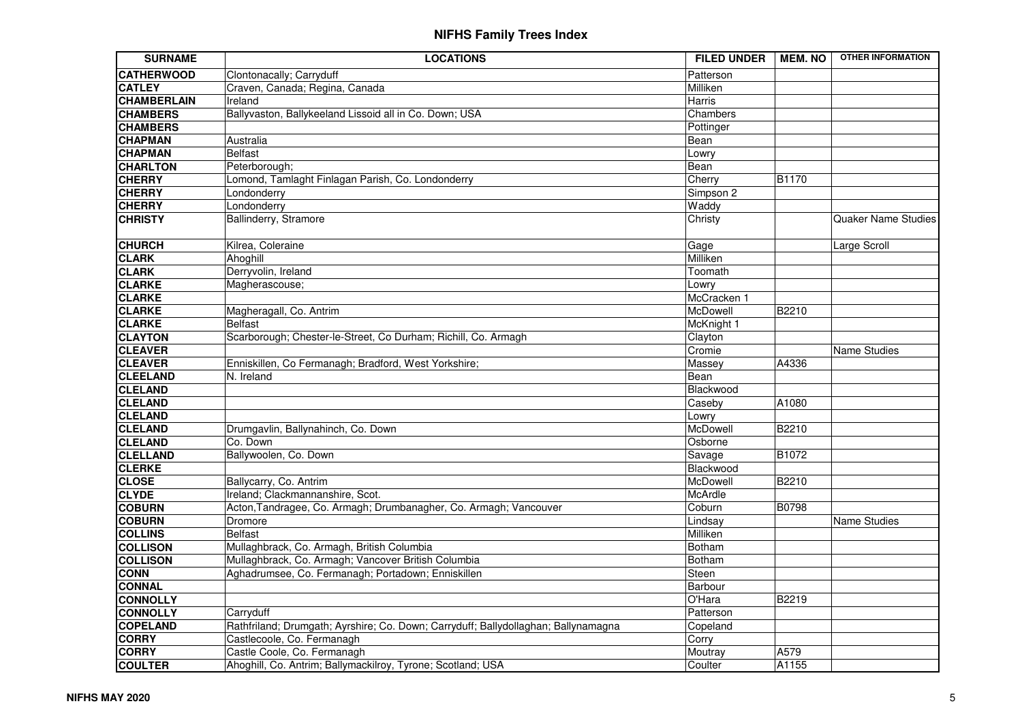| <b>SURNAME</b>     | <b>LOCATIONS</b>                                                                   | <b>FILED UNDER</b> | <b>MEM.NO</b> | <b>OTHER INFORMATION</b>   |
|--------------------|------------------------------------------------------------------------------------|--------------------|---------------|----------------------------|
| <b>CATHERWOOD</b>  | Clontonacally; Carryduff                                                           | Patterson          |               |                            |
| <b>CATLEY</b>      | Craven, Canada; Regina, Canada                                                     | Milliken           |               |                            |
| <b>CHAMBERLAIN</b> | Ireland                                                                            | Harris             |               |                            |
| <b>CHAMBERS</b>    | Ballyvaston, Ballykeeland Lissoid all in Co. Down; USA                             | Chambers           |               |                            |
| <b>CHAMBERS</b>    |                                                                                    | Pottinger          |               |                            |
| <b>CHAPMAN</b>     | Australia                                                                          | Bean               |               |                            |
| <b>CHAPMAN</b>     | <b>Belfast</b>                                                                     | Lowry              |               |                            |
| <b>CHARLTON</b>    | Peterborough;                                                                      | Bean               |               |                            |
| <b>CHERRY</b>      | Lomond, Tamlaght Finlagan Parish, Co. Londonderry                                  | Cherry             | <b>B1170</b>  |                            |
| <b>CHERRY</b>      | Londonderry                                                                        | Simpson 2          |               |                            |
| <b>CHERRY</b>      | Londonderry                                                                        | Waddy              |               |                            |
| <b>CHRISTY</b>     | Ballinderry, Stramore                                                              | Christy            |               | <b>Quaker Name Studies</b> |
| <b>CHURCH</b>      | Kilrea, Coleraine                                                                  | Gage               |               | Large Scroll               |
| <b>CLARK</b>       | Ahoghill                                                                           | Milliken           |               |                            |
| <b>CLARK</b>       | Derryvolin, Ireland                                                                | Toomath            |               |                            |
| <b>CLARKE</b>      | Magherascouse;                                                                     | Lowry              |               |                            |
| <b>CLARKE</b>      |                                                                                    | McCracken 1        |               |                            |
| <b>CLARKE</b>      | Magheragall, Co. Antrim                                                            | McDowell           | <b>B2210</b>  |                            |
| <b>CLARKE</b>      | <b>Belfast</b>                                                                     | McKnight 1         |               |                            |
| <b>CLAYTON</b>     | Scarborough; Chester-le-Street, Co Durham; Richill, Co. Armagh                     | Clayton            |               |                            |
| <b>CLEAVER</b>     |                                                                                    | Cromie             |               | <b>Name Studies</b>        |
| <b>CLEAVER</b>     | Enniskillen, Co Fermanagh; Bradford, West Yorkshire;                               | Massey             | A4336         |                            |
| <b>CLEELAND</b>    | N. Ireland                                                                         | Bean               |               |                            |
| <b>CLELAND</b>     |                                                                                    | Blackwood          |               |                            |
| <b>CLELAND</b>     |                                                                                    | Caseby             | A1080         |                            |
| <b>CLELAND</b>     |                                                                                    | Lowry              |               |                            |
| <b>CLELAND</b>     | Drumgavlin, Ballynahinch, Co. Down                                                 | McDowell           | B2210         |                            |
| <b>CLELAND</b>     | Co. Down                                                                           | Osborne            |               |                            |
| <b>CLELLAND</b>    | Ballywoolen, Co. Down                                                              | Savage             | <b>B1072</b>  |                            |
| <b>CLERKE</b>      |                                                                                    | Blackwood          |               |                            |
| <b>CLOSE</b>       | Ballycarry, Co. Antrim                                                             | McDowell           | <b>B2210</b>  |                            |
| <b>CLYDE</b>       | Ireland; Clackmannanshire, Scot.                                                   | McArdle            |               |                            |
| <b>COBURN</b>      | Acton, Tandragee, Co. Armagh; Drumbanagher, Co. Armagh; Vancouver                  | Coburn             | <b>B0798</b>  |                            |
| <b>COBURN</b>      | Dromore                                                                            | Lindsay            |               | <b>Name Studies</b>        |
| <b>COLLINS</b>     | <b>Belfast</b>                                                                     | Milliken           |               |                            |
| <b>COLLISON</b>    | Mullaghbrack, Co. Armagh, British Columbia                                         | <b>Botham</b>      |               |                            |
| <b>COLLISON</b>    | Mullaghbrack, Co. Armagh; Vancover British Columbia                                | <b>Botham</b>      |               |                            |
| <b>CONN</b>        | Aghadrumsee, Co. Fermanagh; Portadown; Enniskillen                                 | Steen              |               |                            |
| <b>CONNAL</b>      |                                                                                    | Barbour            |               |                            |
| <b>CONNOLLY</b>    |                                                                                    | O'Hara             | B2219         |                            |
| <b>CONNOLLY</b>    | Carryduff                                                                          | Patterson          |               |                            |
| <b>COPELAND</b>    | Rathfriland; Drumgath; Ayrshire; Co. Down; Carryduff; Ballydollaghan; Ballynamagna | Copeland           |               |                            |
| <b>CORRY</b>       | Castlecoole, Co. Fermanagh                                                         | Corry              |               |                            |
| <b>CORRY</b>       | Castle Coole, Co. Fermanagh                                                        | Moutray            | A579          |                            |
| <b>COULTER</b>     | Ahoghill, Co. Antrim; Ballymackilroy, Tyrone; Scotland; USA                        | Coulter            | A1155         |                            |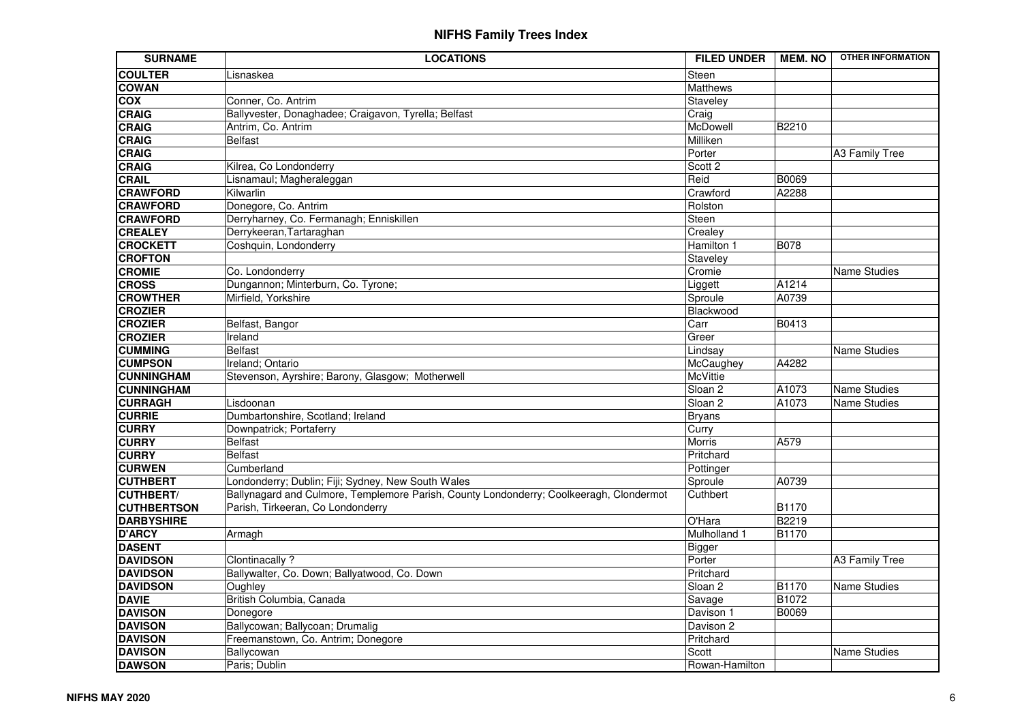| <b>SURNAME</b>     | <b>LOCATIONS</b>                                                                        | <b>FILED UNDER</b> | <b>MEM.NO</b> | <b>OTHER INFORMATION</b> |
|--------------------|-----------------------------------------------------------------------------------------|--------------------|---------------|--------------------------|
| <b>COULTER</b>     | Lisnaskea                                                                               | Steen              |               |                          |
| <b>COWAN</b>       |                                                                                         | Matthews           |               |                          |
| $\overline{COX}$   | Conner, Co. Antrim                                                                      | Staveley           |               |                          |
| <b>CRAIG</b>       | Ballyvester, Donaghadee; Craigavon, Tyrella; Belfast                                    | Craig              |               |                          |
| <b>CRAIG</b>       | Antrim, Co. Antrim                                                                      | McDowell           | B2210         |                          |
| <b>CRAIG</b>       | <b>Belfast</b>                                                                          | Milliken           |               |                          |
| <b>CRAIG</b>       |                                                                                         | Porter             |               | A3 Family Tree           |
| <b>CRAIG</b>       | Kilrea, Co Londonderry                                                                  | Scott 2            |               |                          |
| <b>CRAIL</b>       | Lisnamaul; Magheraleggan                                                                | Reid               | B0069         |                          |
| <b>CRAWFORD</b>    | Kilwarlin                                                                               | Crawford           | A2288         |                          |
| <b>CRAWFORD</b>    | Donegore, Co. Antrim                                                                    | Rolston            |               |                          |
| <b>CRAWFORD</b>    | Derryharney, Co. Fermanagh; Enniskillen                                                 | Steen              |               |                          |
| <b>CREALEY</b>     | Derrykeeran, Tartaraghan                                                                | Crealey            |               |                          |
| <b>CROCKETT</b>    | Coshquin, Londonderry                                                                   | Hamilton 1         | <b>B078</b>   |                          |
| <b>CROFTON</b>     |                                                                                         | Staveley           |               |                          |
| <b>CROMIE</b>      | Co. Londonderry                                                                         | Cromie             |               | Name Studies             |
| <b>CROSS</b>       | Dungannon; Minterburn, Co. Tyrone;                                                      | Liggett            | A1214         |                          |
| <b>CROWTHER</b>    | Mirfield, Yorkshire                                                                     | Sproule            | A0739         |                          |
| <b>CROZIER</b>     |                                                                                         | Blackwood          |               |                          |
| <b>CROZIER</b>     | Belfast, Bangor                                                                         | Carr               | B0413         |                          |
| <b>CROZIER</b>     | Ireland                                                                                 | Greer              |               |                          |
| <b>CUMMING</b>     | <b>Belfast</b>                                                                          | Lindsay            |               | Name Studies             |
| <b>CUMPSON</b>     | Ireland; Ontario                                                                        | McCaughey          | A4282         |                          |
| <b>CUNNINGHAM</b>  | Stevenson, Ayrshire; Barony, Glasgow; Motherwell                                        | <b>McVittie</b>    |               |                          |
| <b>CUNNINGHAM</b>  |                                                                                         | Sloan <sub>2</sub> | A1073         | Name Studies             |
| <b>CURRAGH</b>     | Lisdoonan                                                                               | Sloan <sub>2</sub> | A1073         | <b>Name Studies</b>      |
| <b>CURRIE</b>      | Dumbartonshire, Scotland; Ireland                                                       | <b>Bryans</b>      |               |                          |
| <b>CURRY</b>       | Downpatrick; Portaferry                                                                 | Curry              |               |                          |
| <b>CURRY</b>       | <b>Belfast</b>                                                                          | <b>Morris</b>      | A579          |                          |
| <b>CURRY</b>       | <b>Belfast</b>                                                                          | Pritchard          |               |                          |
| <b>CURWEN</b>      | Cumberland                                                                              | Pottinger          |               |                          |
| <b>CUTHBERT</b>    | Londonderry; Dublin; Fiji; Sydney, New South Wales                                      | Sproule            | A0739         |                          |
| <b>CUTHBERT/</b>   | Ballynagard and Culmore, Templemore Parish, County Londonderry; Coolkeeragh, Clondermot | Cuthbert           |               |                          |
| <b>CUTHBERTSON</b> | Parish, Tirkeeran, Co Londonderry                                                       |                    | B1170         |                          |
| <b>DARBYSHIRE</b>  |                                                                                         | O'Hara             | B2219         |                          |
| <b>D'ARCY</b>      | Armagh                                                                                  | Mulholland 1       | B1170         |                          |
| <b>DASENT</b>      |                                                                                         | <b>Bigger</b>      |               |                          |
| <b>DAVIDSON</b>    | Clontinacally ?                                                                         | Porter             |               | <b>A3 Family Tree</b>    |
| <b>DAVIDSON</b>    | Ballywalter, Co. Down; Ballyatwood, Co. Down                                            | Pritchard          |               |                          |
| <b>DAVIDSON</b>    | Oughley                                                                                 | Sloan 2            | <b>B1170</b>  | Name Studies             |
| <b>DAVIE</b>       | British Columbia, Canada                                                                | Savage             | B1072         |                          |
| <b>DAVISON</b>     | Donegore                                                                                | Davison 1          | B0069         |                          |
| <b>DAVISON</b>     | Ballycowan; Ballycoan; Drumalig                                                         | Davison 2          |               |                          |
| <b>DAVISON</b>     | Freemanstown, Co. Antrim; Donegore                                                      | Pritchard          |               |                          |
| <b>DAVISON</b>     | Ballycowan                                                                              | Scott              |               | Name Studies             |
| <b>DAWSON</b>      | Paris; Dublin                                                                           | Rowan-Hamilton     |               |                          |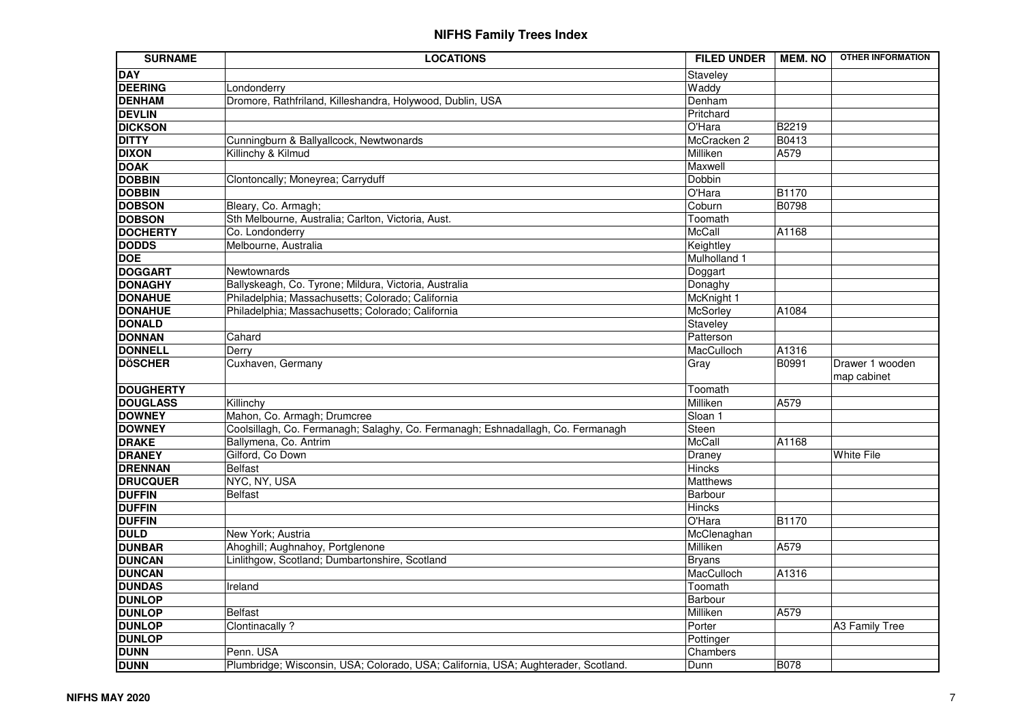| <b>SURNAME</b>   | <b>LOCATIONS</b>                                                                   | <b>FILED UNDER</b> | <b>MEM. NO</b> | <b>OTHER INFORMATION</b>       |
|------------------|------------------------------------------------------------------------------------|--------------------|----------------|--------------------------------|
| <b>DAY</b>       |                                                                                    | Staveley           |                |                                |
| <b>DEERING</b>   | Londonderry                                                                        | Waddy              |                |                                |
| <b>DENHAM</b>    | Dromore, Rathfriland, Killeshandra, Holywood, Dublin, USA                          | Denham             |                |                                |
| <b>DEVLIN</b>    |                                                                                    | Pritchard          |                |                                |
| <b>DICKSON</b>   |                                                                                    | O'Hara             | B2219          |                                |
| <b>DITTY</b>     | Cunningburn & Ballyallcock, Newtwonards                                            | McCracken 2        | B0413          |                                |
| <b>DIXON</b>     | Killinchy & Kilmud                                                                 | Milliken           | A579           |                                |
| <b>DOAK</b>      |                                                                                    | Maxwell            |                |                                |
| <b>DOBBIN</b>    | Clontoncally; Moneyrea; Carryduff                                                  | Dobbin             |                |                                |
| <b>DOBBIN</b>    |                                                                                    | O'Hara             | <b>B1170</b>   |                                |
| <b>DOBSON</b>    | Bleary, Co. Armagh;                                                                | Coburn             | <b>B0798</b>   |                                |
| <b>DOBSON</b>    | Sth Melbourne, Australia; Carlton, Victoria, Aust.                                 | Toomath            |                |                                |
| <b>DOCHERTY</b>  | Co. Londonderry                                                                    | McCall             | A1168          |                                |
| <b>DODDS</b>     | Melbourne, Australia                                                               | Keightley          |                |                                |
| <b>DOE</b>       |                                                                                    | Mulholland 1       |                |                                |
| <b>DOGGART</b>   | Newtownards                                                                        | Doggart            |                |                                |
| <b>DONAGHY</b>   | Ballyskeagh, Co. Tyrone; Mildura, Victoria, Australia                              | Donaghy            |                |                                |
| <b>DONAHUE</b>   | Philadelphia; Massachusetts; Colorado; California                                  | McKnight 1         |                |                                |
| <b>DONAHUE</b>   | Philadelphia; Massachusetts; Colorado; California                                  | McSorley           | A1084          |                                |
| <b>DONALD</b>    |                                                                                    | Staveley           |                |                                |
| <b>DONNAN</b>    | Cahard                                                                             | Patterson          |                |                                |
| <b>DONNELL</b>   | Derry                                                                              | MacCulloch         | A1316          |                                |
| <b>DÖSCHER</b>   | Cuxhaven, Germany                                                                  | Gray               | B0991          | Drawer 1 wooden<br>map cabinet |
| <b>DOUGHERTY</b> |                                                                                    | Toomath            |                |                                |
| <b>DOUGLASS</b>  | Killinchy                                                                          | Milliken           | A579           |                                |
| <b>DOWNEY</b>    | Mahon, Co. Armagh; Drumcree                                                        | Sloan 1            |                |                                |
| <b>DOWNEY</b>    | Coolsillagh, Co. Fermanagh; Salaghy, Co. Fermanagh; Eshnadallagh, Co. Fermanagh    | Steen              |                |                                |
| <b>DRAKE</b>     | Ballymena, Co. Antrim                                                              | McCall             | A1168          |                                |
| <b>DRANEY</b>    | Gilford, Co Down                                                                   | Draney             |                | White File                     |
| <b>DRENNAN</b>   | <b>Belfast</b>                                                                     | <b>Hincks</b>      |                |                                |
| <b>DRUCQUER</b>  | NYC, NY, USA                                                                       | <b>Matthews</b>    |                |                                |
| <b>DUFFIN</b>    | <b>Belfast</b>                                                                     | Barbour            |                |                                |
| <b>DUFFIN</b>    |                                                                                    | Hincks             |                |                                |
| <b>DUFFIN</b>    |                                                                                    | O'Hara             | <b>B1170</b>   |                                |
| <b>DULD</b>      | New York; Austria                                                                  | McClenaghan        |                |                                |
| <b>DUNBAR</b>    | Ahoghill; Aughnahoy, Portglenone                                                   | Milliken           | A579           |                                |
| <b>DUNCAN</b>    | Linlithgow, Scotland; Dumbartonshire, Scotland                                     | Bryans             |                |                                |
| <b>DUNCAN</b>    |                                                                                    | MacCulloch         | A1316          |                                |
| <b>DUNDAS</b>    | Ireland                                                                            | Toomath            |                |                                |
| <b>DUNLOP</b>    |                                                                                    | Barbour            |                |                                |
| <b>DUNLOP</b>    | <b>Belfast</b>                                                                     | Milliken           | A579           |                                |
| <b>DUNLOP</b>    | Clontinacally ?                                                                    | Porter             |                | A3 Family Tree                 |
| <b>DUNLOP</b>    |                                                                                    | Pottinger          |                |                                |
| <b>DUNN</b>      | Penn. USA                                                                          | Chambers           |                |                                |
| <b>DUNN</b>      | Plumbridge; Wisconsin, USA; Colorado, USA; California, USA; Aughterader, Scotland. | Dunn               | <b>B078</b>    |                                |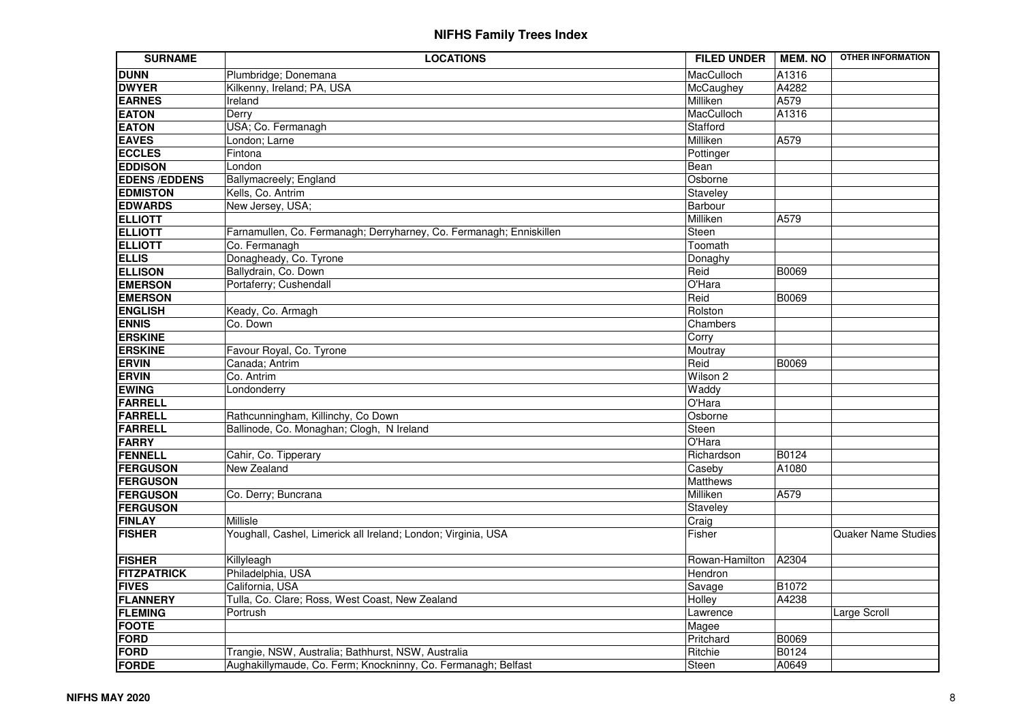| <b>SURNAME</b>      | <b>LOCATIONS</b>                                                    | <b>FILED UNDER</b> | <b>MEM. NO</b> | <b>OTHER INFORMATION</b> |
|---------------------|---------------------------------------------------------------------|--------------------|----------------|--------------------------|
| <b>DUNN</b>         | Plumbridge; Donemana                                                | MacCulloch         | A1316          |                          |
| <b>DWYER</b>        | Kilkenny, Ireland; PA, USA                                          | McCaughey          | A4282          |                          |
| <b>EARNES</b>       | Ireland                                                             | Milliken           | A579           |                          |
| <b>EATON</b>        | Derry                                                               | MacCulloch         | A1316          |                          |
| <b>EATON</b>        | USA; Co. Fermanagh                                                  | Stafford           |                |                          |
| <b>EAVES</b>        | London; Larne                                                       | Milliken           | A579           |                          |
| <b>ECCLES</b>       | Fintona                                                             | Pottinger          |                |                          |
| <b>EDDISON</b>      | London                                                              | Bean               |                |                          |
| <b>EDENS/EDDENS</b> | Ballymacreely; England                                              | Osborne            |                |                          |
| <b>EDMISTON</b>     | Kells, Co. Antrim                                                   | Staveley           |                |                          |
| <b>EDWARDS</b>      | New Jersey, USA;                                                    | Barbour            |                |                          |
| <b>ELLIOTT</b>      |                                                                     | Milliken           | A579           |                          |
| <b>ELLIOTT</b>      | Farnamullen, Co. Fermanagh; Derryharney, Co. Fermanagh; Enniskillen | Steen              |                |                          |
| <b>ELLIOTT</b>      | Co. Fermanagh                                                       | Toomath            |                |                          |
| <b>ELLIS</b>        | Donagheady, Co. Tyrone                                              | Donaghy            |                |                          |
| <b>ELLISON</b>      | Ballydrain, Co. Down                                                | Reid               | B0069          |                          |
| <b>EMERSON</b>      | Portaferry; Cushendall                                              | O'Hara             |                |                          |
| <b>EMERSON</b>      |                                                                     | Reid               | <b>B0069</b>   |                          |
| <b>ENGLISH</b>      | Keady, Co. Armagh                                                   | Rolston            |                |                          |
| <b>ENNIS</b>        | Co. Down                                                            | Chambers           |                |                          |
| <b>ERSKINE</b>      |                                                                     | Corry              |                |                          |
| <b>ERSKINE</b>      | Favour Royal, Co. Tyrone                                            | Moutray            |                |                          |
| <b>ERVIN</b>        | Canada; Antrim                                                      | Reid               | <b>B0069</b>   |                          |
| <b>ERVIN</b>        | Co. Antrim                                                          | Wilson 2           |                |                          |
| <b>EWING</b>        | Londonderry                                                         | Waddy              |                |                          |
| <b>FARRELL</b>      |                                                                     | O'Hara             |                |                          |
| <b>FARRELL</b>      | Rathcunningham, Killinchy, Co Down                                  | Osborne            |                |                          |
| <b>FARRELL</b>      | Ballinode, Co. Monaghan; Clogh, N Ireland                           | Steen              |                |                          |
| <b>FARRY</b>        |                                                                     | O'Hara             |                |                          |
| <b>FENNELL</b>      | Cahir, Co. Tipperary                                                | Richardson         | B0124          |                          |
| <b>FERGUSON</b>     | New Zealand                                                         | Caseby             | A1080          |                          |
| <b>FERGUSON</b>     |                                                                     | <b>Matthews</b>    |                |                          |
| <b>FERGUSON</b>     | Co. Derry; Buncrana                                                 | Milliken           | A579           |                          |
| <b>FERGUSON</b>     |                                                                     | Staveley           |                |                          |
| <b>FINLAY</b>       | Millisle                                                            | Craig              |                |                          |
| <b>FISHER</b>       | Youghall, Cashel, Limerick all Ireland; London; Virginia, USA       | Fisher             |                | Quaker Name Studies      |
| <b>FISHER</b>       | Killyleagh                                                          | Rowan-Hamilton     | A2304          |                          |
| <b>FITZPATRICK</b>  | Philadelphia, USA                                                   | Hendron            |                |                          |
| <b>FIVES</b>        | California, USA                                                     | Savage             | B1072          |                          |
| <b>FLANNERY</b>     | Tulla, Co. Clare; Ross, West Coast, New Zealand                     | Holley             | A4238          |                          |
| <b>FLEMING</b>      | Portrush                                                            | Lawrence           |                | Large Scroll             |
| <b>FOOTE</b>        |                                                                     | Magee              |                |                          |
| <b>FORD</b>         |                                                                     | Pritchard          | B0069          |                          |
| <b>FORD</b>         | Trangie, NSW, Australia; Bathhurst, NSW, Australia                  | Ritchie            | B0124          |                          |
| <b>FORDE</b>        | Aughakillymaude, Co. Ferm; Knockninny, Co. Fermanagh; Belfast       | Steen              | A0649          |                          |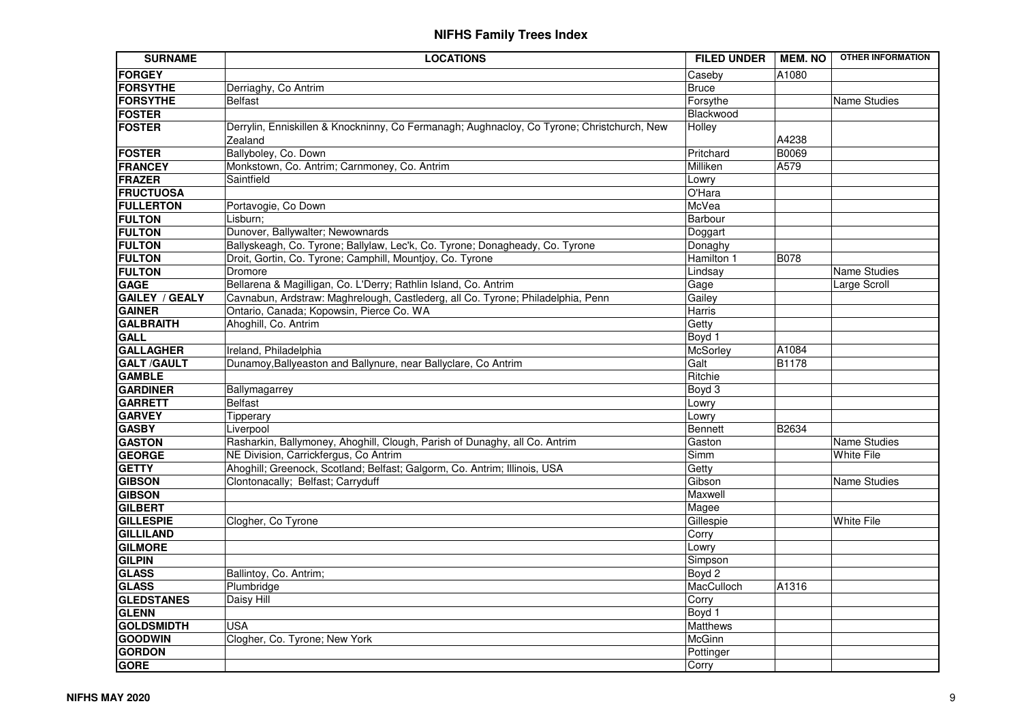| <b>SURNAME</b>                | <b>LOCATIONS</b>                                                                                                    | <b>FILED UNDER</b> | <b>MEM. NO</b> | <b>OTHER INFORMATION</b>          |
|-------------------------------|---------------------------------------------------------------------------------------------------------------------|--------------------|----------------|-----------------------------------|
| <b>FORGEY</b>                 |                                                                                                                     | Caseby             | A1080          |                                   |
| <b>FORSYTHE</b>               | Derriaghy, Co Antrim                                                                                                | <b>Bruce</b>       |                |                                   |
| <b>FORSYTHE</b>               | <b>Belfast</b>                                                                                                      | Forsythe           |                | <b>Name Studies</b>               |
| <b>FOSTER</b>                 |                                                                                                                     | Blackwood          |                |                                   |
| <b>FOSTER</b>                 | Derrylin, Enniskillen & Knockninny, Co Fermanagh; Aughnacloy, Co Tyrone; Christchurch, New                          | Holley             |                |                                   |
|                               | Zealand                                                                                                             |                    | A4238          |                                   |
| <b>FOSTER</b>                 | Ballyboley, Co. Down                                                                                                | Pritchard          | <b>B0069</b>   |                                   |
| <b>FRANCEY</b>                | Monkstown, Co. Antrim; Carnmoney, Co. Antrim                                                                        | Milliken           | A579           |                                   |
| <b>FRAZER</b>                 | Saintfield                                                                                                          | Lowry              |                |                                   |
| <b>FRUCTUOSA</b>              |                                                                                                                     | O'Hara             |                |                                   |
| <b>FULLERTON</b>              | Portavogie, Co Down                                                                                                 | McVea              |                |                                   |
| <b>FULTON</b>                 | Lisburn;                                                                                                            | Barbour            |                |                                   |
| <b>FULTON</b>                 | Dunover, Ballywalter; Newownards                                                                                    | Doggart            |                |                                   |
| <b>FULTON</b>                 | Ballyskeagh, Co. Tyrone; Ballylaw, Lec'k, Co. Tyrone; Donagheady, Co. Tyrone                                        | Donaghy            |                |                                   |
| <b>FULTON</b>                 | Droit, Gortin, Co. Tyrone; Camphill, Mountjoy, Co. Tyrone                                                           | Hamilton 1         | <b>B078</b>    |                                   |
| <b>FULTON</b>                 | Dromore                                                                                                             | Lindsay            |                | Name Studies                      |
| <b>GAGE</b>                   | Bellarena & Magilligan, Co. L'Derry; Rathlin Island, Co. Antrim                                                     | Gage               |                | Large Scroll                      |
| <b>GAILEY / GEALY</b>         | Cavnabun, Ardstraw: Maghrelough, Castlederg, all Co. Tyrone; Philadelphia, Penn                                     | Gailey             |                |                                   |
| <b>GAINER</b>                 | Ontario, Canada; Kopowsin, Pierce Co. WA                                                                            | Harris             |                |                                   |
| <b>GALBRAITH</b>              | Ahoghill, Co. Antrim                                                                                                | Getty              |                |                                   |
| <b>GALL</b>                   |                                                                                                                     | Boyd 1             |                |                                   |
| <b>GALLAGHER</b>              | Ireland, Philadelphia                                                                                               | McSorley           | A1084          |                                   |
| <b>GALT/GAULT</b>             | Dunamoy, Ballyeaston and Ballynure, near Ballyclare, Co Antrim                                                      | Galt               | <b>B1178</b>   |                                   |
| <b>GAMBLE</b>                 |                                                                                                                     | Ritchie            |                |                                   |
| <b>GARDINER</b>               | Ballymagarrey                                                                                                       | Boyd 3             |                |                                   |
| <b>GARRETT</b>                | Belfast                                                                                                             | Lowry              |                |                                   |
| <b>GARVEY</b>                 | Tipperary                                                                                                           | Lowry              |                |                                   |
| <b>GASBY</b><br><b>GASTON</b> | Liverpool                                                                                                           | Bennett            | B2634          |                                   |
| <b>GEORGE</b>                 | Rasharkin, Ballymoney, Ahoghill, Clough, Parish of Dunaghy, all Co. Antrim<br>NE Division, Carrickfergus, Co Antrim | Gaston<br>Simm     |                | Name Studies<br><b>White File</b> |
| <b>GETTY</b>                  | Ahoghill; Greenock, Scotland; Belfast; Galgorm, Co. Antrim; Illinois, USA                                           | Getty              |                |                                   |
| <b>GIBSON</b>                 | Clontonacally; Belfast; Carryduff                                                                                   | Gibson             |                | <b>Name Studies</b>               |
| <b>GIBSON</b>                 |                                                                                                                     | Maxwell            |                |                                   |
| <b>GILBERT</b>                |                                                                                                                     | Magee              |                |                                   |
| <b>GILLESPIE</b>              | Clogher, Co Tyrone                                                                                                  | Gillespie          |                | <b>White File</b>                 |
| <b>GILLILAND</b>              |                                                                                                                     | Corry              |                |                                   |
| <b>GILMORE</b>                |                                                                                                                     | Lowry              |                |                                   |
| <b>GILPIN</b>                 |                                                                                                                     | Simpson            |                |                                   |
| <b>GLASS</b>                  | Ballintoy, Co. Antrim;                                                                                              | Boyd 2             |                |                                   |
| <b>GLASS</b>                  | Plumbridge                                                                                                          | MacCulloch         | A1316          |                                   |
| <b>GLEDSTANES</b>             | Daisy Hill                                                                                                          | Corry              |                |                                   |
| <b>GLENN</b>                  |                                                                                                                     | Boyd 1             |                |                                   |
| <b>GOLDSMIDTH</b>             | USA                                                                                                                 | Matthews           |                |                                   |
| <b>GOODWIN</b>                | Clogher, Co. Tyrone; New York                                                                                       | McGinn             |                |                                   |
| <b>GORDON</b>                 |                                                                                                                     | Pottinger          |                |                                   |
| <b>GORE</b>                   |                                                                                                                     | Corry              |                |                                   |
|                               |                                                                                                                     |                    |                |                                   |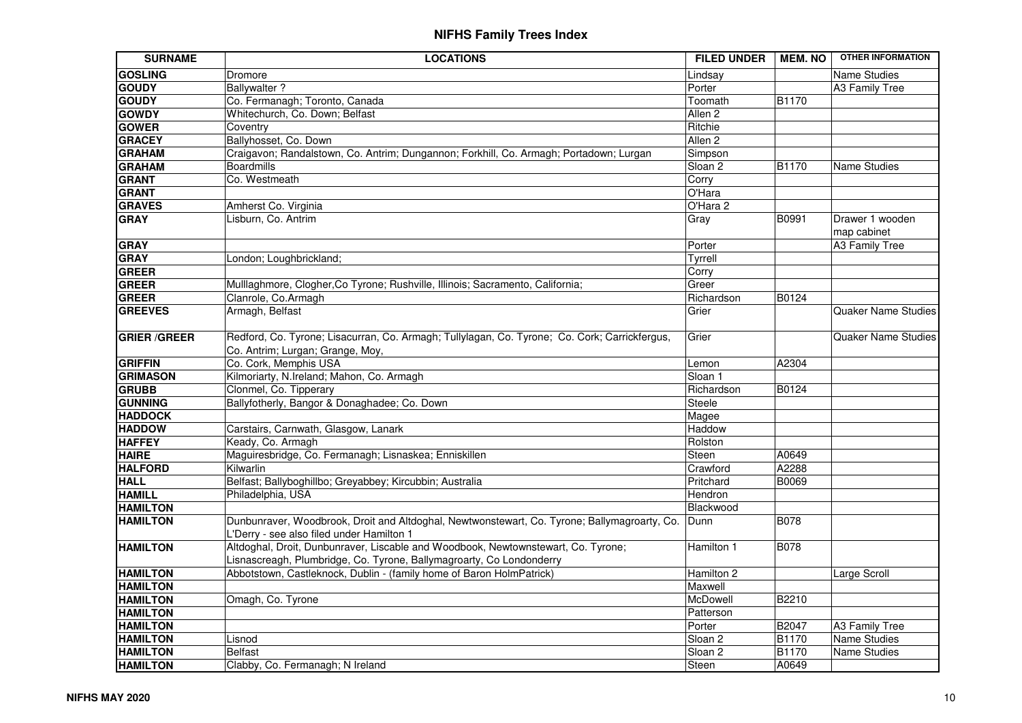| <b>SURNAME</b>      | <b>LOCATIONS</b>                                                                                                                                          | <b>FILED UNDER</b> | <b>MEM. NO</b> | <b>OTHER INFORMATION</b>       |
|---------------------|-----------------------------------------------------------------------------------------------------------------------------------------------------------|--------------------|----------------|--------------------------------|
| <b>GOSLING</b>      | Dromore                                                                                                                                                   | Lindsay            |                | Name Studies                   |
| <b>GOUDY</b>        | <b>Ballywalter?</b>                                                                                                                                       | Porter             |                | A3 Family Tree                 |
| <b>GOUDY</b>        | Co. Fermanagh; Toronto, Canada                                                                                                                            | Toomath            | B1170          |                                |
| <b>GOWDY</b>        | Whitechurch, Co. Down; Belfast                                                                                                                            | Allen <sub>2</sub> |                |                                |
| <b>GOWER</b>        | Coventry                                                                                                                                                  | Ritchie            |                |                                |
| <b>GRACEY</b>       | Ballyhosset, Co. Down                                                                                                                                     | Allen <sub>2</sub> |                |                                |
| <b>GRAHAM</b>       | Craigavon; Randalstown, Co. Antrim; Dungannon; Forkhill, Co. Armagh; Portadown; Lurgan                                                                    | Simpson            |                |                                |
| <b>GRAHAM</b>       | <b>Boardmills</b>                                                                                                                                         | Sloan <sub>2</sub> | B1170          | <b>Name Studies</b>            |
| <b>GRANT</b>        | Co. Westmeath                                                                                                                                             | Corry              |                |                                |
| <b>GRANT</b>        |                                                                                                                                                           | O'Hara             |                |                                |
| <b>GRAVES</b>       | Amherst Co. Virginia                                                                                                                                      | O'Hara 2           |                |                                |
| <b>GRAY</b>         | Lisburn, Co. Antrim                                                                                                                                       | Gray               | B0991          | Drawer 1 wooden<br>map cabinet |
| <b>GRAY</b>         |                                                                                                                                                           | Porter             |                | <b>A3 Family Tree</b>          |
| <b>GRAY</b>         | London; Loughbrickland;                                                                                                                                   | Tyrrell            |                |                                |
| <b>GREER</b>        |                                                                                                                                                           | Corry              |                |                                |
| <b>GREER</b>        | Mulllaghmore, Clogher, Co Tyrone; Rushville, Illinois; Sacramento, California;                                                                            | Greer              |                |                                |
| <b>GREER</b>        | Clanrole, Co.Armagh                                                                                                                                       | Richardson         | B0124          |                                |
| <b>GREEVES</b>      | Armagh, Belfast                                                                                                                                           | Grier              |                | <b>Quaker Name Studies</b>     |
| <b>GRIER /GREER</b> | Redford, Co. Tyrone; Lisacurran, Co. Armagh; Tullylagan, Co. Tyrone; Co. Cork; Carrickfergus,<br>Co. Antrim; Lurgan; Grange, Moy,                         | Grier              |                | <b>Quaker Name Studies</b>     |
| <b>GRIFFIN</b>      | Co. Cork, Memphis USA                                                                                                                                     | Lemon              | A2304          |                                |
| <b>GRIMASON</b>     | Kilmoriarty, N.Ireland; Mahon, Co. Armagh                                                                                                                 | Sloan 1            |                |                                |
| <b>GRUBB</b>        | Clonmel, Co. Tipperary                                                                                                                                    | Richardson         | B0124          |                                |
| <b>GUNNING</b>      | Ballyfotherly, Bangor & Donaghadee; Co. Down                                                                                                              | Steele             |                |                                |
| <b>HADDOCK</b>      |                                                                                                                                                           | Magee              |                |                                |
| <b>HADDOW</b>       | Carstairs, Carnwath, Glasgow, Lanark                                                                                                                      | Haddow             |                |                                |
| <b>HAFFEY</b>       | Keady, Co. Armagh                                                                                                                                         | Rolston            |                |                                |
| <b>HAIRE</b>        | Maguiresbridge, Co. Fermanagh; Lisnaskea; Enniskillen                                                                                                     | Steen              | A0649          |                                |
| <b>HALFORD</b>      | Kilwarlin                                                                                                                                                 | Crawford           | A2288          |                                |
| <b>HALL</b>         | Belfast; Ballyboghillbo; Greyabbey; Kircubbin; Australia                                                                                                  | Pritchard          | <b>B0069</b>   |                                |
| <b>HAMILL</b>       | Philadelphia, USA                                                                                                                                         | Hendron            |                |                                |
| <b>HAMILTON</b>     |                                                                                                                                                           | Blackwood          |                |                                |
| <b>HAMILTON</b>     | Dunbunraver, Woodbrook, Droit and Altdoghal, Newtwonstewart, Co. Tyrone; Ballymagroarty, Co.<br>L'Derry - see also filed under Hamilton 1                 | Dunn               | B078           |                                |
| <b>HAMILTON</b>     | Altdoghal, Droit, Dunbunraver, Liscable and Woodbook, Newtownstewart, Co. Tyrone;<br>Lisnascreagh, Plumbridge, Co. Tyrone, Ballymagroarty, Co Londonderry | Hamilton 1         | <b>B078</b>    |                                |
| <b>HAMILTON</b>     | Abbotstown, Castleknock, Dublin - (family home of Baron HolmPatrick)                                                                                      | Hamilton 2         |                | Large Scroll                   |
| <b>HAMILTON</b>     |                                                                                                                                                           | Maxwell            |                |                                |
| <b>HAMILTON</b>     | Omagh, Co. Tyrone                                                                                                                                         | McDowell           | B2210          |                                |
| <b>HAMILTON</b>     |                                                                                                                                                           | Patterson          |                |                                |
| <b>HAMILTON</b>     |                                                                                                                                                           | Porter             | B2047          | <b>A3 Family Tree</b>          |
| <b>HAMILTON</b>     | Lisnod                                                                                                                                                    | Sloan <sub>2</sub> | B1170          | Name Studies                   |
| <b>HAMILTON</b>     | <b>Belfast</b>                                                                                                                                            | Sloan <sub>2</sub> | <b>B1170</b>   | Name Studies                   |
| <b>HAMILTON</b>     | Clabby, Co. Fermanagh; N Ireland                                                                                                                          | Steen              | A0649          |                                |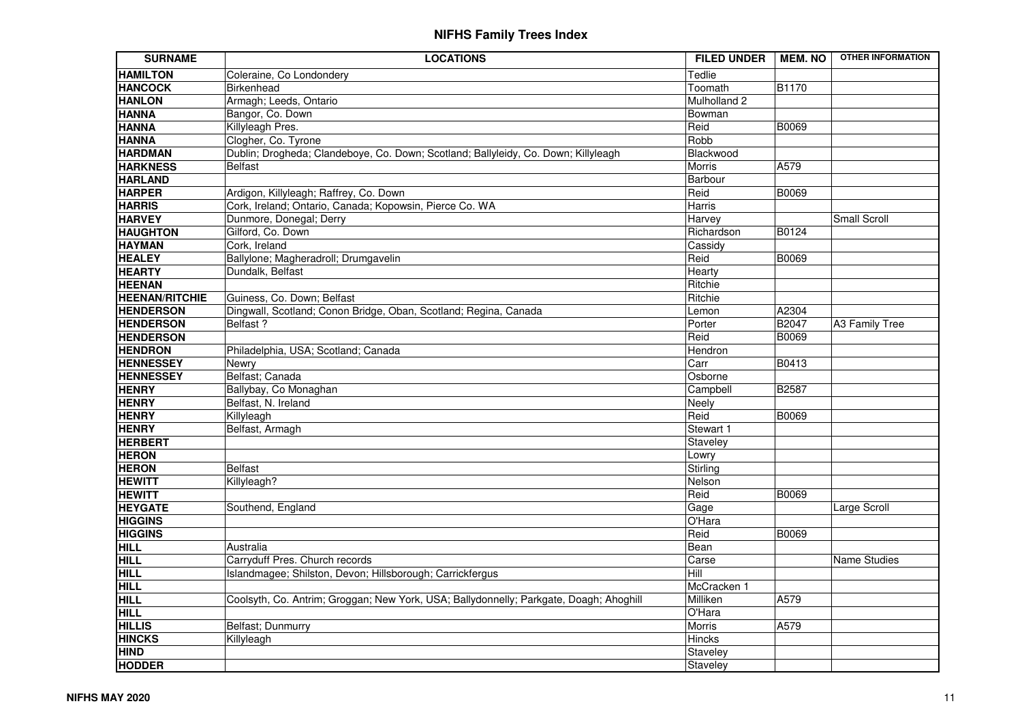| <b>SURNAME</b>                  | <b>LOCATIONS</b>                                                                       | <b>FILED UNDER</b> | <b>MEM. NO</b> | <b>OTHER INFORMATION</b> |
|---------------------------------|----------------------------------------------------------------------------------------|--------------------|----------------|--------------------------|
| <b>HAMILTON</b>                 | Coleraine, Co Londondery                                                               | Tedlie             |                |                          |
| <b>HANCOCK</b>                  | <b>Birkenhead</b>                                                                      | Toomath            | <b>B1170</b>   |                          |
| <b>HANLON</b>                   | Armagh; Leeds, Ontario                                                                 | Mulholland 2       |                |                          |
| <b>HANNA</b>                    | Bangor, Co. Down                                                                       | Bowman             |                |                          |
| <b>HANNA</b>                    | Killyleagh Pres.                                                                       | Reid               | B0069          |                          |
| <b>HANNA</b>                    | Clogher, Co. Tyrone                                                                    | Robb               |                |                          |
| <b>HARDMAN</b>                  | Dublin; Drogheda; Clandeboye, Co. Down; Scotland; Ballyleidy, Co. Down; Killyleagh     | Blackwood          |                |                          |
| <b>HARKNESS</b>                 | <b>Belfast</b>                                                                         | Morris             | A579           |                          |
| <b>HARLAND</b>                  |                                                                                        | Barbour            |                |                          |
| <b>HARPER</b>                   | Ardigon, Killyleagh; Raffrey, Co. Down                                                 | Reid               | B0069          |                          |
| <b>HARRIS</b>                   | Cork, Ireland; Ontario, Canada; Kopowsin, Pierce Co. WA                                | <b>Harris</b>      |                |                          |
| <b>HARVEY</b>                   | Dunmore, Donegal; Derry                                                                | Harvey             |                | Small Scroll             |
| <b>HAUGHTON</b>                 | Gilford, Co. Down                                                                      | Richardson         | B0124          |                          |
| <b>HAYMAN</b>                   | Cork, Ireland                                                                          | Cassidy            |                |                          |
| <b>HEALEY</b>                   | Ballylone; Magheradroll; Drumgavelin                                                   | Reid               | B0069          |                          |
| <b>HEARTY</b>                   | Dundalk, Belfast                                                                       | Hearty             |                |                          |
| <b>HEENAN</b>                   |                                                                                        | Ritchie            |                |                          |
| <b>HEENAN/RITCHIE</b>           | Guiness, Co. Down; Belfast                                                             | Ritchie            |                |                          |
| <b>HENDERSON</b>                | Dingwall, Scotland; Conon Bridge, Oban, Scotland; Regina, Canada                       | Lemon              | A2304          |                          |
| <b>HENDERSON</b>                | Belfast?                                                                               | Porter             | B2047          | A3 Family Tree           |
| <b>HENDERSON</b>                |                                                                                        | Reid               | <b>B0069</b>   |                          |
| <b>HENDRON</b>                  | Philadelphia, USA; Scotland; Canada                                                    | Hendron            |                |                          |
| <b>HENNESSEY</b>                | Newry                                                                                  | Carr               | B0413          |                          |
| <b>HENNESSEY</b>                | Belfast; Canada                                                                        | Osborne            |                |                          |
| <b>HENRY</b>                    | Ballybay, Co Monaghan                                                                  | Campbell           | B2587          |                          |
| <b>HENRY</b>                    | Belfast, N. Ireland                                                                    | Neely              |                |                          |
| <b>HENRY</b>                    | Killyleagh                                                                             | Reid               | <b>B0069</b>   |                          |
| <b>HENRY</b>                    | Belfast, Armagh                                                                        | Stewart 1          |                |                          |
| <b>HERBERT</b>                  |                                                                                        | Staveley           |                |                          |
| <b>HERON</b>                    |                                                                                        | Lowry              |                |                          |
| <b>HERON</b>                    | <b>Belfast</b>                                                                         | Stirling           |                |                          |
| <b>HEWITT</b>                   | Killyleagh?                                                                            | Nelson             |                |                          |
| <b>HEWITT</b><br><b>HEYGATE</b> |                                                                                        | Reid               | B0069          |                          |
| <b>HIGGINS</b>                  | Southend, England                                                                      | Gage<br>O'Hara     |                | Large Scroll             |
| <b>HIGGINS</b>                  |                                                                                        | Reid               | B0069          |                          |
| <b>HILL</b>                     | Australia                                                                              | Bean               |                |                          |
| <b>HILL</b>                     | Carryduff Pres. Church records                                                         | Carse              |                | Name Studies             |
| <b>HILL</b>                     | Islandmagee; Shilston, Devon; Hillsborough; Carrickfergus                              | Hill               |                |                          |
| <b>HILL</b>                     |                                                                                        | McCracken 1        |                |                          |
| <b>HILL</b>                     | Coolsyth, Co. Antrim; Groggan; New York, USA; Ballydonnelly; Parkgate, Doagh; Ahoghill | Milliken           | A579           |                          |
| <b>HILL</b>                     |                                                                                        | O'Hara             |                |                          |
| <b>HILLIS</b>                   | Belfast; Dunmurry                                                                      | <b>Morris</b>      | A579           |                          |
| <b>HINCKS</b>                   | Killyleagh                                                                             | <b>Hincks</b>      |                |                          |
| <b>HIND</b>                     |                                                                                        | Staveley           |                |                          |
| <b>HODDER</b>                   |                                                                                        | Staveley           |                |                          |
|                                 |                                                                                        |                    |                |                          |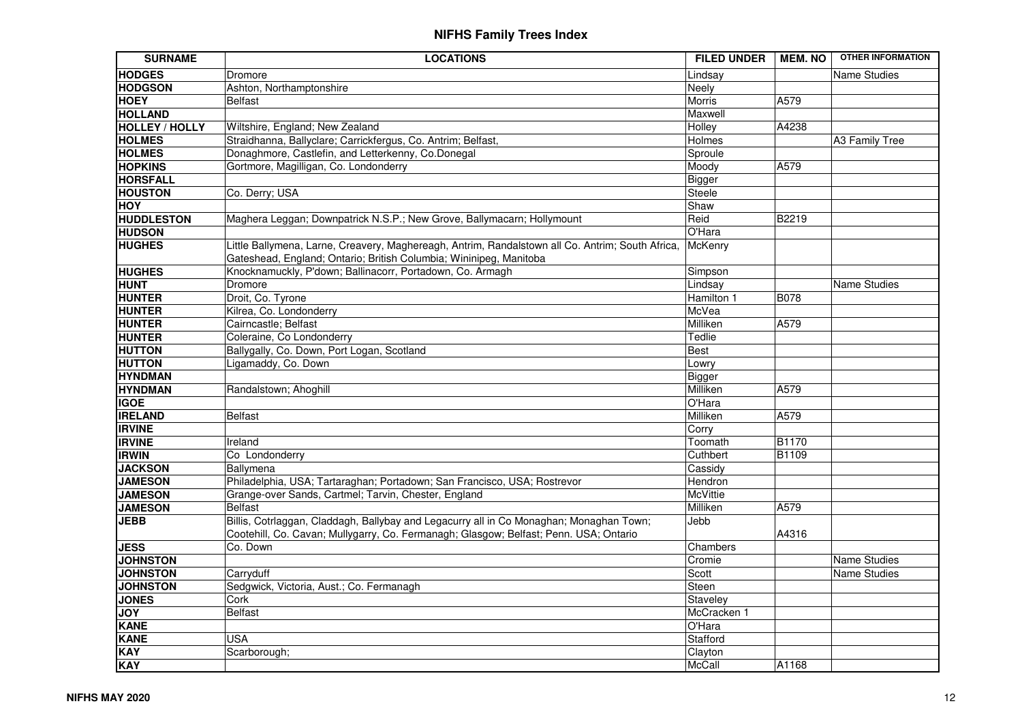| <b>SURNAME</b>        | <b>LOCATIONS</b>                                                                                                                                                                 | <b>FILED UNDER</b> | <b>MEM. NO</b> | <b>OTHER INFORMATION</b> |
|-----------------------|----------------------------------------------------------------------------------------------------------------------------------------------------------------------------------|--------------------|----------------|--------------------------|
| <b>HODGES</b>         | Dromore                                                                                                                                                                          | Lindsay            |                | <b>Name Studies</b>      |
| <b>HODGSON</b>        | Ashton, Northamptonshire                                                                                                                                                         | Neely              |                |                          |
| <b>HOEY</b>           | <b>Belfast</b>                                                                                                                                                                   | <b>Morris</b>      | A579           |                          |
| <b>HOLLAND</b>        |                                                                                                                                                                                  | Maxwell            |                |                          |
| <b>HOLLEY / HOLLY</b> | Wiltshire, England; New Zealand                                                                                                                                                  | Holley             | A4238          |                          |
| <b>HOLMES</b>         | Straidhanna, Ballyclare; Carrickfergus, Co. Antrim; Belfast,                                                                                                                     | Holmes             |                | A3 Family Tree           |
| <b>HOLMES</b>         | Donaghmore, Castlefin, and Letterkenny, Co.Donegal                                                                                                                               | Sproule            |                |                          |
| <b>HOPKINS</b>        | Gortmore, Magilligan, Co. Londonderry                                                                                                                                            | Moody              | A579           |                          |
| <b>HORSFALL</b>       |                                                                                                                                                                                  | Bigger             |                |                          |
| <b>HOUSTON</b>        | Co. Derry; USA                                                                                                                                                                   | Steele             |                |                          |
| <b>HOY</b>            |                                                                                                                                                                                  | Shaw               |                |                          |
| <b>HUDDLESTON</b>     | Maghera Leggan; Downpatrick N.S.P.; New Grove, Ballymacarn; Hollymount                                                                                                           | Reid               | B2219          |                          |
| <b>HUDSON</b>         |                                                                                                                                                                                  | O'Hara             |                |                          |
| <b>HUGHES</b>         | Little Ballymena, Larne, Creavery, Maghereagh, Antrim, Randalstown all Co. Antrim; South Africa,<br>Gateshead, England; Ontario; British Columbia; Wininipeg, Manitoba           | McKenry            |                |                          |
| <b>HUGHES</b>         | Knocknamuckly, P'down; Ballinacorr, Portadown, Co. Armagh                                                                                                                        | Simpson            |                |                          |
| <b>HUNT</b>           | Dromore                                                                                                                                                                          | Lindsay            |                | <b>Name Studies</b>      |
| <b>HUNTER</b>         | Droit, Co. Tyrone                                                                                                                                                                | Hamilton 1         | <b>B078</b>    |                          |
| <b>HUNTER</b>         | Kilrea, Co. Londonderry                                                                                                                                                          | McVea              |                |                          |
| <b>HUNTER</b>         | Cairncastle; Belfast                                                                                                                                                             | Milliken           | A579           |                          |
| <b>HUNTER</b>         | Coleraine, Co Londonderry                                                                                                                                                        | Tedlie             |                |                          |
| <b>HUTTON</b>         | Ballygally, Co. Down, Port Logan, Scotland                                                                                                                                       | <b>Best</b>        |                |                          |
| <b>HUTTON</b>         | Ligamaddy, Co. Down                                                                                                                                                              | Lowry              |                |                          |
| <b>HYNDMAN</b>        |                                                                                                                                                                                  | <b>Bigger</b>      |                |                          |
| <b>HYNDMAN</b>        | Randalstown; Ahoghill                                                                                                                                                            | Milliken           | A579           |                          |
| <b>IGOE</b>           |                                                                                                                                                                                  | O'Hara             |                |                          |
| <b>IRELAND</b>        | <b>Belfast</b>                                                                                                                                                                   | Milliken           | A579           |                          |
| <b>IRVINE</b>         |                                                                                                                                                                                  | Corry              |                |                          |
| <b>IRVINE</b>         | Ireland                                                                                                                                                                          | Toomath            | B1170          |                          |
| <b>IRWIN</b>          | Co Londonderry                                                                                                                                                                   | Cuthbert           | B1109          |                          |
| <b>JACKSON</b>        | Ballymena                                                                                                                                                                        | Cassidy            |                |                          |
| <b>JAMESON</b>        | Philadelphia, USA; Tartaraghan; Portadown; San Francisco, USA; Rostrevor                                                                                                         | Hendron            |                |                          |
| <b>JAMESON</b>        | Grange-over Sands, Cartmel; Tarvin, Chester, England                                                                                                                             | McVittie           |                |                          |
| <b>JAMESON</b>        | <b>Belfast</b>                                                                                                                                                                   | Milliken           | A579           |                          |
| <b>JEBB</b>           | Billis, Cotrlaggan, Claddagh, Ballybay and Legacurry all in Co Monaghan; Monaghan Town;<br>Cootehill, Co. Cavan; Mullygarry, Co. Fermanagh; Glasgow; Belfast; Penn. USA; Ontario | Jebb               | A4316          |                          |
| <b>JESS</b>           | Co. Down                                                                                                                                                                         | Chambers           |                |                          |
| <b>JOHNSTON</b>       |                                                                                                                                                                                  | Cromie             |                | Name Studies             |
| <b>JOHNSTON</b>       | Carryduff                                                                                                                                                                        | Scott              |                | <b>Name Studies</b>      |
| <b>JOHNSTON</b>       | Sedgwick, Victoria, Aust.; Co. Fermanagh                                                                                                                                         | Steen              |                |                          |
| <b>JONES</b>          | Cork                                                                                                                                                                             | Staveley           |                |                          |
| <b>JOY</b>            | <b>Belfast</b>                                                                                                                                                                   | McCracken 1        |                |                          |
| <b>KANE</b>           |                                                                                                                                                                                  | O'Hara             |                |                          |
| <b>KANE</b>           | <b>USA</b>                                                                                                                                                                       | Stafford           |                |                          |
| <b>KAY</b>            | Scarborough;                                                                                                                                                                     | Clayton            |                |                          |
| <b>KAY</b>            |                                                                                                                                                                                  | <b>McCall</b>      | A1168          |                          |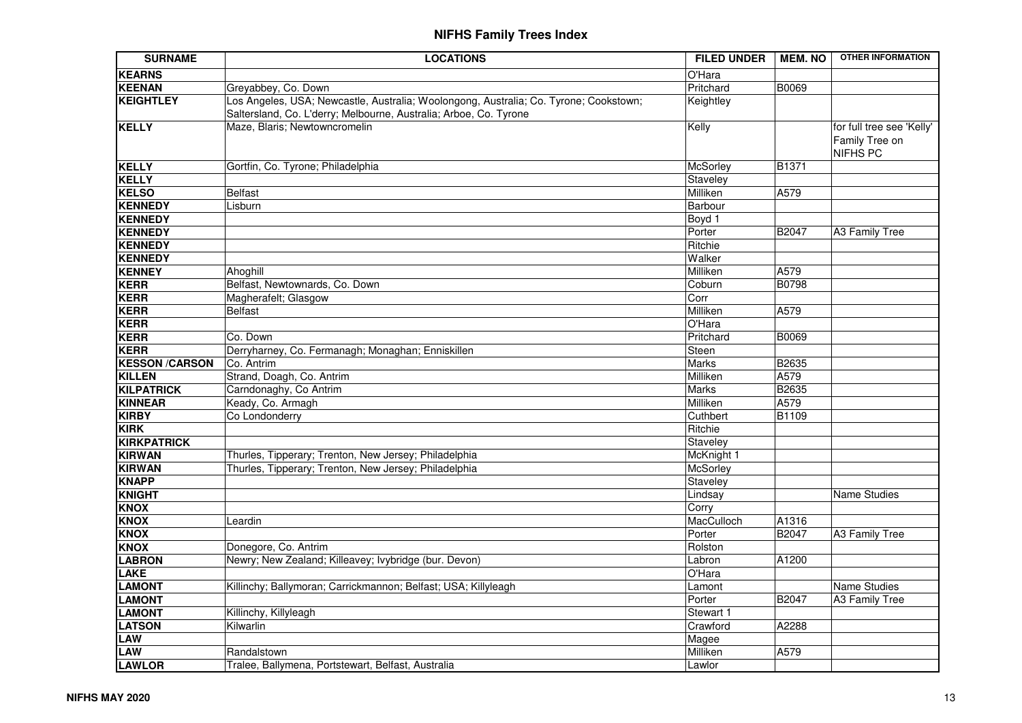| <b>SURNAME</b>                        | <b>LOCATIONS</b>                                                                      | <b>FILED UNDER</b>       | <b>MEM. NO</b> | <b>OTHER INFORMATION</b>                                       |
|---------------------------------------|---------------------------------------------------------------------------------------|--------------------------|----------------|----------------------------------------------------------------|
| <b>KEARNS</b>                         |                                                                                       | O'Hara                   |                |                                                                |
| <b>KEENAN</b>                         | Greyabbey, Co. Down                                                                   | Pritchard                | <b>B0069</b>   |                                                                |
| <b>KEIGHTLEY</b>                      | Los Angeles, USA; Newcastle, Australia; Woolongong, Australia; Co. Tyrone; Cookstown; | Keightley                |                |                                                                |
|                                       | Saltersland, Co. L'derry; Melbourne, Australia; Arboe, Co. Tyrone                     |                          |                |                                                                |
| <b>KELLY</b>                          | Maze, Blaris; Newtowncromelin                                                         | Kelly                    |                | for full tree see 'Kelly'<br>Family Tree on<br><b>NIFHS PC</b> |
| <b>KELLY</b>                          | Gortfin, Co. Tyrone; Philadelphia                                                     | McSorley                 | B1371          |                                                                |
| <b>KELLY</b>                          |                                                                                       | Staveley                 |                |                                                                |
| <b>KELSO</b>                          | <b>Belfast</b>                                                                        | Milliken                 | A579           |                                                                |
| <b>KENNEDY</b>                        | Lisburn                                                                               | Barbour                  |                |                                                                |
| <b>KENNEDY</b>                        |                                                                                       | Boyd 1                   |                |                                                                |
| <b>KENNEDY</b>                        |                                                                                       | Porter                   | B2047          | A3 Family Tree                                                 |
| <b>KENNEDY</b>                        |                                                                                       | Ritchie                  |                |                                                                |
| <b>KENNEDY</b>                        |                                                                                       | Walker                   |                |                                                                |
| <b>KENNEY</b>                         | Ahoghill                                                                              | Milliken                 | A579           |                                                                |
| <b>KERR</b>                           | Belfast, Newtownards, Co. Down                                                        | Coburn                   | B0798          |                                                                |
| <b>KERR</b>                           | Magherafelt; Glasgow                                                                  | Corr                     |                |                                                                |
| <b>KERR</b>                           | <b>Belfast</b>                                                                        | Milliken                 | A579           |                                                                |
| <b>KERR</b>                           |                                                                                       | O'Hara                   |                |                                                                |
| <b>KERR</b>                           | Co. Down                                                                              | Pritchard                | B0069          |                                                                |
| <b>KERR</b>                           | Derryharney, Co. Fermanagh; Monaghan; Enniskillen                                     | Steen                    |                |                                                                |
| <b>KESSON/CARSON</b><br><b>KILLEN</b> | Co. Antrim<br>Strand, Doagh, Co. Antrim                                               | Marks                    | B2635<br>A579  |                                                                |
| <b>KILPATRICK</b>                     | Carndonaghy, Co Antrim                                                                | Milliken<br><b>Marks</b> | B2635          |                                                                |
| <b>KINNEAR</b>                        | Keady, Co. Armagh                                                                     | Milliken                 | A579           |                                                                |
| <b>KIRBY</b>                          | Co Londonderry                                                                        | Cuthbert                 | B1109          |                                                                |
| <b>KIRK</b>                           |                                                                                       | Ritchie                  |                |                                                                |
| <b>KIRKPATRICK</b>                    |                                                                                       | Staveley                 |                |                                                                |
| <b>KIRWAN</b>                         | Thurles, Tipperary; Trenton, New Jersey; Philadelphia                                 | McKnight 1               |                |                                                                |
| <b>KIRWAN</b>                         | Thurles, Tipperary; Trenton, New Jersey; Philadelphia                                 | <b>McSorley</b>          |                |                                                                |
| <b>KNAPP</b>                          |                                                                                       | Staveley                 |                |                                                                |
| <b>KNIGHT</b>                         |                                                                                       | Lindsay                  |                | <b>Name Studies</b>                                            |
| <b>KNOX</b>                           |                                                                                       | Corry                    |                |                                                                |
| <b>KNOX</b>                           | Leardin                                                                               | MacCulloch               | A1316          |                                                                |
| <b>KNOX</b>                           |                                                                                       | Porter                   | B2047          | A3 Family Tree                                                 |
| <b>KNOX</b>                           | Donegore, Co. Antrim                                                                  | Rolston                  |                |                                                                |
| <b>LABRON</b>                         | Newry; New Zealand; Killeavey; Ivybridge (bur. Devon)                                 | Labron                   | A1200          |                                                                |
| <b>LAKE</b>                           |                                                                                       | O'Hara                   |                |                                                                |
| <b>LAMONT</b>                         | Killinchy; Ballymoran; Carrickmannon; Belfast; USA; Killyleagh                        | Lamont                   |                | Name Studies                                                   |
| <b>LAMONT</b>                         |                                                                                       | Porter                   | B2047          | A3 Family Tree                                                 |
| <b>LAMONT</b>                         | Killinchy, Killyleagh                                                                 | Stewart 1                |                |                                                                |
| <b>LATSON</b>                         | Kilwarlin                                                                             | Crawford                 | A2288          |                                                                |
| <b>LAW</b>                            |                                                                                       | Magee                    |                |                                                                |
| LAW                                   | Randalstown                                                                           | Milliken                 | A579           |                                                                |
| <b>LAWLOR</b>                         | Tralee, Ballymena, Portstewart, Belfast, Australia                                    | Lawlor                   |                |                                                                |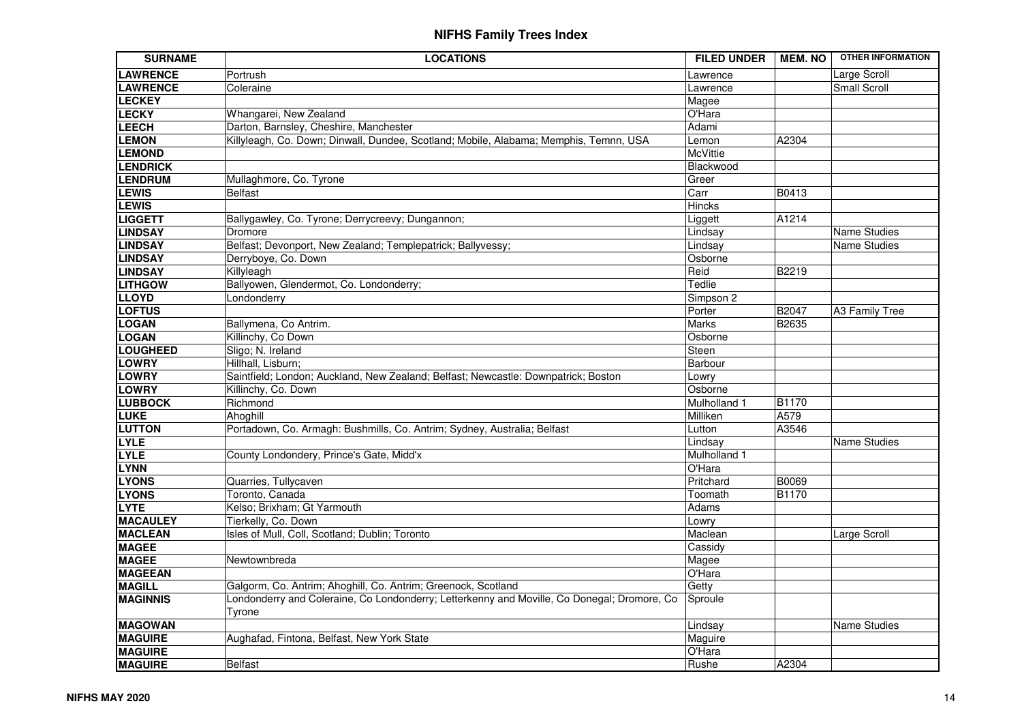| <b>SURNAME</b>  | <b>LOCATIONS</b>                                                                            | <b>FILED UNDER</b> | <b>MEM. NO</b> | <b>OTHER INFORMATION</b> |
|-----------------|---------------------------------------------------------------------------------------------|--------------------|----------------|--------------------------|
| <b>LAWRENCE</b> | Portrush                                                                                    | Lawrence           |                | Large Scroll             |
| <b>LAWRENCE</b> | Coleraine                                                                                   | Lawrence           |                | <b>Small Scroll</b>      |
| <b>LECKEY</b>   |                                                                                             | Magee              |                |                          |
| <b>LECKY</b>    | Whangarei, New Zealand                                                                      | O'Hara             |                |                          |
| LEECH           | Darton, Barnsley, Cheshire, Manchester                                                      | Adami              |                |                          |
| <b>LEMON</b>    | Killyleagh, Co. Down; Dinwall, Dundee, Scotland; Mobile, Alabama; Memphis, Temnn, USA       | Lemon              | A2304          |                          |
| <b>LEMOND</b>   |                                                                                             | <b>McVittie</b>    |                |                          |
| <b>LENDRICK</b> |                                                                                             | Blackwood          |                |                          |
| <b>LENDRUM</b>  | Mullaghmore, Co. Tyrone                                                                     | Greer              |                |                          |
| <b>LEWIS</b>    | <b>Belfast</b>                                                                              | Carr               | B0413          |                          |
| <b>LEWIS</b>    |                                                                                             | <b>Hincks</b>      |                |                          |
| <b>LIGGETT</b>  | Ballygawley, Co. Tyrone; Derrycreevy; Dungannon;                                            | Liggett            | A1214          |                          |
| <b>LINDSAY</b>  | Dromore                                                                                     | Lindsay            |                | Name Studies             |
| <b>LINDSAY</b>  | Belfast; Devonport, New Zealand; Templepatrick; Ballyvessy;                                 | Lindsay            |                | Name Studies             |
| <b>LINDSAY</b>  | Derryboye, Co. Down                                                                         | Osborne            |                |                          |
| <b>LINDSAY</b>  | Killyleagh                                                                                  | Reid               | B2219          |                          |
| <b>LITHGOW</b>  | Ballyowen, Glendermot, Co. Londonderry;                                                     | Tedlie             |                |                          |
| <b>LLOYD</b>    | Londonderry                                                                                 | Simpson 2          |                |                          |
| <b>LOFTUS</b>   |                                                                                             | Porter             | B2047          | <b>A3 Family Tree</b>    |
| <b>LOGAN</b>    | Ballymena, Co Antrim.                                                                       | <b>Marks</b>       | B2635          |                          |
| <b>LOGAN</b>    | Killinchy, Co Down                                                                          | Osborne            |                |                          |
| <b>LOUGHEED</b> | Sligo; N. Ireland                                                                           | Steen              |                |                          |
| <b>LOWRY</b>    | Hillhall, Lisburn;                                                                          | Barbour            |                |                          |
| <b>LOWRY</b>    | Saintfield; London; Auckland, New Zealand; Belfast; Newcastle: Downpatrick; Boston          | Lowry              |                |                          |
| <b>LOWRY</b>    | Killinchy, Co. Down                                                                         | Osborne            |                |                          |
| <b>LUBBOCK</b>  | Richmond                                                                                    | Mulholland 1       | B1170          |                          |
| <b>LUKE</b>     | Ahoghill                                                                                    | Milliken           | A579           |                          |
| <b>LUTTON</b>   | Portadown, Co. Armagh: Bushmills, Co. Antrim; Sydney, Australia; Belfast                    | Lutton             | A3546          |                          |
| <b>LYLE</b>     |                                                                                             | Lindsay            |                | Name Studies             |
| <b>LYLE</b>     | County Londondery, Prince's Gate, Midd'x                                                    | Mulholland 1       |                |                          |
| <b>LYNN</b>     |                                                                                             | O'Hara             |                |                          |
| <b>LYONS</b>    | Quarries, Tullycaven                                                                        | Pritchard          | <b>B0069</b>   |                          |
| <b>LYONS</b>    | Toronto, Canada                                                                             | Toomath            | B1170          |                          |
| <b>LYTE</b>     | Kelso; Brixham; Gt Yarmouth                                                                 | Adams              |                |                          |
| <b>MACAULEY</b> | Tierkelly, Co. Down                                                                         | Lowry              |                |                          |
| <b>MACLEAN</b>  | Isles of Mull, Coll, Scotland; Dublin; Toronto                                              | Maclean            |                | Large Scroll             |
| <b>MAGEE</b>    |                                                                                             | Cassidy            |                |                          |
| <b>MAGEE</b>    | Newtownbreda                                                                                | Magee              |                |                          |
| <b>MAGEEAN</b>  |                                                                                             | O'Hara             |                |                          |
| <b>MAGILL</b>   | Galgorm, Co. Antrim; Ahoghill, Co. Antrim; Greenock, Scotland                               | Getty              |                |                          |
| <b>MAGINNIS</b> | Londonderry and Coleraine, Co Londonderry; Letterkenny and Moville, Co Donegal; Dromore, Co | Sproule            |                |                          |
|                 | Tyrone                                                                                      |                    |                |                          |
| <b>MAGOWAN</b>  |                                                                                             | Lindsay            |                | Name Studies             |
| <b>MAGUIRE</b>  | Aughafad, Fintona, Belfast, New York State                                                  | Maguire            |                |                          |
| <b>MAGUIRE</b>  |                                                                                             | O'Hara             |                |                          |
| <b>MAGUIRE</b>  | <b>Belfast</b>                                                                              | Rushe              | A2304          |                          |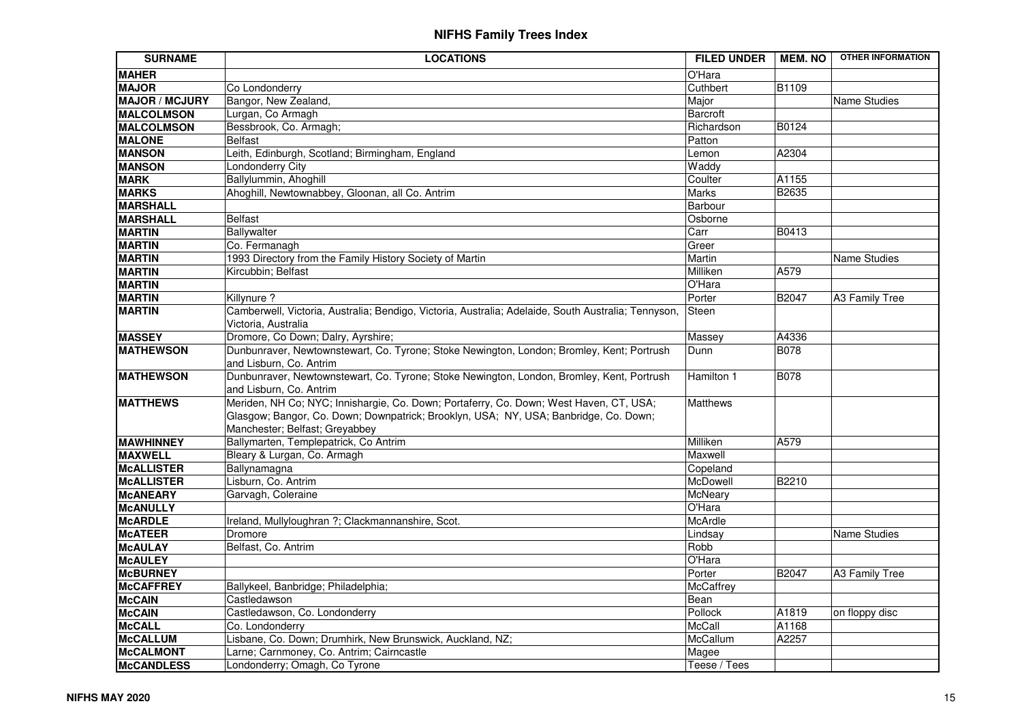| <b>SURNAME</b>        | <b>LOCATIONS</b>                                                                                    | <b>FILED UNDER</b> | <b>MEM. NO</b> | <b>OTHER INFORMATION</b> |
|-----------------------|-----------------------------------------------------------------------------------------------------|--------------------|----------------|--------------------------|
| <b>MAHER</b>          |                                                                                                     | O'Hara             |                |                          |
| <b>MAJOR</b>          | Co Londonderry                                                                                      | Cuthbert           | <b>B1109</b>   |                          |
| <b>MAJOR / MCJURY</b> | Bangor, New Zealand,                                                                                | Major              |                | <b>Name Studies</b>      |
| <b>MALCOLMSON</b>     | Lurgan, Co Armagh                                                                                   | Barcroft           |                |                          |
| <b>MALCOLMSON</b>     | Bessbrook, Co. Armagh;                                                                              | Richardson         | B0124          |                          |
| <b>MALONE</b>         | <b>Belfast</b>                                                                                      | Patton             |                |                          |
| <b>MANSON</b>         | Leith, Edinburgh, Scotland; Birmingham, England                                                     | Lemon              | A2304          |                          |
| <b>MANSON</b>         | Londonderry City                                                                                    | Waddy              |                |                          |
| <b>MARK</b>           | Ballylummin, Ahoghill                                                                               | Coulter            | A1155          |                          |
| <b>MARKS</b>          | Ahoghill, Newtownabbey, Gloonan, all Co. Antrim                                                     | Marks              | <b>B2635</b>   |                          |
| <b>MARSHALL</b>       |                                                                                                     | Barbour            |                |                          |
| <b>MARSHALL</b>       | <b>Belfast</b>                                                                                      | Osborne            |                |                          |
| <b>MARTIN</b>         | Ballywalter                                                                                         | Carr               | B0413          |                          |
| <b>MARTIN</b>         | Co. Fermanagh                                                                                       | Greer              |                |                          |
| <b>MARTIN</b>         | 1993 Directory from the Family History Society of Martin                                            | Martin             |                | Name Studies             |
| <b>MARTIN</b>         | Kircubbin; Belfast                                                                                  | Milliken           | A579           |                          |
| <b>MARTIN</b>         |                                                                                                     | O'Hara             |                |                          |
| <b>MARTIN</b>         | Killynure ?                                                                                         | Porter             | B2047          | A3 Family Tree           |
| <b>MARTIN</b>         | Camberwell, Victoria, Australia; Bendigo, Victoria, Australia; Adelaide, South Australia; Tennyson, | Steen              |                |                          |
|                       | Victoria. Australia                                                                                 |                    |                |                          |
| <b>MASSEY</b>         | Dromore, Co Down; Dalry, Ayrshire;                                                                  | Massey             | A4336          |                          |
| <b>MATHEWSON</b>      | Dunbunraver, Newtownstewart, Co. Tyrone; Stoke Newington, London; Bromley, Kent; Portrush           | Dunn               | <b>B078</b>    |                          |
|                       | and Lisburn, Co. Antrim                                                                             |                    |                |                          |
| <b>MATHEWSON</b>      | Dunbunraver, Newtownstewart, Co. Tyrone; Stoke Newington, London, Bromley, Kent, Portrush           | Hamilton 1         | B078           |                          |
|                       | and Lisburn, Co. Antrim                                                                             |                    |                |                          |
| <b>MATTHEWS</b>       | Meriden, NH Co; NYC; Innishargie, Co. Down; Portaferry, Co. Down; West Haven, CT, USA;              | <b>Matthews</b>    |                |                          |
|                       | Glasgow; Bangor, Co. Down; Downpatrick; Brooklyn, USA; NY, USA; Banbridge, Co. Down;                |                    |                |                          |
|                       | Manchester; Belfast; Greyabbey                                                                      |                    |                |                          |
| <b>MAWHINNEY</b>      | Ballymarten, Templepatrick, Co Antrim                                                               | Milliken           | A579           |                          |
| <b>MAXWELL</b>        | Bleary & Lurgan, Co. Armagh                                                                         | Maxwell            |                |                          |
| <b>McALLISTER</b>     | Ballynamagna                                                                                        | Copeland           |                |                          |
| <b>McALLISTER</b>     | Lisburn, Co. Antrim                                                                                 | McDowell           | B2210          |                          |
| <b>McANEARY</b>       | Garvagh, Coleraine                                                                                  | McNeary            |                |                          |
| <b>McANULLY</b>       |                                                                                                     | O'Hara             |                |                          |
| <b>McARDLE</b>        | Ireland, Mullyloughran ?; Clackmannanshire, Scot.                                                   | <b>McArdle</b>     |                |                          |
| <b>McATEER</b>        | Dromore                                                                                             | Lindsay            |                | <b>Name Studies</b>      |
| <b>McAULAY</b>        | Belfast, Co. Antrim                                                                                 | Robb               |                |                          |
| <b>McAULEY</b>        |                                                                                                     | O'Hara             |                |                          |
| <b>McBURNEY</b>       |                                                                                                     | Porter             | B2047          | A3 Family Tree           |
| <b>McCAFFREY</b>      | Ballykeel, Banbridge; Philadelphia;                                                                 | McCaffrey          |                |                          |
| <b>McCAIN</b>         | Castledawson                                                                                        | Bean               |                |                          |
| <b>McCAIN</b>         | Castledawson, Co. Londonderry                                                                       | Pollock            | A1819          | on floppy disc           |
| <b>McCALL</b>         | Co. Londonderry                                                                                     | McCall             | A1168          |                          |
| <b>McCALLUM</b>       | Lisbane, Co. Down; Drumhirk, New Brunswick, Auckland, NZ;                                           | McCallum           | A2257          |                          |
| <b>McCALMONT</b>      | Larne; Carnmoney, Co. Antrim; Cairncastle                                                           | Magee              |                |                          |
| <b>McCANDLESS</b>     | Londonderry; Omagh, Co Tyrone                                                                       | Teese / Tees       |                |                          |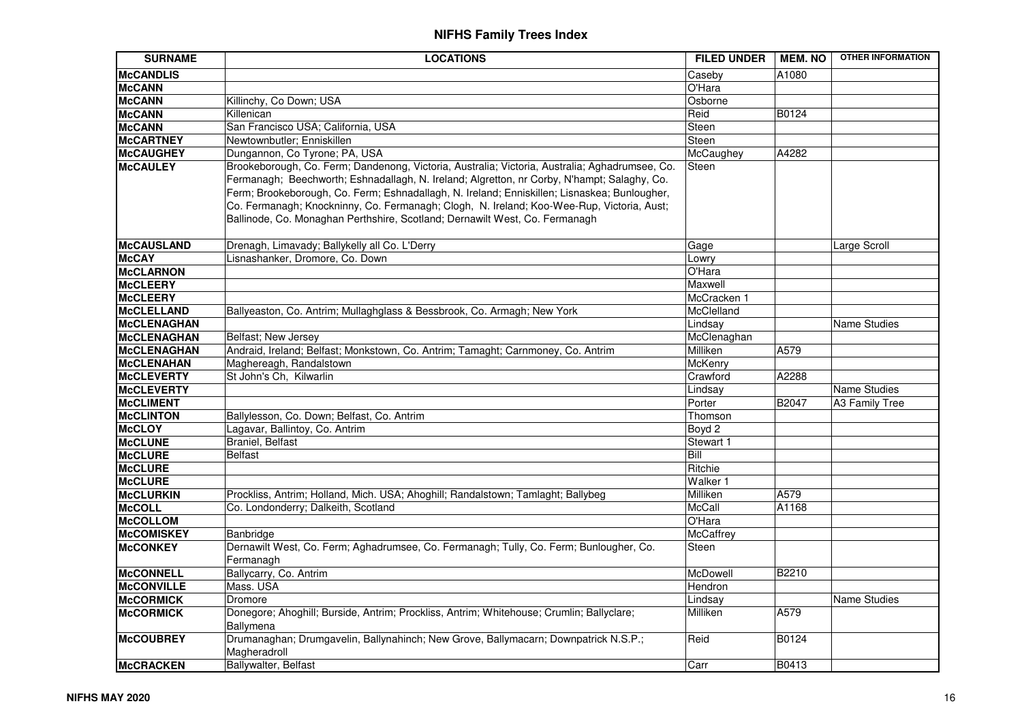| <b>SURNAME</b>                         | <b>LOCATIONS</b>                                                                                                                                                                                                                                                                                                                                                                                                                                                          | <b>FILED UNDER</b>  | <b>MEM. NO</b> | <b>OTHER INFORMATION</b> |
|----------------------------------------|---------------------------------------------------------------------------------------------------------------------------------------------------------------------------------------------------------------------------------------------------------------------------------------------------------------------------------------------------------------------------------------------------------------------------------------------------------------------------|---------------------|----------------|--------------------------|
| <b>McCANDLIS</b>                       |                                                                                                                                                                                                                                                                                                                                                                                                                                                                           | Caseby              | A1080          |                          |
| <b>McCANN</b>                          |                                                                                                                                                                                                                                                                                                                                                                                                                                                                           | O'Hara              |                |                          |
| <b>McCANN</b>                          | Killinchy, Co Down; USA                                                                                                                                                                                                                                                                                                                                                                                                                                                   | Osborne             |                |                          |
| <b>McCANN</b>                          | Killenican                                                                                                                                                                                                                                                                                                                                                                                                                                                                | Reid                | B0124          |                          |
| <b>McCANN</b>                          | San Francisco USA; California, USA                                                                                                                                                                                                                                                                                                                                                                                                                                        | Steen               |                |                          |
| <b>McCARTNEY</b>                       | Newtownbutler; Enniskillen                                                                                                                                                                                                                                                                                                                                                                                                                                                | Steen               |                |                          |
| <b>McCAUGHEY</b>                       | Dungannon, Co Tyrone; PA, USA                                                                                                                                                                                                                                                                                                                                                                                                                                             | McCaughey           | A4282          |                          |
| <b>McCAULEY</b>                        | Brookeborough, Co. Ferm; Dandenong, Victoria, Australia; Victoria, Australia; Aghadrumsee, Co.<br>Fermanagh; Beechworth; Eshnadallagh, N. Ireland; Algretton, nr Corby, N'hampt; Salaghy, Co.<br>Ferm; Brookeborough, Co. Ferm; Eshnadallagh, N. Ireland; Enniskillen; Lisnaskea; Bunlougher,<br>Co. Fermanagh; Knockninny, Co. Fermanagh; Clogh, N. Ireland; Koo-Wee-Rup, Victoria, Aust;<br>Ballinode, Co. Monaghan Perthshire, Scotland; Dernawilt West, Co. Fermanagh | <b>Steen</b>        |                |                          |
| <b>McCAUSLAND</b>                      | Drenagh, Limavady; Ballykelly all Co. L'Derry                                                                                                                                                                                                                                                                                                                                                                                                                             | Gage                |                | Large Scroll             |
| <b>McCAY</b>                           | Lisnashanker, Dromore, Co. Down                                                                                                                                                                                                                                                                                                                                                                                                                                           | Lowry               |                |                          |
| <b>McCLARNON</b>                       |                                                                                                                                                                                                                                                                                                                                                                                                                                                                           | O'Hara              |                |                          |
| <b>McCLEERY</b>                        |                                                                                                                                                                                                                                                                                                                                                                                                                                                                           | Maxwell             |                |                          |
| <b>McCLEERY</b>                        |                                                                                                                                                                                                                                                                                                                                                                                                                                                                           | McCracken 1         |                |                          |
| <b>McCLELLAND</b>                      | Ballyeaston, Co. Antrim; Mullaghglass & Bessbrook, Co. Armagh; New York                                                                                                                                                                                                                                                                                                                                                                                                   | McClelland          |                |                          |
| <b>McCLENAGHAN</b>                     |                                                                                                                                                                                                                                                                                                                                                                                                                                                                           | Lindsay             |                | Name Studies             |
| <b>McCLENAGHAN</b>                     | Belfast; New Jersey                                                                                                                                                                                                                                                                                                                                                                                                                                                       | McClenaghan         |                |                          |
| <b>McCLENAGHAN</b>                     | Andraid, Ireland; Belfast; Monkstown, Co. Antrim; Tamaght; Carnmoney, Co. Antrim                                                                                                                                                                                                                                                                                                                                                                                          | Milliken            | A579           |                          |
| <b>McCLENAHAN</b><br><b>McCLEVERTY</b> | Maghereagh, Randalstown<br>St John's Ch, Kilwarlin                                                                                                                                                                                                                                                                                                                                                                                                                        | McKenry<br>Crawford | A2288          |                          |
| <b>McCLEVERTY</b>                      |                                                                                                                                                                                                                                                                                                                                                                                                                                                                           | Lindsay             |                | Name Studies             |
| <b>McCLIMENT</b>                       |                                                                                                                                                                                                                                                                                                                                                                                                                                                                           | Porter              | B2047          | A3 Family Tree           |
| <b>McCLINTON</b>                       | Ballylesson, Co. Down; Belfast, Co. Antrim                                                                                                                                                                                                                                                                                                                                                                                                                                | Thomson             |                |                          |
| <b>McCLOY</b>                          | Lagavar, Ballintoy, Co. Antrim                                                                                                                                                                                                                                                                                                                                                                                                                                            | Boyd 2              |                |                          |
| <b>McCLUNE</b>                         | <b>Braniel</b> , Belfast                                                                                                                                                                                                                                                                                                                                                                                                                                                  | Stewart 1           |                |                          |
| <b>McCLURE</b>                         | <b>Belfast</b>                                                                                                                                                                                                                                                                                                                                                                                                                                                            | Bill                |                |                          |
| <b>McCLURE</b>                         |                                                                                                                                                                                                                                                                                                                                                                                                                                                                           | Ritchie             |                |                          |
| <b>McCLURE</b>                         |                                                                                                                                                                                                                                                                                                                                                                                                                                                                           | Walker 1            |                |                          |
| <b>McCLURKIN</b>                       | Prockliss, Antrim; Holland, Mich. USA; Ahoghill; Randalstown; Tamlaght; Ballybeg                                                                                                                                                                                                                                                                                                                                                                                          | Milliken            | A579           |                          |
| <b>McCOLL</b>                          | Co. Londonderry; Dalkeith, Scotland                                                                                                                                                                                                                                                                                                                                                                                                                                       | <b>McCall</b>       | A1168          |                          |
| <b>McCOLLOM</b>                        |                                                                                                                                                                                                                                                                                                                                                                                                                                                                           | O'Hara              |                |                          |
| <b>McCOMISKEY</b>                      | Banbridge                                                                                                                                                                                                                                                                                                                                                                                                                                                                 | <b>McCaffrey</b>    |                |                          |
| <b>McCONKEY</b>                        | Dernawilt West, Co. Ferm; Aghadrumsee, Co. Fermanagh; Tully, Co. Ferm; Bunlougher, Co.<br>Fermanagh                                                                                                                                                                                                                                                                                                                                                                       | Steen               |                |                          |
| <b>McCONNELL</b>                       | Ballycarry, Co. Antrim                                                                                                                                                                                                                                                                                                                                                                                                                                                    | McDowell            | B2210          |                          |
| <b>McCONVILLE</b>                      | Mass. USA                                                                                                                                                                                                                                                                                                                                                                                                                                                                 | Hendron             |                |                          |
| <b>McCORMICK</b>                       | Dromore                                                                                                                                                                                                                                                                                                                                                                                                                                                                   | Lindsay             |                | <b>Name Studies</b>      |
| <b>McCORMICK</b>                       | Donegore; Ahoghill; Burside, Antrim; Prockliss, Antrim; Whitehouse; Crumlin; Ballyclare;<br>Ballymena                                                                                                                                                                                                                                                                                                                                                                     | Milliken            | A579           |                          |
| <b>McCOUBREY</b>                       | Drumanaghan; Drumgavelin, Ballynahinch; New Grove, Ballymacarn; Downpatrick N.S.P.;<br>Magheradroll                                                                                                                                                                                                                                                                                                                                                                       | Reid                | B0124          |                          |
| <b>McCRACKEN</b>                       | Ballywalter, Belfast                                                                                                                                                                                                                                                                                                                                                                                                                                                      | Carr                | B0413          |                          |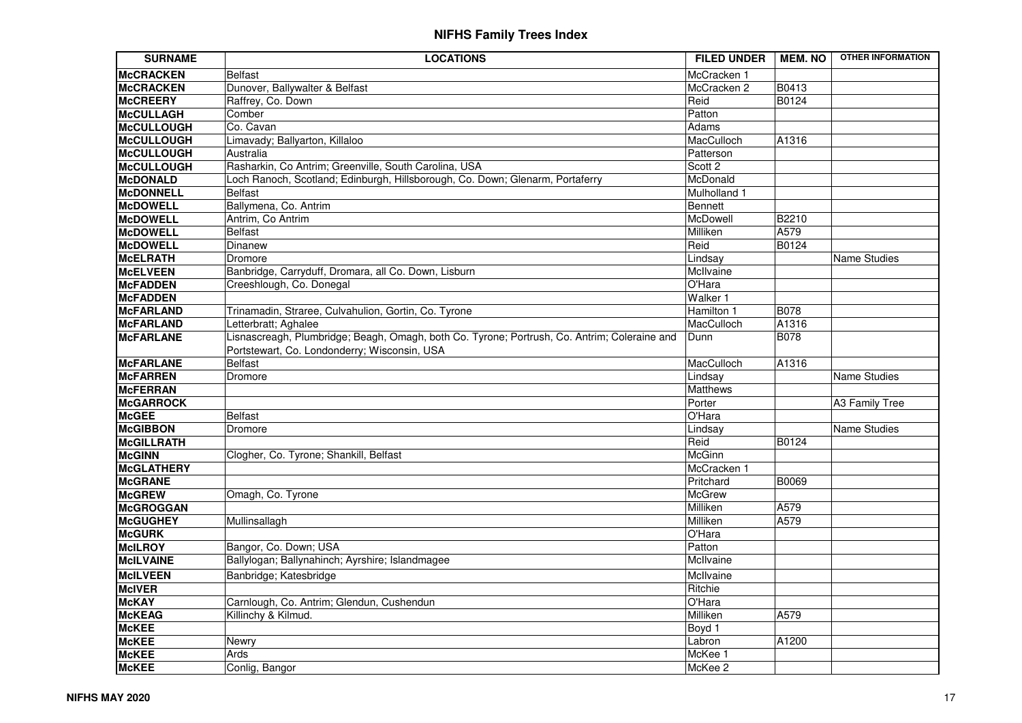| <b>SURNAME</b>    | <b>LOCATIONS</b>                                                                             | <b>FILED UNDER</b> | <b>MEM. NO</b> | <b>OTHER INFORMATION</b> |
|-------------------|----------------------------------------------------------------------------------------------|--------------------|----------------|--------------------------|
| McCRACKEN         | <b>Belfast</b>                                                                               | McCracken 1        |                |                          |
| <b>MCCRACKEN</b>  | Dunover, Ballywalter & Belfast                                                               | McCracken 2        | <b>B0413</b>   |                          |
| <b>McCREERY</b>   | Raffrey, Co. Down                                                                            | Reid               | B0124          |                          |
| <b>McCULLAGH</b>  | Comber                                                                                       | Patton             |                |                          |
| McCULLOUGH        | Co. Cavan                                                                                    | Adams              |                |                          |
| McCULLOUGH        | Limavady; Ballyarton, Killaloo                                                               | MacCulloch         | A1316          |                          |
| <b>McCULLOUGH</b> | Australia                                                                                    | Patterson          |                |                          |
| <b>McCULLOUGH</b> | Rasharkin, Co Antrim; Greenville, South Carolina, USA                                        | Scott 2            |                |                          |
| <b>McDONALD</b>   | Loch Ranoch, Scotland; Edinburgh, Hillsborough, Co. Down; Glenarm, Portaferry                | McDonald           |                |                          |
| <b>McDONNELL</b>  | <b>Belfast</b>                                                                               | Mulholland 1       |                |                          |
| <b>McDOWELL</b>   | Ballymena, Co. Antrim                                                                        | Bennett            |                |                          |
| <b>McDOWELL</b>   | Antrim, Co Antrim                                                                            | McDowell           | B2210          |                          |
| <b>McDOWELL</b>   | <b>Belfast</b>                                                                               | Milliken           | A579           |                          |
| <b>McDOWELL</b>   | Dinanew                                                                                      | Reid               | B0124          |                          |
| <b>McELRATH</b>   | Dromore                                                                                      | Lindsay            |                | <b>Name Studies</b>      |
| <b>McELVEEN</b>   | Banbridge, Carryduff, Dromara, all Co. Down, Lisburn                                         | McIlvaine          |                |                          |
| <b>McFADDEN</b>   | Creeshlough, Co. Donegal                                                                     | O'Hara             |                |                          |
| <b>McFADDEN</b>   |                                                                                              | Walker 1           |                |                          |
| <b>McFARLAND</b>  | Trinamadin, Straree, Culvahulion, Gortin, Co. Tyrone                                         | Hamilton 1         | <b>B078</b>    |                          |
| <b>McFARLAND</b>  | Letterbratt; Aghalee                                                                         | MacCulloch         | A1316          |                          |
| <b>McFARLANE</b>  | Lisnascreagh, Plumbridge; Beagh, Omagh, both Co. Tyrone; Portrush, Co. Antrim; Coleraine and | Dunn               | <b>B078</b>    |                          |
|                   | Portstewart, Co. Londonderry; Wisconsin, USA                                                 |                    |                |                          |
| <b>McFARLANE</b>  | <b>Belfast</b>                                                                               | MacCulloch         | A1316          |                          |
| <b>McFARREN</b>   | Dromore                                                                                      | Lindsay            |                | Name Studies             |
| <b>McFERRAN</b>   |                                                                                              | Matthews           |                |                          |
| <b>McGARROCK</b>  |                                                                                              | Porter             |                | A3 Family Tree           |
| <b>McGEE</b>      | <b>Belfast</b>                                                                               | O'Hara             |                |                          |
| <b>McGIBBON</b>   | Dromore                                                                                      | Lindsay            |                | <b>Name Studies</b>      |
| <b>McGILLRATH</b> |                                                                                              | Reid               | B0124          |                          |
| <b>McGINN</b>     | Clogher, Co. Tyrone; Shankill, Belfast                                                       | McGinn             |                |                          |
| McGLATHERY        |                                                                                              | McCracken 1        |                |                          |
| <b>McGRANE</b>    |                                                                                              | Pritchard          | B0069          |                          |
| <b>McGREW</b>     | Omagh, Co. Tyrone                                                                            | McGrew             |                |                          |
| <b>McGROGGAN</b>  |                                                                                              | Milliken           | A579           |                          |
| <b>McGUGHEY</b>   | Mullinsallagh                                                                                | Milliken           | A579           |                          |
| <b>McGURK</b>     |                                                                                              | O'Hara             |                |                          |
| <b>McILROY</b>    | Bangor, Co. Down; USA                                                                        | Patton             |                |                          |
| <b>McILVAINE</b>  | Ballylogan; Ballynahinch; Ayrshire; Islandmagee                                              | McIlvaine          |                |                          |
| <b>McILVEEN</b>   | Banbridge; Katesbridge                                                                       | McIlvaine          |                |                          |
| <b>McIVER</b>     |                                                                                              | Ritchie            |                |                          |
| <b>McKAY</b>      | Carnlough, Co. Antrim; Glendun, Cushendun                                                    | O'Hara             |                |                          |
| <b>McKEAG</b>     | Killinchy & Kilmud.                                                                          | Milliken           | A579           |                          |
| <b>McKEE</b>      |                                                                                              | Boyd 1             |                |                          |
| <b>McKEE</b>      | Newry                                                                                        | Labron             | A1200          |                          |
| <b>McKEE</b>      | Ards                                                                                         | McKee 1            |                |                          |
| <b>McKEE</b>      | Conlig, Bangor                                                                               | McKee 2            |                |                          |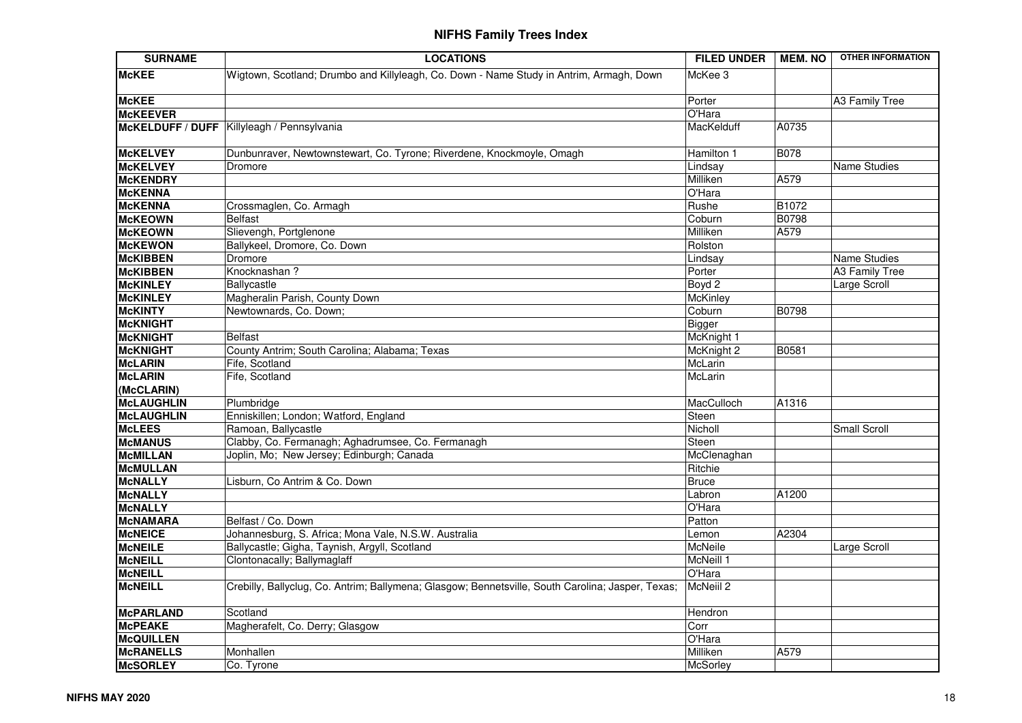| <b>SURNAME</b>                    | <b>LOCATIONS</b>                                                                                  | <b>FILED UNDER</b>          | <b>MEM. NO</b> | <b>OTHER INFORMATION</b> |
|-----------------------------------|---------------------------------------------------------------------------------------------------|-----------------------------|----------------|--------------------------|
| <b>McKEE</b>                      | Wigtown, Scotland; Drumbo and Killyleagh, Co. Down - Name Study in Antrim, Armagh, Down           | McKee 3                     |                |                          |
| <b>McKEE</b>                      |                                                                                                   | Porter                      |                | A3 Family Tree           |
| <b>McKEEVER</b>                   |                                                                                                   | O'Hara                      |                |                          |
|                                   | McKELDUFF / DUFF   Killyleagh / Pennsylvania                                                      | MacKelduff                  | A0735          |                          |
| <b>McKELVEY</b>                   | Dunbunraver, Newtownstewart, Co. Tyrone; Riverdene, Knockmoyle, Omagh                             | Hamilton 1                  | <b>B078</b>    |                          |
| <b>McKELVEY</b>                   | Dromore                                                                                           | Lindsay                     |                | <b>Name Studies</b>      |
| <b>McKENDRY</b>                   |                                                                                                   | Milliken                    | A579           |                          |
| <b>McKENNA</b>                    |                                                                                                   | O'Hara                      |                |                          |
| <b>McKENNA</b>                    | Crossmaglen, Co. Armagh                                                                           | Rushe                       | B1072          |                          |
| <b>McKEOWN</b>                    | <b>Belfast</b>                                                                                    | Coburn                      | <b>B0798</b>   |                          |
| <b>McKEOWN</b>                    | Slievengh, Portglenone                                                                            | Milliken                    | A579           |                          |
| <b>McKEWON</b>                    | Ballykeel, Dromore, Co. Down                                                                      | Rolston                     |                |                          |
| <b>McKIBBEN</b>                   | Dromore                                                                                           | Lindsay                     |                | Name Studies             |
| <b>McKIBBEN</b>                   | Knocknashan?                                                                                      | Porter                      |                | <b>A3 Family Tree</b>    |
| <b>McKINLEY</b>                   | Ballycastle                                                                                       | Boyd 2                      |                | Large Scroll             |
| <b>McKINLEY</b><br><b>McKINTY</b> | Magheralin Parish, County Down                                                                    | <b>McKinley</b>             | <b>B0798</b>   |                          |
| <b>McKNIGHT</b>                   | Newtownards, Co. Down;                                                                            | Coburn                      |                |                          |
| <b>McKNIGHT</b>                   | <b>Belfast</b>                                                                                    | <b>Bigger</b><br>McKnight 1 |                |                          |
| <b>McKNIGHT</b>                   | County Antrim; South Carolina; Alabama; Texas                                                     | McKnight 2                  | B0581          |                          |
| <b>McLARIN</b>                    | Fife, Scotland                                                                                    | McLarin                     |                |                          |
| <b>McLARIN</b>                    | Fife, Scotland                                                                                    | McLarin                     |                |                          |
| (McCLARIN)                        |                                                                                                   |                             |                |                          |
| <b>McLAUGHLIN</b>                 | Plumbridge                                                                                        | MacCulloch                  | A1316          |                          |
| <b>McLAUGHLIN</b>                 | Enniskillen; London; Watford, England                                                             | Steen                       |                |                          |
| <b>McLEES</b>                     | Ramoan, Ballycastle                                                                               | Nicholl                     |                | Small Scroll             |
| <b>McMANUS</b>                    | Clabby, Co. Fermanagh; Aghadrumsee, Co. Fermanagh                                                 | Steen                       |                |                          |
| <b>McMILLAN</b>                   | Joplin, Mo; New Jersey; Edinburgh; Canada                                                         | McClenaghan                 |                |                          |
| <b>McMULLAN</b>                   |                                                                                                   | Ritchie                     |                |                          |
| <b>McNALLY</b>                    | Lisburn, Co Antrim & Co. Down                                                                     | <b>Bruce</b>                |                |                          |
| <b>MCNALLY</b>                    |                                                                                                   | Labron                      | A1200          |                          |
| <b>McNALLY</b>                    |                                                                                                   | O'Hara                      |                |                          |
| <b>McNAMARA</b>                   | Belfast / Co. Down                                                                                | Patton                      |                |                          |
| <b>McNEICE</b>                    | Johannesburg, S. Africa; Mona Vale, N.S.W. Australia                                              | Lemon                       | A2304          |                          |
| <b>McNEILE</b>                    | Ballycastle; Gigha, Taynish, Argyll, Scotland                                                     | McNeile                     |                | Large Scroll             |
| <b>McNEILL</b>                    | Clontonacally; Ballymaglaff                                                                       | McNeill 1                   |                |                          |
| <b>McNEILL</b>                    |                                                                                                   | O'Hara                      |                |                          |
| <b>McNEILL</b>                    | Crebilly, Ballyclug, Co. Antrim; Ballymena; Glasgow; Bennetsville, South Carolina; Jasper, Texas; | McNeill 2                   |                |                          |
| <b>McPARLAND</b>                  | Scotland                                                                                          | Hendron                     |                |                          |
| <b>McPEAKE</b>                    | Magherafelt, Co. Derry; Glasgow                                                                   | Corr                        |                |                          |
| <b>McQUILLEN</b>                  |                                                                                                   | O'Hara                      |                |                          |
| <b>McRANELLS</b>                  | Monhallen                                                                                         | Milliken                    | A579           |                          |
| <b>McSORLEY</b>                   | Co. Tyrone                                                                                        | McSorley                    |                |                          |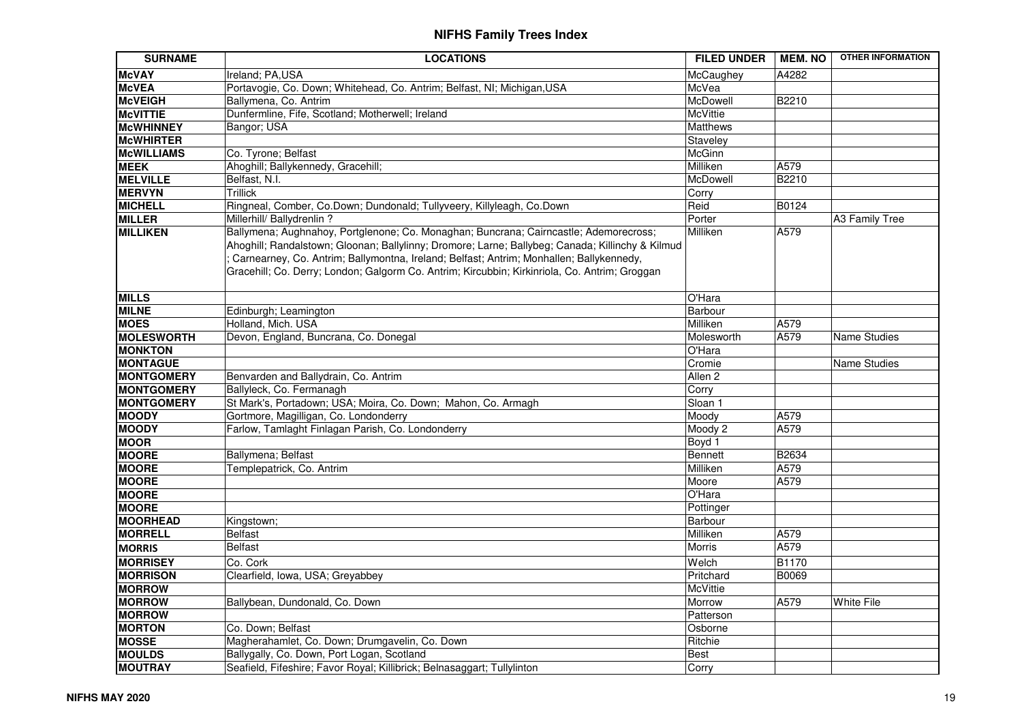| <b>SURNAME</b>    | <b>LOCATIONS</b>                                                                                                                                                                                                                                                                                                                                                                      | <b>FILED UNDER</b> | <b>MEM. NO</b> | <b>OTHER INFORMATION</b> |
|-------------------|---------------------------------------------------------------------------------------------------------------------------------------------------------------------------------------------------------------------------------------------------------------------------------------------------------------------------------------------------------------------------------------|--------------------|----------------|--------------------------|
| <b>McVAY</b>      | Ireland; PA, USA                                                                                                                                                                                                                                                                                                                                                                      | McCaughey          | A4282          |                          |
| <b>McVEA</b>      | Portavogie, Co. Down; Whitehead, Co. Antrim; Belfast, NI; Michigan, USA                                                                                                                                                                                                                                                                                                               | McVea              |                |                          |
| <b>McVEIGH</b>    | Ballymena, Co. Antrim                                                                                                                                                                                                                                                                                                                                                                 | McDowell           | <b>B2210</b>   |                          |
| <b>McVITTIE</b>   | Dunfermline, Fife, Scotland; Motherwell; Ireland                                                                                                                                                                                                                                                                                                                                      | McVittie           |                |                          |
| <b>McWHINNEY</b>  | Bangor; USA                                                                                                                                                                                                                                                                                                                                                                           | Matthews           |                |                          |
| <b>McWHIRTER</b>  |                                                                                                                                                                                                                                                                                                                                                                                       | Staveley           |                |                          |
| <b>McWILLIAMS</b> | Co. Tyrone; Belfast                                                                                                                                                                                                                                                                                                                                                                   | McGinn             |                |                          |
| <b>MEEK</b>       | Ahoghill; Ballykennedy, Gracehill;                                                                                                                                                                                                                                                                                                                                                    | Milliken           | A579           |                          |
| <b>MELVILLE</b>   | Belfast, N.I.                                                                                                                                                                                                                                                                                                                                                                         | McDowell           | <b>B2210</b>   |                          |
| <b>MERVYN</b>     | <b>Trillick</b>                                                                                                                                                                                                                                                                                                                                                                       | Corry              |                |                          |
| <b>MICHELL</b>    | Ringneal, Comber, Co.Down; Dundonald; Tullyveery, Killyleagh, Co.Down                                                                                                                                                                                                                                                                                                                 | Reid               | B0124          |                          |
| <b>MILLER</b>     | Millerhill/ Ballydrenlin?                                                                                                                                                                                                                                                                                                                                                             | Porter             |                | A3 Family Tree           |
| <b>MILLIKEN</b>   | Ballymena; Aughnahoy, Portglenone; Co. Monaghan; Buncrana; Cairncastle; Ademorecross;<br>Ahoghill; Randalstown; Gloonan; Ballylinny; Dromore; Larne; Ballybeg; Canada; Killinchy & Kilmud<br>Garnearney, Co. Antrim; Ballymontna, Ireland; Belfast; Antrim; Monhallen; Ballykennedy,<br>Gracehill; Co. Derry; London; Galgorm Co. Antrim; Kircubbin; Kirkinriola, Co. Antrim; Groggan | Milliken           | A579           |                          |
| <b>MILLS</b>      |                                                                                                                                                                                                                                                                                                                                                                                       | O'Hara             |                |                          |
| <b>MILNE</b>      | Edinburgh; Leamington                                                                                                                                                                                                                                                                                                                                                                 | Barbour            |                |                          |
| <b>MOES</b>       | Holland, Mich. USA                                                                                                                                                                                                                                                                                                                                                                    | Milliken           | A579           |                          |
| <b>MOLESWORTH</b> | Devon, England, Buncrana, Co. Donegal                                                                                                                                                                                                                                                                                                                                                 | Molesworth         | A579           | Name Studies             |
| <b>MONKTON</b>    |                                                                                                                                                                                                                                                                                                                                                                                       | O'Hara             |                |                          |
| <b>MONTAGUE</b>   |                                                                                                                                                                                                                                                                                                                                                                                       | Cromie             |                | <b>Name Studies</b>      |
| <b>MONTGOMERY</b> | Benvarden and Ballydrain, Co. Antrim                                                                                                                                                                                                                                                                                                                                                  | Allen <sub>2</sub> |                |                          |
| <b>MONTGOMERY</b> | Ballyleck, Co. Fermanagh                                                                                                                                                                                                                                                                                                                                                              | Corry              |                |                          |
| <b>MONTGOMERY</b> | St Mark's, Portadown; USA; Moira, Co. Down; Mahon, Co. Armagh                                                                                                                                                                                                                                                                                                                         | Sloan 1            |                |                          |
| <b>MOODY</b>      | Gortmore, Magilligan, Co. Londonderry                                                                                                                                                                                                                                                                                                                                                 | Moody              | A579           |                          |
| <b>MOODY</b>      | Farlow, Tamlaght Finlagan Parish, Co. Londonderry                                                                                                                                                                                                                                                                                                                                     | Moody 2            | A579           |                          |
| <b>MOOR</b>       |                                                                                                                                                                                                                                                                                                                                                                                       | Boyd 1             |                |                          |
| <b>MOORE</b>      | Ballymena; Belfast                                                                                                                                                                                                                                                                                                                                                                    | Bennett            | B2634          |                          |
| <b>MOORE</b>      | Templepatrick, Co. Antrim                                                                                                                                                                                                                                                                                                                                                             | Milliken           | A579           |                          |
| <b>MOORE</b>      |                                                                                                                                                                                                                                                                                                                                                                                       | Moore              | A579           |                          |
| <b>MOORE</b>      |                                                                                                                                                                                                                                                                                                                                                                                       | O'Hara             |                |                          |
| <b>MOORE</b>      |                                                                                                                                                                                                                                                                                                                                                                                       | Pottinger          |                |                          |
| <b>MOORHEAD</b>   | Kingstown;                                                                                                                                                                                                                                                                                                                                                                            | Barbour            |                |                          |
| <b>MORRELL</b>    | <b>Belfast</b>                                                                                                                                                                                                                                                                                                                                                                        | Milliken           | A579           |                          |
| <b>MORRIS</b>     | <b>Belfast</b>                                                                                                                                                                                                                                                                                                                                                                        | Morris             | A579           |                          |
| <b>MORRISEY</b>   | Co. Cork                                                                                                                                                                                                                                                                                                                                                                              | Welch              | <b>B1170</b>   |                          |
| <b>MORRISON</b>   | Clearfield, Iowa, USA; Greyabbey                                                                                                                                                                                                                                                                                                                                                      | Pritchard          | B0069          |                          |
| <b>MORROW</b>     |                                                                                                                                                                                                                                                                                                                                                                                       | McVittie           |                |                          |
| <b>MORROW</b>     | Ballybean, Dundonald, Co. Down                                                                                                                                                                                                                                                                                                                                                        | Morrow             | A579           | <b>White File</b>        |
| <b>MORROW</b>     |                                                                                                                                                                                                                                                                                                                                                                                       | Patterson          |                |                          |
| <b>MORTON</b>     | Co. Down; Belfast                                                                                                                                                                                                                                                                                                                                                                     | Osborne            |                |                          |
| <b>MOSSE</b>      | Magherahamlet, Co. Down; Drumgavelin, Co. Down                                                                                                                                                                                                                                                                                                                                        | Ritchie            |                |                          |
| <b>MOULDS</b>     | Ballygally, Co. Down, Port Logan, Scotland                                                                                                                                                                                                                                                                                                                                            | <b>Best</b>        |                |                          |
| <b>MOUTRAY</b>    | Seafield, Fifeshire; Favor Royal; Killibrick; Belnasaggart; Tullylinton                                                                                                                                                                                                                                                                                                               | Corry              |                |                          |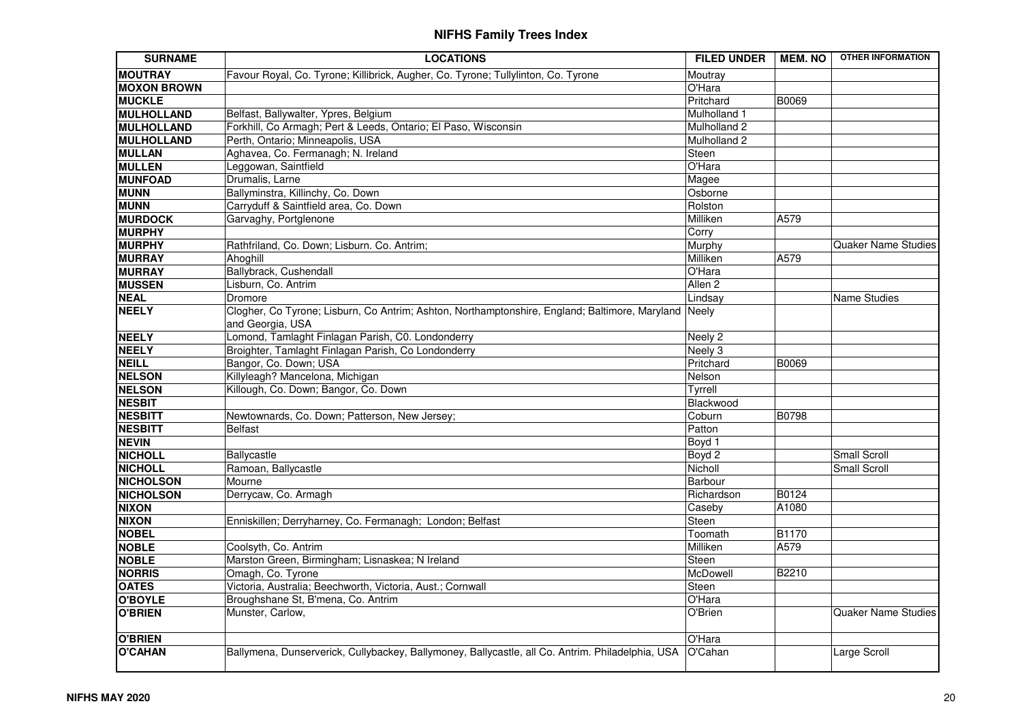| <b>SURNAME</b>                | <b>LOCATIONS</b>                                                                                 | <b>FILED UNDER</b> | <b>MEM. NO</b> | <b>OTHER INFORMATION</b>   |
|-------------------------------|--------------------------------------------------------------------------------------------------|--------------------|----------------|----------------------------|
| <b>MOUTRAY</b>                | Favour Royal, Co. Tyrone; Killibrick, Augher, Co. Tyrone; Tullylinton, Co. Tyrone                | Moutray            |                |                            |
| <b>MOXON BROWN</b>            |                                                                                                  | O'Hara             |                |                            |
| <b>MUCKLE</b>                 |                                                                                                  | Pritchard          | B0069          |                            |
| <b>MULHOLLAND</b>             | Belfast, Ballywalter, Ypres, Belgium                                                             | Mulholland 1       |                |                            |
| MULHOLLAND                    | Forkhill, Co Armagh; Pert & Leeds, Ontario; El Paso, Wisconsin                                   | Mulholland 2       |                |                            |
| MULHOLLAND                    | Perth, Ontario; Minneapolis, USA                                                                 | Mulholland 2       |                |                            |
| <b>MULLAN</b>                 | Aghavea, Co. Fermanagh; N. Ireland                                                               | Steen              |                |                            |
| <b>MULLEN</b>                 | Leggowan, Saintfield                                                                             | O'Hara             |                |                            |
| <b>MUNFOAD</b>                | Drumalis, Larne                                                                                  | Magee              |                |                            |
| <b>MUNN</b>                   | Ballyminstra, Killinchy, Co. Down                                                                | Osborne            |                |                            |
| <b>MUNN</b>                   | Carryduff & Saintfield area, Co. Down                                                            | Rolston            |                |                            |
| <b>MURDOCK</b>                | Garvaghy, Portglenone                                                                            | Milliken           | A579           |                            |
| <b>MURPHY</b>                 |                                                                                                  | Corry              |                |                            |
| <b>MURPHY</b>                 | Rathfriland, Co. Down; Lisburn. Co. Antrim;                                                      | Murphy             |                | <b>Quaker Name Studies</b> |
| <b>MURRAY</b>                 | Ahoghill                                                                                         | Milliken           | A579           |                            |
| <b>MURRAY</b>                 | Ballybrack, Cushendall                                                                           | O'Hara             |                |                            |
| <b>MUSSEN</b>                 | Lisburn, Co. Antrim                                                                              | Allen <sub>2</sub> |                |                            |
| <b>NEAL</b>                   | Dromore                                                                                          | Lindsay            |                | Name Studies               |
| <b>NEELY</b>                  | Clogher, Co Tyrone; Lisburn, Co Antrim; Ashton, Northamptonshire, England; Baltimore, Maryland   | Neely              |                |                            |
|                               | and Georgia, USA                                                                                 |                    |                |                            |
| <b>NEELY</b>                  | Lomond, Tamlaght Finlagan Parish, C0. Londonderry                                                | Neely 2            |                |                            |
| <b>NEELY</b>                  | Broighter, Tamlaght Finlagan Parish, Co Londonderry                                              | Neely 3            |                |                            |
| <b>NEILL</b>                  | Bangor, Co. Down; USA                                                                            | Pritchard          | B0069          |                            |
| <b>NELSON</b>                 | Killyleagh? Mancelona, Michigan                                                                  | Nelson             |                |                            |
| <b>NELSON</b>                 | Killough, Co. Down; Bangor, Co. Down                                                             | Tyrrell            |                |                            |
| <b>NESBIT</b>                 |                                                                                                  | Blackwood          |                |                            |
| <b>NESBITT</b>                | Newtownards, Co. Down; Patterson, New Jersey;                                                    | Coburn             | B0798          |                            |
| <b>NESBITT</b>                | <b>Belfast</b>                                                                                   | Patton             |                |                            |
| <b>NEVIN</b>                  |                                                                                                  | Boyd 1             |                |                            |
| <b>NICHOLL</b>                | Ballycastle                                                                                      | Boyd 2             |                | Small Scroll               |
| <b>NICHOLL</b>                | Ramoan, Ballycastle                                                                              | Nicholl            |                | <b>Small Scroll</b>        |
| <b>NICHOLSON</b>              | Mourne                                                                                           | Barbour            |                |                            |
| <b>NICHOLSON</b>              | Derrycaw, Co. Armagh                                                                             | Richardson         | <b>B0124</b>   |                            |
| <b>NIXON</b>                  |                                                                                                  | Caseby             | A1080          |                            |
| <b>NIXON</b>                  | Enniskillen; Derryharney, Co. Fermanagh; London; Belfast                                         | Steen              |                |                            |
| <b>NOBEL</b>                  |                                                                                                  | Toomath            | <b>B1170</b>   |                            |
| <b>NOBLE</b>                  | Coolsyth, Co. Antrim                                                                             | Milliken           | A579           |                            |
| <b>NOBLE</b><br><b>NORRIS</b> | Marston Green, Birmingham; Lisnaskea; N Ireland                                                  | Steen<br>McDowell  |                |                            |
|                               | Omagh, Co. Tyrone                                                                                |                    | <b>B2210</b>   |                            |
| <b>OATES</b>                  | Victoria, Australia; Beechworth, Victoria, Aust.; Cornwall                                       | Steen<br>O'Hara    |                |                            |
| O'BOYLE                       | Broughshane St, B'mena, Co. Antrim                                                               |                    |                |                            |
| O'BRIEN                       | Munster, Carlow,                                                                                 | O'Brien            |                | <b>Quaker Name Studies</b> |
| <b>O'BRIEN</b>                |                                                                                                  | O'Hara             |                |                            |
| <b>O'CAHAN</b>                | Ballymena, Dunserverick, Cullybackey, Ballymoney, Ballycastle, all Co. Antrim. Philadelphia, USA | O'Cahan            |                | Large Scroll               |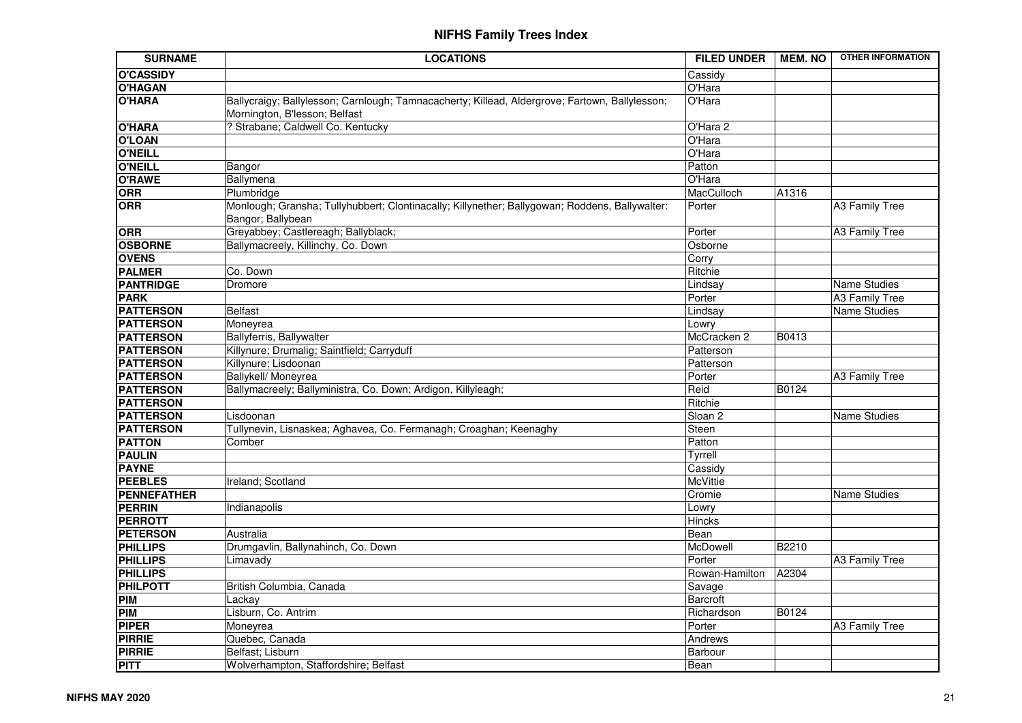| <b>SURNAME</b>     | <b>LOCATIONS</b>                                                                                                                | <b>FILED UNDER</b> | <b>MEM. NO</b> | <b>OTHER INFORMATION</b> |
|--------------------|---------------------------------------------------------------------------------------------------------------------------------|--------------------|----------------|--------------------------|
| <b>O'CASSIDY</b>   |                                                                                                                                 | Cassidy            |                |                          |
| <b>O'HAGAN</b>     |                                                                                                                                 | O'Hara             |                |                          |
| <b>O'HARA</b>      | Ballycraigy; Ballylesson; Carnlough; Tamnacacherty; Killead, Aldergrove; Fartown, Ballylesson;<br>Mornington, B'lesson; Belfast | O'Hara             |                |                          |
| <b>O'HARA</b>      | ? Strabane; Caldwell Co. Kentucky                                                                                               | O'Hara 2           |                |                          |
| <b>O'LOAN</b>      |                                                                                                                                 | O'Hara             |                |                          |
| <b>O'NEILL</b>     |                                                                                                                                 | O'Hara             |                |                          |
| <b>O'NEILL</b>     | Bangor                                                                                                                          | Patton             |                |                          |
| <b>O'RAWE</b>      | Ballymena                                                                                                                       | O'Hara             |                |                          |
| <b>ORR</b>         | Plumbridge                                                                                                                      | MacCulloch         | A1316          |                          |
| <b>ORR</b>         | Monlough; Gransha; Tullyhubbert; Clontinacally; Killynether; Ballygowan; Roddens, Ballywalter:<br>Bangor; Ballybean             | Porter             |                | <b>A3 Family Tree</b>    |
| <b>ORR</b>         | Greyabbey; Castlereagh; Ballyblack;                                                                                             | Porter             |                | A3 Family Tree           |
| <b>OSBORNE</b>     | Ballymacreely, Killinchy, Co. Down                                                                                              | Osborne            |                |                          |
| <b>OVENS</b>       |                                                                                                                                 | Corry              |                |                          |
| <b>PALMER</b>      | Co. Down                                                                                                                        | Ritchie            |                |                          |
| <b>PANTRIDGE</b>   | Dromore                                                                                                                         | Lindsay            |                | Name Studies             |
| <b>PARK</b>        |                                                                                                                                 | Porter             |                | <b>A3 Family Tree</b>    |
| <b>PATTERSON</b>   | <b>Belfast</b>                                                                                                                  | Lindsay            |                | <b>Name Studies</b>      |
| <b>PATTERSON</b>   | Moneyrea                                                                                                                        | Lowry              |                |                          |
| <b>PATTERSON</b>   | Ballyferris, Ballywalter                                                                                                        | McCracken 2        | B0413          |                          |
| <b>PATTERSON</b>   | Killynure; Drumalig; Saintfield; Carryduff                                                                                      | Patterson          |                |                          |
| <b>PATTERSON</b>   | Killynure; Lisdoonan                                                                                                            | Patterson          |                |                          |
| <b>PATTERSON</b>   | Ballykell/ Moneyrea                                                                                                             | Porter             |                | <b>A3 Family Tree</b>    |
| <b>PATTERSON</b>   | Ballymacreely; Ballyministra, Co. Down; Ardigon, Killyleagh;                                                                    | Reid               | B0124          |                          |
| <b>PATTERSON</b>   |                                                                                                                                 | Ritchie            |                |                          |
| <b>PATTERSON</b>   | Lisdoonan                                                                                                                       | Sloan <sub>2</sub> |                | Name Studies             |
| <b>PATTERSON</b>   | Tullynevin, Lisnaskea; Aghavea, Co. Fermanagh; Croaghan; Keenaghy                                                               | Steen              |                |                          |
| <b>PATTON</b>      | Comber                                                                                                                          | Patton             |                |                          |
| <b>PAULIN</b>      |                                                                                                                                 | Tyrrell            |                |                          |
| <b>PAYNE</b>       |                                                                                                                                 | Cassidy            |                |                          |
| <b>PEEBLES</b>     | Ireland; Scotland                                                                                                               | <b>McVittie</b>    |                |                          |
| <b>PENNEFATHER</b> |                                                                                                                                 | Cromie             |                | Name Studies             |
| <b>PERRIN</b>      | Indianapolis                                                                                                                    | Lowry              |                |                          |
| <b>PERROTT</b>     |                                                                                                                                 | Hincks             |                |                          |
| <b>PETERSON</b>    | Australia                                                                                                                       | Bean               |                |                          |
| <b>PHILLIPS</b>    | Drumgavlin, Ballynahinch, Co. Down                                                                                              | McDowell           | B2210          |                          |
| <b>PHILLIPS</b>    | Limavady                                                                                                                        | Porter             |                | <b>A3 Family Tree</b>    |
| <b>PHILLIPS</b>    |                                                                                                                                 | Rowan-Hamilton     | A2304          |                          |
| <b>PHILPOTT</b>    | British Columbia, Canada                                                                                                        | Savage             |                |                          |
| <b>PIM</b>         | Lackay                                                                                                                          | Barcroft           |                |                          |
| <b>PIM</b>         | Lisburn, Co. Antrim                                                                                                             | Richardson         | B0124          |                          |
| <b>PIPER</b>       | Moneyrea                                                                                                                        | Porter             |                | A3 Family Tree           |
| <b>PIRRIE</b>      | Quebec, Canada                                                                                                                  | Andrews            |                |                          |
| <b>PIRRIE</b>      | Belfast; Lisburn                                                                                                                | Barbour            |                |                          |
| <b>PITT</b>        | Wolverhampton, Staffordshire; Belfast                                                                                           | Bean               |                |                          |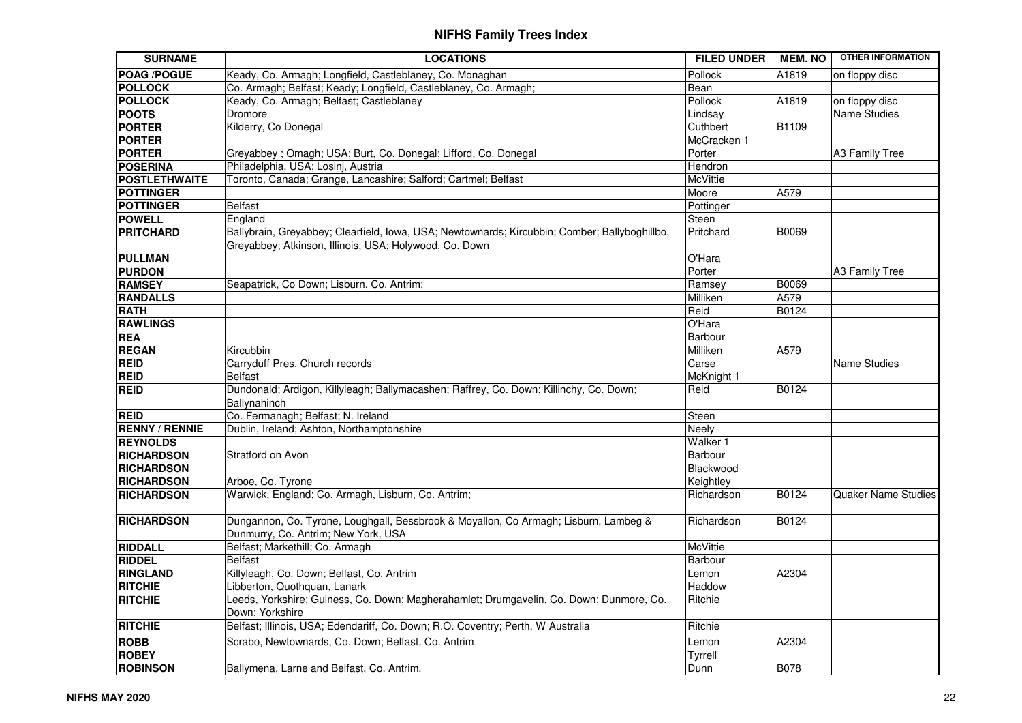| Keady, Co. Armagh; Longfield, Castleblaney, Co. Monaghan<br><b>POAG /POGUE</b><br>Pollock<br>A1819<br>on floppy disc<br><b>POLLOCK</b><br>Co. Armagh; Belfast; Keady; Longfield, Castleblaney, Co. Armagh;<br>Bean<br><b>POLLOCK</b><br>Keady, Co. Armagh; Belfast; Castleblaney<br>Pollock<br>on floppy disc<br>A1819<br><b>POOTS</b><br>Dromore<br>Name Studies<br>Lindsay<br>Kilderry, Co Donegal<br><b>PORTER</b><br>Cuthbert<br>B1109<br><b>PORTER</b><br>McCracken 1<br>Greyabbey ; Omagh; USA; Burt, Co. Donegal; Lifford, Co. Donegal<br>A3 Family Tree<br>Porter<br><b>PORTER</b><br><b>POSERINA</b><br>Philadelphia, USA; Losinj, Austria<br>Hendron<br>Toronto, Canada; Grange, Lancashire; Salford; Cartmel; Belfast<br><b>POSTLETHWAITE</b><br><b>McVittie</b><br>A579<br><b>POTTINGER</b><br>Moore<br><b>POTTINGER</b><br><b>Belfast</b><br>Pottinger<br>England<br><b>POWELL</b><br>Steen<br>Ballybrain, Greyabbey; Clearfield, Iowa, USA; Newtownards; Kircubbin; Comber; Ballyboghillbo,<br><b>PRITCHARD</b><br>Pritchard<br>B0069<br>Greyabbey; Atkinson, Illinois, USA; Holywood, Co. Down<br>O'Hara<br><b>PULLMAN</b><br><b>PURDON</b><br>Porter<br>A3 Family Tree<br><b>RAMSEY</b><br>Seapatrick, Co Down; Lisburn, Co. Antrim;<br>B0069<br>Ramsey<br><b>RANDALLS</b><br>Milliken<br>A579<br><b>RATH</b><br>Reid<br>B0124<br><b>RAWLINGS</b><br>O'Hara<br><b>REA</b><br>Barbour<br>A579<br><b>REGAN</b><br>Kircubbin<br>Milliken<br>Carryduff Pres. Church records<br>Carse<br>Name Studies<br><b>REID</b><br><b>REID</b><br><b>Belfast</b><br>McKnight 1<br><b>REID</b><br>Dundonald; Ardigon, Killyleagh; Ballymacashen; Raffrey, Co. Down; Killinchy, Co. Down;<br>Reid<br>B0124<br>Ballynahinch<br>Co. Fermanagh; Belfast; N. Ireland<br>Steen<br><b>REID</b><br>Dublin, Ireland; Ashton, Northamptonshire<br><b>RENNY / RENNIE</b><br>Neely<br><b>REYNOLDS</b><br>Walker 1<br><b>RICHARDSON</b><br>Stratford on Avon<br>Barbour<br>Blackwood<br><b>RICHARDSON</b><br><b>RICHARDSON</b><br>Arboe, Co. Tyrone<br>Keightley<br>Warwick, England; Co. Armagh, Lisburn, Co. Antrim;<br>B0124<br><b>RICHARDSON</b><br>Richardson<br><b>Quaker Name Studies</b><br>Dungannon, Co. Tyrone, Loughgall, Bessbrook & Moyallon, Co Armagh; Lisburn, Lambeg &<br><b>RICHARDSON</b><br>Richardson<br>B0124<br>Dunmurry, Co. Antrim; New York, USA<br><b>RIDDALL</b><br>Belfast; Markethill; Co. Armagh<br>McVittie<br><b>RIDDEL</b><br><b>Belfast</b><br>Barbour<br>Killyleagh, Co. Down; Belfast, Co. Antrim<br>A2304<br>Lemon<br>Haddow<br>Libberton, Quothquan, Lanark<br>Leeds, Yorkshire; Guiness, Co. Down; Magherahamlet; Drumgavelin, Co. Down; Dunmore, Co.<br>Ritchie<br>Down; Yorkshire<br><b>RITCHIE</b><br>Belfast; Illinois, USA; Edendariff, Co. Down; R.O. Coventry; Perth, W Australia<br>Ritchie<br><b>ROBB</b><br>Scrabo, Newtownards, Co. Down; Belfast, Co. Antrim<br>A2304<br>Lemon<br><b>ROBEY</b><br>Tyrrell<br><b>B078</b> | <b>SURNAME</b>  | <b>LOCATIONS</b>                          | <b>FILED UNDER</b> | <b>MEM. NO</b> | <b>OTHER INFORMATION</b> |
|-----------------------------------------------------------------------------------------------------------------------------------------------------------------------------------------------------------------------------------------------------------------------------------------------------------------------------------------------------------------------------------------------------------------------------------------------------------------------------------------------------------------------------------------------------------------------------------------------------------------------------------------------------------------------------------------------------------------------------------------------------------------------------------------------------------------------------------------------------------------------------------------------------------------------------------------------------------------------------------------------------------------------------------------------------------------------------------------------------------------------------------------------------------------------------------------------------------------------------------------------------------------------------------------------------------------------------------------------------------------------------------------------------------------------------------------------------------------------------------------------------------------------------------------------------------------------------------------------------------------------------------------------------------------------------------------------------------------------------------------------------------------------------------------------------------------------------------------------------------------------------------------------------------------------------------------------------------------------------------------------------------------------------------------------------------------------------------------------------------------------------------------------------------------------------------------------------------------------------------------------------------------------------------------------------------------------------------------------------------------------------------------------------------------------------------------------------------------------------------------------------------------------------------------------------------------------------------------------------------------------------------------------------------------------------------------------------------------------------------------------------------------------------------------------------------------------------------------------------------------------------------------------------------------------------------------------------------------|-----------------|-------------------------------------------|--------------------|----------------|--------------------------|
|                                                                                                                                                                                                                                                                                                                                                                                                                                                                                                                                                                                                                                                                                                                                                                                                                                                                                                                                                                                                                                                                                                                                                                                                                                                                                                                                                                                                                                                                                                                                                                                                                                                                                                                                                                                                                                                                                                                                                                                                                                                                                                                                                                                                                                                                                                                                                                                                                                                                                                                                                                                                                                                                                                                                                                                                                                                                                                                                                                 |                 |                                           |                    |                |                          |
|                                                                                                                                                                                                                                                                                                                                                                                                                                                                                                                                                                                                                                                                                                                                                                                                                                                                                                                                                                                                                                                                                                                                                                                                                                                                                                                                                                                                                                                                                                                                                                                                                                                                                                                                                                                                                                                                                                                                                                                                                                                                                                                                                                                                                                                                                                                                                                                                                                                                                                                                                                                                                                                                                                                                                                                                                                                                                                                                                                 |                 |                                           |                    |                |                          |
|                                                                                                                                                                                                                                                                                                                                                                                                                                                                                                                                                                                                                                                                                                                                                                                                                                                                                                                                                                                                                                                                                                                                                                                                                                                                                                                                                                                                                                                                                                                                                                                                                                                                                                                                                                                                                                                                                                                                                                                                                                                                                                                                                                                                                                                                                                                                                                                                                                                                                                                                                                                                                                                                                                                                                                                                                                                                                                                                                                 |                 |                                           |                    |                |                          |
|                                                                                                                                                                                                                                                                                                                                                                                                                                                                                                                                                                                                                                                                                                                                                                                                                                                                                                                                                                                                                                                                                                                                                                                                                                                                                                                                                                                                                                                                                                                                                                                                                                                                                                                                                                                                                                                                                                                                                                                                                                                                                                                                                                                                                                                                                                                                                                                                                                                                                                                                                                                                                                                                                                                                                                                                                                                                                                                                                                 |                 |                                           |                    |                |                          |
|                                                                                                                                                                                                                                                                                                                                                                                                                                                                                                                                                                                                                                                                                                                                                                                                                                                                                                                                                                                                                                                                                                                                                                                                                                                                                                                                                                                                                                                                                                                                                                                                                                                                                                                                                                                                                                                                                                                                                                                                                                                                                                                                                                                                                                                                                                                                                                                                                                                                                                                                                                                                                                                                                                                                                                                                                                                                                                                                                                 |                 |                                           |                    |                |                          |
|                                                                                                                                                                                                                                                                                                                                                                                                                                                                                                                                                                                                                                                                                                                                                                                                                                                                                                                                                                                                                                                                                                                                                                                                                                                                                                                                                                                                                                                                                                                                                                                                                                                                                                                                                                                                                                                                                                                                                                                                                                                                                                                                                                                                                                                                                                                                                                                                                                                                                                                                                                                                                                                                                                                                                                                                                                                                                                                                                                 |                 |                                           |                    |                |                          |
|                                                                                                                                                                                                                                                                                                                                                                                                                                                                                                                                                                                                                                                                                                                                                                                                                                                                                                                                                                                                                                                                                                                                                                                                                                                                                                                                                                                                                                                                                                                                                                                                                                                                                                                                                                                                                                                                                                                                                                                                                                                                                                                                                                                                                                                                                                                                                                                                                                                                                                                                                                                                                                                                                                                                                                                                                                                                                                                                                                 |                 |                                           |                    |                |                          |
|                                                                                                                                                                                                                                                                                                                                                                                                                                                                                                                                                                                                                                                                                                                                                                                                                                                                                                                                                                                                                                                                                                                                                                                                                                                                                                                                                                                                                                                                                                                                                                                                                                                                                                                                                                                                                                                                                                                                                                                                                                                                                                                                                                                                                                                                                                                                                                                                                                                                                                                                                                                                                                                                                                                                                                                                                                                                                                                                                                 |                 |                                           |                    |                |                          |
|                                                                                                                                                                                                                                                                                                                                                                                                                                                                                                                                                                                                                                                                                                                                                                                                                                                                                                                                                                                                                                                                                                                                                                                                                                                                                                                                                                                                                                                                                                                                                                                                                                                                                                                                                                                                                                                                                                                                                                                                                                                                                                                                                                                                                                                                                                                                                                                                                                                                                                                                                                                                                                                                                                                                                                                                                                                                                                                                                                 |                 |                                           |                    |                |                          |
|                                                                                                                                                                                                                                                                                                                                                                                                                                                                                                                                                                                                                                                                                                                                                                                                                                                                                                                                                                                                                                                                                                                                                                                                                                                                                                                                                                                                                                                                                                                                                                                                                                                                                                                                                                                                                                                                                                                                                                                                                                                                                                                                                                                                                                                                                                                                                                                                                                                                                                                                                                                                                                                                                                                                                                                                                                                                                                                                                                 |                 |                                           |                    |                |                          |
|                                                                                                                                                                                                                                                                                                                                                                                                                                                                                                                                                                                                                                                                                                                                                                                                                                                                                                                                                                                                                                                                                                                                                                                                                                                                                                                                                                                                                                                                                                                                                                                                                                                                                                                                                                                                                                                                                                                                                                                                                                                                                                                                                                                                                                                                                                                                                                                                                                                                                                                                                                                                                                                                                                                                                                                                                                                                                                                                                                 |                 |                                           |                    |                |                          |
|                                                                                                                                                                                                                                                                                                                                                                                                                                                                                                                                                                                                                                                                                                                                                                                                                                                                                                                                                                                                                                                                                                                                                                                                                                                                                                                                                                                                                                                                                                                                                                                                                                                                                                                                                                                                                                                                                                                                                                                                                                                                                                                                                                                                                                                                                                                                                                                                                                                                                                                                                                                                                                                                                                                                                                                                                                                                                                                                                                 |                 |                                           |                    |                |                          |
|                                                                                                                                                                                                                                                                                                                                                                                                                                                                                                                                                                                                                                                                                                                                                                                                                                                                                                                                                                                                                                                                                                                                                                                                                                                                                                                                                                                                                                                                                                                                                                                                                                                                                                                                                                                                                                                                                                                                                                                                                                                                                                                                                                                                                                                                                                                                                                                                                                                                                                                                                                                                                                                                                                                                                                                                                                                                                                                                                                 |                 |                                           |                    |                |                          |
|                                                                                                                                                                                                                                                                                                                                                                                                                                                                                                                                                                                                                                                                                                                                                                                                                                                                                                                                                                                                                                                                                                                                                                                                                                                                                                                                                                                                                                                                                                                                                                                                                                                                                                                                                                                                                                                                                                                                                                                                                                                                                                                                                                                                                                                                                                                                                                                                                                                                                                                                                                                                                                                                                                                                                                                                                                                                                                                                                                 |                 |                                           |                    |                |                          |
|                                                                                                                                                                                                                                                                                                                                                                                                                                                                                                                                                                                                                                                                                                                                                                                                                                                                                                                                                                                                                                                                                                                                                                                                                                                                                                                                                                                                                                                                                                                                                                                                                                                                                                                                                                                                                                                                                                                                                                                                                                                                                                                                                                                                                                                                                                                                                                                                                                                                                                                                                                                                                                                                                                                                                                                                                                                                                                                                                                 |                 |                                           |                    |                |                          |
|                                                                                                                                                                                                                                                                                                                                                                                                                                                                                                                                                                                                                                                                                                                                                                                                                                                                                                                                                                                                                                                                                                                                                                                                                                                                                                                                                                                                                                                                                                                                                                                                                                                                                                                                                                                                                                                                                                                                                                                                                                                                                                                                                                                                                                                                                                                                                                                                                                                                                                                                                                                                                                                                                                                                                                                                                                                                                                                                                                 |                 |                                           |                    |                |                          |
|                                                                                                                                                                                                                                                                                                                                                                                                                                                                                                                                                                                                                                                                                                                                                                                                                                                                                                                                                                                                                                                                                                                                                                                                                                                                                                                                                                                                                                                                                                                                                                                                                                                                                                                                                                                                                                                                                                                                                                                                                                                                                                                                                                                                                                                                                                                                                                                                                                                                                                                                                                                                                                                                                                                                                                                                                                                                                                                                                                 |                 |                                           |                    |                |                          |
|                                                                                                                                                                                                                                                                                                                                                                                                                                                                                                                                                                                                                                                                                                                                                                                                                                                                                                                                                                                                                                                                                                                                                                                                                                                                                                                                                                                                                                                                                                                                                                                                                                                                                                                                                                                                                                                                                                                                                                                                                                                                                                                                                                                                                                                                                                                                                                                                                                                                                                                                                                                                                                                                                                                                                                                                                                                                                                                                                                 |                 |                                           |                    |                |                          |
|                                                                                                                                                                                                                                                                                                                                                                                                                                                                                                                                                                                                                                                                                                                                                                                                                                                                                                                                                                                                                                                                                                                                                                                                                                                                                                                                                                                                                                                                                                                                                                                                                                                                                                                                                                                                                                                                                                                                                                                                                                                                                                                                                                                                                                                                                                                                                                                                                                                                                                                                                                                                                                                                                                                                                                                                                                                                                                                                                                 |                 |                                           |                    |                |                          |
|                                                                                                                                                                                                                                                                                                                                                                                                                                                                                                                                                                                                                                                                                                                                                                                                                                                                                                                                                                                                                                                                                                                                                                                                                                                                                                                                                                                                                                                                                                                                                                                                                                                                                                                                                                                                                                                                                                                                                                                                                                                                                                                                                                                                                                                                                                                                                                                                                                                                                                                                                                                                                                                                                                                                                                                                                                                                                                                                                                 |                 |                                           |                    |                |                          |
|                                                                                                                                                                                                                                                                                                                                                                                                                                                                                                                                                                                                                                                                                                                                                                                                                                                                                                                                                                                                                                                                                                                                                                                                                                                                                                                                                                                                                                                                                                                                                                                                                                                                                                                                                                                                                                                                                                                                                                                                                                                                                                                                                                                                                                                                                                                                                                                                                                                                                                                                                                                                                                                                                                                                                                                                                                                                                                                                                                 |                 |                                           |                    |                |                          |
|                                                                                                                                                                                                                                                                                                                                                                                                                                                                                                                                                                                                                                                                                                                                                                                                                                                                                                                                                                                                                                                                                                                                                                                                                                                                                                                                                                                                                                                                                                                                                                                                                                                                                                                                                                                                                                                                                                                                                                                                                                                                                                                                                                                                                                                                                                                                                                                                                                                                                                                                                                                                                                                                                                                                                                                                                                                                                                                                                                 |                 |                                           |                    |                |                          |
|                                                                                                                                                                                                                                                                                                                                                                                                                                                                                                                                                                                                                                                                                                                                                                                                                                                                                                                                                                                                                                                                                                                                                                                                                                                                                                                                                                                                                                                                                                                                                                                                                                                                                                                                                                                                                                                                                                                                                                                                                                                                                                                                                                                                                                                                                                                                                                                                                                                                                                                                                                                                                                                                                                                                                                                                                                                                                                                                                                 |                 |                                           |                    |                |                          |
|                                                                                                                                                                                                                                                                                                                                                                                                                                                                                                                                                                                                                                                                                                                                                                                                                                                                                                                                                                                                                                                                                                                                                                                                                                                                                                                                                                                                                                                                                                                                                                                                                                                                                                                                                                                                                                                                                                                                                                                                                                                                                                                                                                                                                                                                                                                                                                                                                                                                                                                                                                                                                                                                                                                                                                                                                                                                                                                                                                 |                 |                                           |                    |                |                          |
|                                                                                                                                                                                                                                                                                                                                                                                                                                                                                                                                                                                                                                                                                                                                                                                                                                                                                                                                                                                                                                                                                                                                                                                                                                                                                                                                                                                                                                                                                                                                                                                                                                                                                                                                                                                                                                                                                                                                                                                                                                                                                                                                                                                                                                                                                                                                                                                                                                                                                                                                                                                                                                                                                                                                                                                                                                                                                                                                                                 |                 |                                           |                    |                |                          |
|                                                                                                                                                                                                                                                                                                                                                                                                                                                                                                                                                                                                                                                                                                                                                                                                                                                                                                                                                                                                                                                                                                                                                                                                                                                                                                                                                                                                                                                                                                                                                                                                                                                                                                                                                                                                                                                                                                                                                                                                                                                                                                                                                                                                                                                                                                                                                                                                                                                                                                                                                                                                                                                                                                                                                                                                                                                                                                                                                                 |                 |                                           |                    |                |                          |
|                                                                                                                                                                                                                                                                                                                                                                                                                                                                                                                                                                                                                                                                                                                                                                                                                                                                                                                                                                                                                                                                                                                                                                                                                                                                                                                                                                                                                                                                                                                                                                                                                                                                                                                                                                                                                                                                                                                                                                                                                                                                                                                                                                                                                                                                                                                                                                                                                                                                                                                                                                                                                                                                                                                                                                                                                                                                                                                                                                 |                 |                                           |                    |                |                          |
|                                                                                                                                                                                                                                                                                                                                                                                                                                                                                                                                                                                                                                                                                                                                                                                                                                                                                                                                                                                                                                                                                                                                                                                                                                                                                                                                                                                                                                                                                                                                                                                                                                                                                                                                                                                                                                                                                                                                                                                                                                                                                                                                                                                                                                                                                                                                                                                                                                                                                                                                                                                                                                                                                                                                                                                                                                                                                                                                                                 |                 |                                           |                    |                |                          |
|                                                                                                                                                                                                                                                                                                                                                                                                                                                                                                                                                                                                                                                                                                                                                                                                                                                                                                                                                                                                                                                                                                                                                                                                                                                                                                                                                                                                                                                                                                                                                                                                                                                                                                                                                                                                                                                                                                                                                                                                                                                                                                                                                                                                                                                                                                                                                                                                                                                                                                                                                                                                                                                                                                                                                                                                                                                                                                                                                                 |                 |                                           |                    |                |                          |
|                                                                                                                                                                                                                                                                                                                                                                                                                                                                                                                                                                                                                                                                                                                                                                                                                                                                                                                                                                                                                                                                                                                                                                                                                                                                                                                                                                                                                                                                                                                                                                                                                                                                                                                                                                                                                                                                                                                                                                                                                                                                                                                                                                                                                                                                                                                                                                                                                                                                                                                                                                                                                                                                                                                                                                                                                                                                                                                                                                 |                 |                                           |                    |                |                          |
|                                                                                                                                                                                                                                                                                                                                                                                                                                                                                                                                                                                                                                                                                                                                                                                                                                                                                                                                                                                                                                                                                                                                                                                                                                                                                                                                                                                                                                                                                                                                                                                                                                                                                                                                                                                                                                                                                                                                                                                                                                                                                                                                                                                                                                                                                                                                                                                                                                                                                                                                                                                                                                                                                                                                                                                                                                                                                                                                                                 |                 |                                           |                    |                |                          |
|                                                                                                                                                                                                                                                                                                                                                                                                                                                                                                                                                                                                                                                                                                                                                                                                                                                                                                                                                                                                                                                                                                                                                                                                                                                                                                                                                                                                                                                                                                                                                                                                                                                                                                                                                                                                                                                                                                                                                                                                                                                                                                                                                                                                                                                                                                                                                                                                                                                                                                                                                                                                                                                                                                                                                                                                                                                                                                                                                                 |                 |                                           |                    |                |                          |
|                                                                                                                                                                                                                                                                                                                                                                                                                                                                                                                                                                                                                                                                                                                                                                                                                                                                                                                                                                                                                                                                                                                                                                                                                                                                                                                                                                                                                                                                                                                                                                                                                                                                                                                                                                                                                                                                                                                                                                                                                                                                                                                                                                                                                                                                                                                                                                                                                                                                                                                                                                                                                                                                                                                                                                                                                                                                                                                                                                 |                 |                                           |                    |                |                          |
|                                                                                                                                                                                                                                                                                                                                                                                                                                                                                                                                                                                                                                                                                                                                                                                                                                                                                                                                                                                                                                                                                                                                                                                                                                                                                                                                                                                                                                                                                                                                                                                                                                                                                                                                                                                                                                                                                                                                                                                                                                                                                                                                                                                                                                                                                                                                                                                                                                                                                                                                                                                                                                                                                                                                                                                                                                                                                                                                                                 |                 |                                           |                    |                |                          |
|                                                                                                                                                                                                                                                                                                                                                                                                                                                                                                                                                                                                                                                                                                                                                                                                                                                                                                                                                                                                                                                                                                                                                                                                                                                                                                                                                                                                                                                                                                                                                                                                                                                                                                                                                                                                                                                                                                                                                                                                                                                                                                                                                                                                                                                                                                                                                                                                                                                                                                                                                                                                                                                                                                                                                                                                                                                                                                                                                                 |                 |                                           |                    |                |                          |
|                                                                                                                                                                                                                                                                                                                                                                                                                                                                                                                                                                                                                                                                                                                                                                                                                                                                                                                                                                                                                                                                                                                                                                                                                                                                                                                                                                                                                                                                                                                                                                                                                                                                                                                                                                                                                                                                                                                                                                                                                                                                                                                                                                                                                                                                                                                                                                                                                                                                                                                                                                                                                                                                                                                                                                                                                                                                                                                                                                 | <b>RINGLAND</b> |                                           |                    |                |                          |
|                                                                                                                                                                                                                                                                                                                                                                                                                                                                                                                                                                                                                                                                                                                                                                                                                                                                                                                                                                                                                                                                                                                                                                                                                                                                                                                                                                                                                                                                                                                                                                                                                                                                                                                                                                                                                                                                                                                                                                                                                                                                                                                                                                                                                                                                                                                                                                                                                                                                                                                                                                                                                                                                                                                                                                                                                                                                                                                                                                 | <b>RITCHIE</b>  |                                           |                    |                |                          |
|                                                                                                                                                                                                                                                                                                                                                                                                                                                                                                                                                                                                                                                                                                                                                                                                                                                                                                                                                                                                                                                                                                                                                                                                                                                                                                                                                                                                                                                                                                                                                                                                                                                                                                                                                                                                                                                                                                                                                                                                                                                                                                                                                                                                                                                                                                                                                                                                                                                                                                                                                                                                                                                                                                                                                                                                                                                                                                                                                                 | <b>RITCHIE</b>  |                                           |                    |                |                          |
|                                                                                                                                                                                                                                                                                                                                                                                                                                                                                                                                                                                                                                                                                                                                                                                                                                                                                                                                                                                                                                                                                                                                                                                                                                                                                                                                                                                                                                                                                                                                                                                                                                                                                                                                                                                                                                                                                                                                                                                                                                                                                                                                                                                                                                                                                                                                                                                                                                                                                                                                                                                                                                                                                                                                                                                                                                                                                                                                                                 |                 |                                           |                    |                |                          |
|                                                                                                                                                                                                                                                                                                                                                                                                                                                                                                                                                                                                                                                                                                                                                                                                                                                                                                                                                                                                                                                                                                                                                                                                                                                                                                                                                                                                                                                                                                                                                                                                                                                                                                                                                                                                                                                                                                                                                                                                                                                                                                                                                                                                                                                                                                                                                                                                                                                                                                                                                                                                                                                                                                                                                                                                                                                                                                                                                                 |                 |                                           |                    |                |                          |
|                                                                                                                                                                                                                                                                                                                                                                                                                                                                                                                                                                                                                                                                                                                                                                                                                                                                                                                                                                                                                                                                                                                                                                                                                                                                                                                                                                                                                                                                                                                                                                                                                                                                                                                                                                                                                                                                                                                                                                                                                                                                                                                                                                                                                                                                                                                                                                                                                                                                                                                                                                                                                                                                                                                                                                                                                                                                                                                                                                 |                 |                                           |                    |                |                          |
|                                                                                                                                                                                                                                                                                                                                                                                                                                                                                                                                                                                                                                                                                                                                                                                                                                                                                                                                                                                                                                                                                                                                                                                                                                                                                                                                                                                                                                                                                                                                                                                                                                                                                                                                                                                                                                                                                                                                                                                                                                                                                                                                                                                                                                                                                                                                                                                                                                                                                                                                                                                                                                                                                                                                                                                                                                                                                                                                                                 | <b>ROBINSON</b> | Ballymena, Larne and Belfast, Co. Antrim. | Dunn               |                |                          |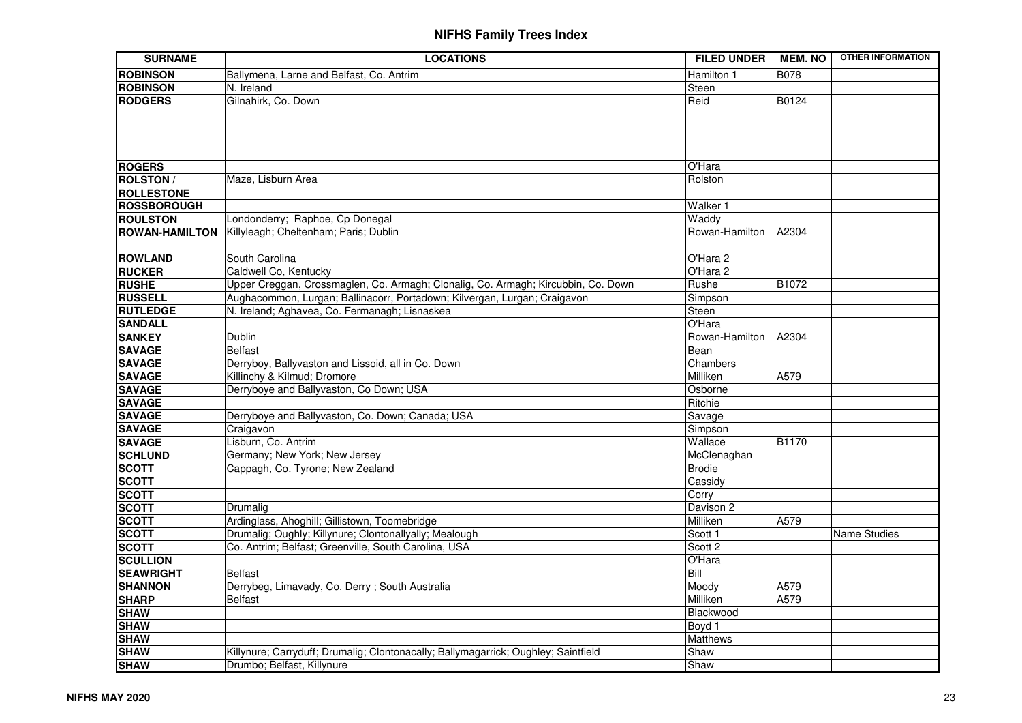| <b>SURNAME</b>     | <b>LOCATIONS</b>                                                                   | <b>FILED UNDER</b> | <b>MEM. NO</b> | <b>OTHER INFORMATION</b> |
|--------------------|------------------------------------------------------------------------------------|--------------------|----------------|--------------------------|
| <b>ROBINSON</b>    | Ballymena, Larne and Belfast, Co. Antrim                                           | Hamilton 1         | B078           |                          |
| <b>ROBINSON</b>    | N. Ireland                                                                         | <b>Steen</b>       |                |                          |
| <b>RODGERS</b>     | Gilnahirk, Co. Down                                                                | Reid               | B0124          |                          |
| <b>ROGERS</b>      |                                                                                    | O'Hara             |                |                          |
| <b>ROLSTON /</b>   | Maze, Lisburn Area                                                                 | Rolston            |                |                          |
| <b>ROLLESTONE</b>  |                                                                                    |                    |                |                          |
| <b>ROSSBOROUGH</b> |                                                                                    | Walker 1           |                |                          |
| <b>ROULSTON</b>    | Londonderry; Raphoe, Cp Donegal                                                    | Waddy              |                |                          |
|                    | ROWAN-HAMILTON Killyleagh; Cheltenham; Paris; Dublin                               | Rowan-Hamilton     | A2304          |                          |
| <b>ROWLAND</b>     | South Carolina                                                                     | O'Hara 2           |                |                          |
| <b>RUCKER</b>      | Caldwell Co, Kentucky                                                              | O'Hara 2           |                |                          |
| <b>RUSHE</b>       | Upper Creggan, Crossmaglen, Co. Armagh; Clonalig, Co. Armagh; Kircubbin, Co. Down  | Rushe              | B1072          |                          |
| <b>RUSSELL</b>     | Aughacommon, Lurgan; Ballinacorr, Portadown; Kilvergan, Lurgan; Craigavon          | Simpson            |                |                          |
| <b>RUTLEDGE</b>    | N. Ireland; Aghavea, Co. Fermanagh; Lisnaskea                                      | Steen              |                |                          |
| <b>SANDALL</b>     |                                                                                    | O'Hara             |                |                          |
| <b>SANKEY</b>      | Dublin                                                                             | Rowan-Hamilton     | A2304          |                          |
| <b>SAVAGE</b>      | <b>Belfast</b>                                                                     | Bean               |                |                          |
| <b>SAVAGE</b>      | Derryboy, Ballyvaston and Lissoid, all in Co. Down                                 | Chambers           |                |                          |
| <b>SAVAGE</b>      | Killinchy & Kilmud; Dromore                                                        | Milliken           | A579           |                          |
| <b>SAVAGE</b>      | Derryboye and Ballyvaston, Co Down; USA                                            | Osborne            |                |                          |
| <b>SAVAGE</b>      |                                                                                    | Ritchie            |                |                          |
| <b>SAVAGE</b>      | Derryboye and Ballyvaston, Co. Down; Canada; USA                                   | Savage             |                |                          |
| <b>SAVAGE</b>      | Craigavon                                                                          | Simpson            |                |                          |
| <b>SAVAGE</b>      | Lisburn, Co. Antrim                                                                | Wallace            | <b>B1170</b>   |                          |
| <b>SCHLUND</b>     | Germany; New York; New Jersey                                                      | McClenaghan        |                |                          |
| <b>SCOTT</b>       | Cappagh, Co. Tyrone; New Zealand                                                   | Brodie             |                |                          |
| <b>SCOTT</b>       |                                                                                    | Cassidy            |                |                          |
| <b>SCOTT</b>       |                                                                                    | Corry              |                |                          |
| <b>SCOTT</b>       | Drumalig                                                                           | Davison 2          |                |                          |
| <b>SCOTT</b>       | Ardinglass, Ahoghill; Gillistown, Toomebridge                                      | Milliken           | A579           |                          |
| <b>SCOTT</b>       | Drumalig; Oughly; Killynure; Clontonallyally; Mealough                             | Scott 1            |                | <b>Name Studies</b>      |
| <b>SCOTT</b>       | Co. Antrim; Belfast; Greenville, South Carolina, USA                               | Scott 2            |                |                          |
| <b>SCULLION</b>    |                                                                                    | O'Hara             |                |                          |
| <b>SEAWRIGHT</b>   | <b>Belfast</b>                                                                     | Bill               |                |                          |
| <b>SHANNON</b>     | Derrybeg, Limavady, Co. Derry; South Australia                                     | Moody              | A579           |                          |
| <b>SHARP</b>       | <b>Belfast</b>                                                                     | Milliken           | A579           |                          |
| <b>SHAW</b>        |                                                                                    | Blackwood          |                |                          |
| <b>SHAW</b>        |                                                                                    | Boyd 1             |                |                          |
| <b>SHAW</b>        |                                                                                    | Matthews           |                |                          |
| <b>SHAW</b>        | Killynure; Carryduff; Drumalig; Clontonacally; Ballymagarrick; Oughley; Saintfield | Shaw               |                |                          |
| <b>SHAW</b>        | Drumbo; Belfast, Killynure                                                         | Shaw               |                |                          |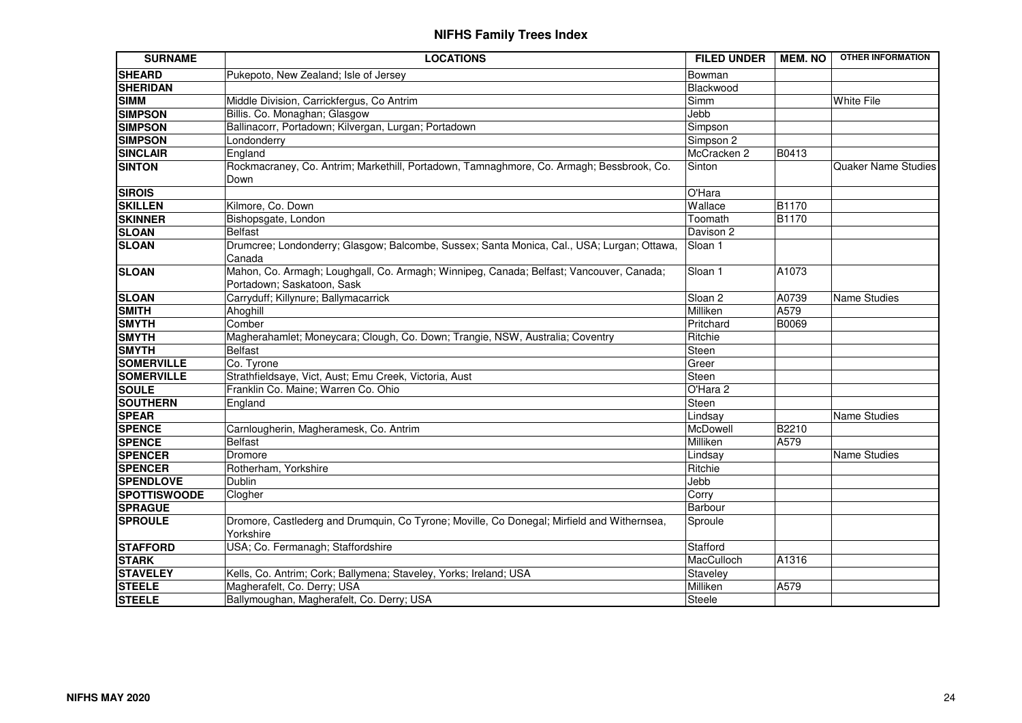| <b>SURNAME</b>      | <b>LOCATIONS</b>                                                                                                      | <b>FILED UNDER</b> | <b>MEM. NO</b> | <b>OTHER INFORMATION</b>   |
|---------------------|-----------------------------------------------------------------------------------------------------------------------|--------------------|----------------|----------------------------|
| <b>SHEARD</b>       | Pukepoto, New Zealand; Isle of Jersey                                                                                 | Bowman             |                |                            |
| <b>SHERIDAN</b>     |                                                                                                                       | Blackwood          |                |                            |
| <b>SIMM</b>         | Middle Division, Carrickfergus, Co Antrim                                                                             | Simm               |                | <b>White File</b>          |
| <b>SIMPSON</b>      | Billis. Co. Monaghan; Glasgow                                                                                         | Jebb               |                |                            |
| <b>SIMPSON</b>      | Ballinacorr, Portadown; Kilvergan, Lurgan; Portadown                                                                  | Simpson            |                |                            |
| <b>SIMPSON</b>      | Londonderry                                                                                                           | Simpson 2          |                |                            |
| <b>SINCLAIR</b>     | England                                                                                                               | McCracken 2        | B0413          |                            |
| <b>SINTON</b>       | Rockmacraney, Co. Antrim; Markethill, Portadown, Tamnaghmore, Co. Armagh; Bessbrook, Co.<br>Down                      | Sinton             |                | <b>Quaker Name Studies</b> |
| <b>SIROIS</b>       |                                                                                                                       | O'Hara             |                |                            |
| <b>SKILLEN</b>      | Kilmore, Co. Down                                                                                                     | Wallace            | <b>B1170</b>   |                            |
| <b>SKINNER</b>      | Bishopsgate, London                                                                                                   | Toomath            | <b>B1170</b>   |                            |
| <b>SLOAN</b>        | <b>Belfast</b>                                                                                                        | Davison 2          |                |                            |
| <b>SLOAN</b>        | Drumcree; Londonderry; Glasgow; Balcombe, Sussex; Santa Monica, Cal., USA; Lurgan; Ottawa,<br>Canada                  | Sloan 1            |                |                            |
| <b>SLOAN</b>        | Mahon, Co. Armagh; Loughgall, Co. Armagh; Winnipeg, Canada; Belfast; Vancouver, Canada;<br>Portadown; Saskatoon, Sask | Sloan 1            | A1073          |                            |
| <b>SLOAN</b>        | Carryduff; Killynure; Ballymacarrick                                                                                  | Sloan <sub>2</sub> | A0739          | Name Studies               |
| <b>SMITH</b>        | Ahoghill                                                                                                              | Milliken           | A579           |                            |
| <b>SMYTH</b>        | Comber                                                                                                                | Pritchard          | B0069          |                            |
| <b>SMYTH</b>        | Magherahamlet; Moneycara; Clough, Co. Down; Trangie, NSW, Australia; Coventry                                         | Ritchie            |                |                            |
| <b>SMYTH</b>        | <b>Belfast</b>                                                                                                        | Steen              |                |                            |
| <b>SOMERVILLE</b>   | Co. Tyrone                                                                                                            | Greer              |                |                            |
| <b>SOMERVILLE</b>   | Strathfieldsaye, Vict, Aust; Emu Creek, Victoria, Aust                                                                | Steen              |                |                            |
| <b>SOULE</b>        | Franklin Co. Maine; Warren Co. Ohio                                                                                   | O'Hara 2           |                |                            |
| <b>SOUTHERN</b>     | England                                                                                                               | Steen              |                |                            |
| <b>SPEAR</b>        |                                                                                                                       | Lindsay            |                | Name Studies               |
| <b>SPENCE</b>       | Carnlougherin, Magheramesk, Co. Antrim                                                                                | McDowell           | B2210          |                            |
| <b>SPENCE</b>       | <b>Belfast</b>                                                                                                        | Milliken           | A579           |                            |
| <b>SPENCER</b>      | Dromore                                                                                                               | Lindsay            |                | Name Studies               |
| <b>SPENCER</b>      | Rotherham, Yorkshire                                                                                                  | Ritchie            |                |                            |
| <b>SPENDLOVE</b>    | Dublin                                                                                                                | Jebb               |                |                            |
| <b>SPOTTISWOODE</b> | Clogher                                                                                                               | Corry              |                |                            |
| <b>SPRAGUE</b>      |                                                                                                                       | Barbour            |                |                            |
| <b>SPROULE</b>      | Dromore, Castlederg and Drumquin, Co Tyrone; Moville, Co Donegal; Mirfield and Withernsea,<br>Yorkshire               | Sproule            |                |                            |
| <b>STAFFORD</b>     | USA; Co. Fermanagh; Staffordshire                                                                                     | Stafford           |                |                            |
| <b>STARK</b>        |                                                                                                                       | MacCulloch         | A1316          |                            |
| <b>STAVELEY</b>     | Kells, Co. Antrim; Cork; Ballymena; Staveley, Yorks; Ireland; USA                                                     | Staveley           |                |                            |
| <b>STEELE</b>       | Magherafelt, Co. Derry; USA                                                                                           | Milliken           | A579           |                            |
| <b>STEELE</b>       | Ballymoughan, Magherafelt, Co. Derry; USA                                                                             | Steele             |                |                            |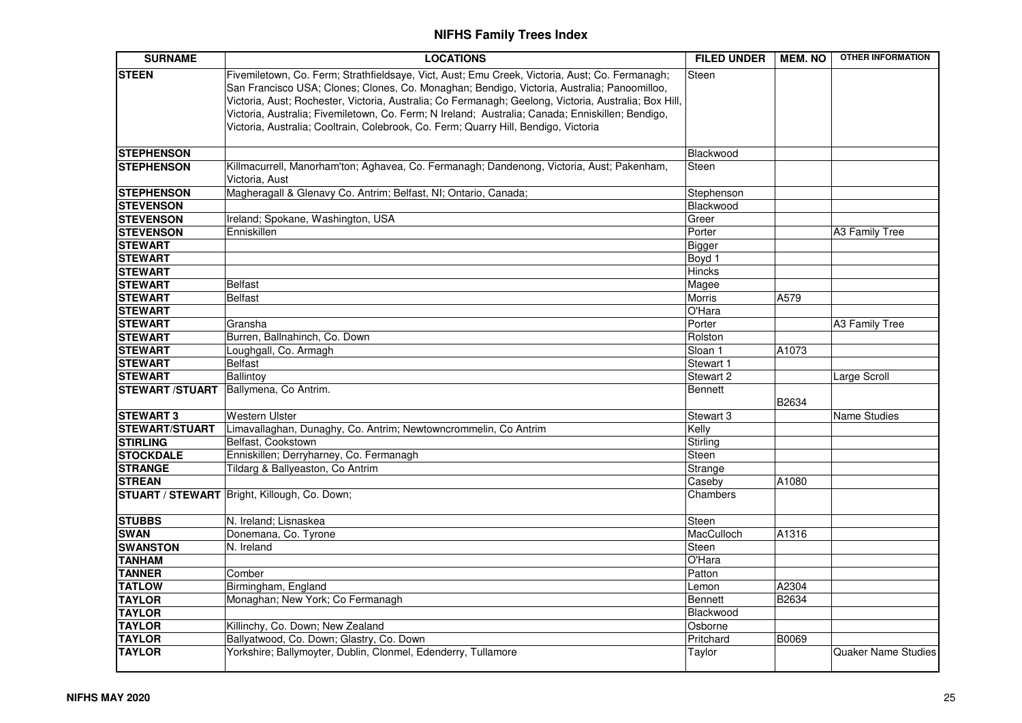| <b>SURNAME</b>                        | <b>LOCATIONS</b>                                                                                                                                                                                                                                                                                                                                                                                                                                                                                  | <b>FILED UNDER</b> | <b>MEM. NO</b> | <b>OTHER INFORMATION</b>   |
|---------------------------------------|---------------------------------------------------------------------------------------------------------------------------------------------------------------------------------------------------------------------------------------------------------------------------------------------------------------------------------------------------------------------------------------------------------------------------------------------------------------------------------------------------|--------------------|----------------|----------------------------|
| <b>STEEN</b>                          | Fivemiletown, Co. Ferm; Strathfieldsaye, Vict, Aust; Emu Creek, Victoria, Aust; Co. Fermanagh;<br>San Francisco USA; Clones; Clones, Co. Monaghan; Bendigo, Victoria, Australia; Panoomilloo,<br>Victoria, Aust; Rochester, Victoria, Australia; Co Fermanagh; Geelong, Victoria, Australia; Box Hill,<br>Victoria, Australia; Fivemiletown, Co. Ferm; N Ireland; Australia; Canada; Enniskillen; Bendigo,<br>Victoria, Australia; Cooltrain, Colebrook, Co. Ferm; Quarry Hill, Bendigo, Victoria | Steen              |                |                            |
| <b>STEPHENSON</b>                     |                                                                                                                                                                                                                                                                                                                                                                                                                                                                                                   | Blackwood          |                |                            |
| <b>STEPHENSON</b>                     | Killmacurrell, Manorham'ton; Aghavea, Co. Fermanagh; Dandenong, Victoria, Aust; Pakenham,<br>Victoria, Aust                                                                                                                                                                                                                                                                                                                                                                                       | <b>Steen</b>       |                |                            |
| <b>STEPHENSON</b>                     | Magheragall & Glenavy Co. Antrim; Belfast, NI; Ontario, Canada;                                                                                                                                                                                                                                                                                                                                                                                                                                   | Stephenson         |                |                            |
| <b>STEVENSON</b>                      |                                                                                                                                                                                                                                                                                                                                                                                                                                                                                                   | Blackwood          |                |                            |
| <b>STEVENSON</b>                      | Ireland; Spokane, Washington, USA                                                                                                                                                                                                                                                                                                                                                                                                                                                                 | Greer              |                |                            |
| <b>STEVENSON</b>                      | Enniskillen                                                                                                                                                                                                                                                                                                                                                                                                                                                                                       | Porter             |                | A3 Family Tree             |
| <b>STEWART</b>                        |                                                                                                                                                                                                                                                                                                                                                                                                                                                                                                   | Bigger             |                |                            |
| <b>STEWART</b>                        |                                                                                                                                                                                                                                                                                                                                                                                                                                                                                                   | Boyd 1             |                |                            |
| <b>STEWART</b>                        |                                                                                                                                                                                                                                                                                                                                                                                                                                                                                                   | <b>Hincks</b>      |                |                            |
| <b>STEWART</b>                        | Belfast                                                                                                                                                                                                                                                                                                                                                                                                                                                                                           | Magee              |                |                            |
| <b>STEWART</b>                        | <b>Belfast</b>                                                                                                                                                                                                                                                                                                                                                                                                                                                                                    | Morris             | A579           |                            |
| <b>STEWART</b>                        |                                                                                                                                                                                                                                                                                                                                                                                                                                                                                                   | O'Hara             |                |                            |
| <b>STEWART</b>                        | Gransha                                                                                                                                                                                                                                                                                                                                                                                                                                                                                           | Porter             |                | A3 Family Tree             |
| <b>STEWART</b>                        | Burren, Ballnahinch, Co. Down                                                                                                                                                                                                                                                                                                                                                                                                                                                                     | Rolston            |                |                            |
| <b>STEWART</b>                        | Loughgall, Co. Armagh                                                                                                                                                                                                                                                                                                                                                                                                                                                                             | Sloan 1            | A1073          |                            |
| <b>STEWART</b>                        | Belfast                                                                                                                                                                                                                                                                                                                                                                                                                                                                                           | Stewart 1          |                |                            |
| <b>STEWART</b>                        | Ballintoy                                                                                                                                                                                                                                                                                                                                                                                                                                                                                         | Stewart 2          |                | Large Scroll               |
| STEWART /STUART Ballymena, Co Antrim. |                                                                                                                                                                                                                                                                                                                                                                                                                                                                                                   | <b>Bennett</b>     | B2634          |                            |
| <b>STEWART 3</b>                      | <b>Western Ulster</b>                                                                                                                                                                                                                                                                                                                                                                                                                                                                             | Stewart 3          |                | <b>Name Studies</b>        |
| <b>STEWART/STUART</b>                 | Limavallaghan, Dunaghy, Co. Antrim; Newtowncrommelin, Co Antrim                                                                                                                                                                                                                                                                                                                                                                                                                                   | Kelly              |                |                            |
| <b>STIRLING</b>                       | Belfast, Cookstown                                                                                                                                                                                                                                                                                                                                                                                                                                                                                | Stirling           |                |                            |
| <b>STOCKDALE</b>                      | Enniskillen; Derryharney, Co. Fermanagh                                                                                                                                                                                                                                                                                                                                                                                                                                                           | Steen              |                |                            |
| <b>STRANGE</b>                        | Tildarg & Ballyeaston, Co Antrim                                                                                                                                                                                                                                                                                                                                                                                                                                                                  | Strange            |                |                            |
| <b>STREAN</b>                         |                                                                                                                                                                                                                                                                                                                                                                                                                                                                                                   | Caseby             | A1080          |                            |
|                                       | STUART / STEWART Bright, Killough, Co. Down;                                                                                                                                                                                                                                                                                                                                                                                                                                                      | Chambers           |                |                            |
| <b>STUBBS</b>                         | N. Ireland; Lisnaskea                                                                                                                                                                                                                                                                                                                                                                                                                                                                             | Steen              |                |                            |
| <b>SWAN</b>                           | Donemana, Co. Tyrone                                                                                                                                                                                                                                                                                                                                                                                                                                                                              | MacCulloch         | A1316          |                            |
| <b>SWANSTON</b>                       | N. Ireland                                                                                                                                                                                                                                                                                                                                                                                                                                                                                        | Steen              |                |                            |
| <b>TANHAM</b>                         |                                                                                                                                                                                                                                                                                                                                                                                                                                                                                                   | O'Hara             |                |                            |
| <b>TANNER</b>                         | Comber                                                                                                                                                                                                                                                                                                                                                                                                                                                                                            | Patton             |                |                            |
| <b>TATLOW</b>                         | Birmingham, England                                                                                                                                                                                                                                                                                                                                                                                                                                                                               | Lemon              | A2304          |                            |
| <b>TAYLOR</b>                         | Monaghan; New York; Co Fermanagh                                                                                                                                                                                                                                                                                                                                                                                                                                                                  | <b>Bennett</b>     | <b>B2634</b>   |                            |
| <b>TAYLOR</b>                         |                                                                                                                                                                                                                                                                                                                                                                                                                                                                                                   | Blackwood          |                |                            |
| <b>TAYLOR</b>                         | Killinchy, Co. Down; New Zealand                                                                                                                                                                                                                                                                                                                                                                                                                                                                  | Osborne            |                |                            |
| <b>TAYLOR</b>                         | Ballyatwood, Co. Down; Glastry, Co. Down                                                                                                                                                                                                                                                                                                                                                                                                                                                          | Pritchard          | B0069          |                            |
| <b>TAYLOR</b>                         | Yorkshire; Ballymoyter, Dublin, Clonmel, Edenderry, Tullamore                                                                                                                                                                                                                                                                                                                                                                                                                                     | Taylor             |                | <b>Quaker Name Studies</b> |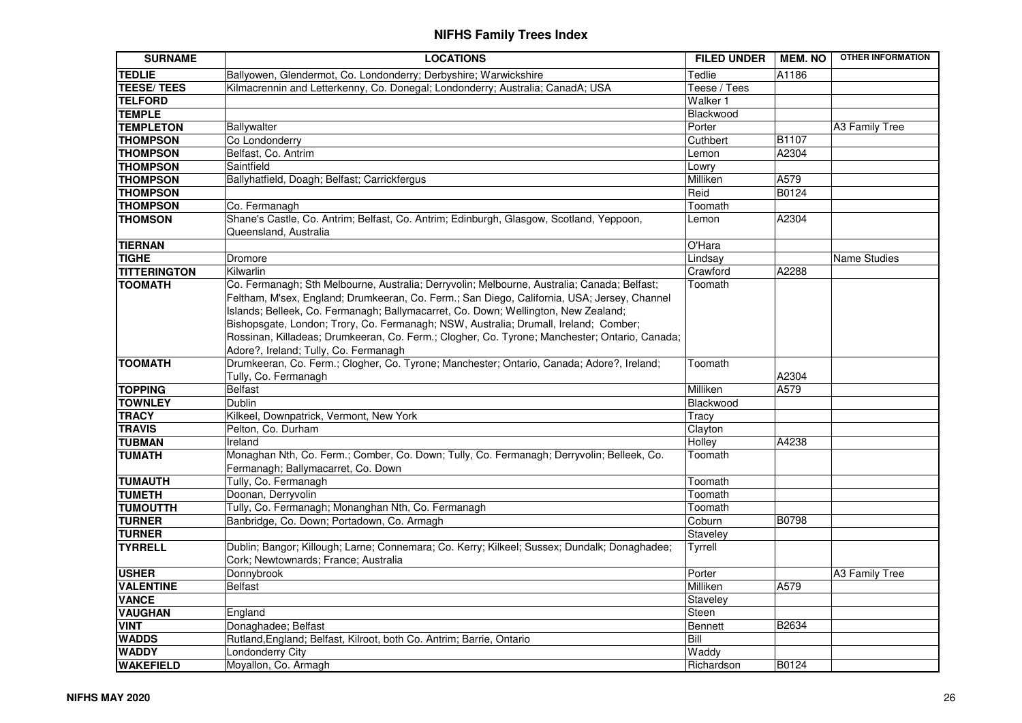| <b>SURNAME</b>      | <b>LOCATIONS</b>                                                                                                                                                                                                                                                                                                                                                                                                                                                                                                   | <b>FILED UNDER</b> | <b>MEM. NO</b> | <b>OTHER INFORMATION</b> |
|---------------------|--------------------------------------------------------------------------------------------------------------------------------------------------------------------------------------------------------------------------------------------------------------------------------------------------------------------------------------------------------------------------------------------------------------------------------------------------------------------------------------------------------------------|--------------------|----------------|--------------------------|
| <b>TEDLIE</b>       | Ballyowen, Glendermot, Co. Londonderry; Derbyshire; Warwickshire                                                                                                                                                                                                                                                                                                                                                                                                                                                   | Tedlie             | A1186          |                          |
| <b>TEESE/TEES</b>   | Kilmacrennin and Letterkenny, Co. Donegal; Londonderry; Australia; CanadA; USA                                                                                                                                                                                                                                                                                                                                                                                                                                     | Teese / Tees       |                |                          |
| <b>TELFORD</b>      |                                                                                                                                                                                                                                                                                                                                                                                                                                                                                                                    | Walker 1           |                |                          |
| <b>TEMPLE</b>       |                                                                                                                                                                                                                                                                                                                                                                                                                                                                                                                    | Blackwood          |                |                          |
| <b>TEMPLETON</b>    | Ballywalter                                                                                                                                                                                                                                                                                                                                                                                                                                                                                                        | Porter             |                | A3 Family Tree           |
| <b>THOMPSON</b>     | Co Londonderry                                                                                                                                                                                                                                                                                                                                                                                                                                                                                                     | Cuthbert           | <b>B1107</b>   |                          |
| <b>THOMPSON</b>     | Belfast, Co. Antrim                                                                                                                                                                                                                                                                                                                                                                                                                                                                                                | Lemon              | A2304          |                          |
| <b>THOMPSON</b>     | Saintfield                                                                                                                                                                                                                                                                                                                                                                                                                                                                                                         | Lowry              |                |                          |
| <b>THOMPSON</b>     | Ballyhatfield, Doagh; Belfast; Carrickfergus                                                                                                                                                                                                                                                                                                                                                                                                                                                                       | Milliken           | A579           |                          |
| <b>THOMPSON</b>     |                                                                                                                                                                                                                                                                                                                                                                                                                                                                                                                    | Reid               | <b>B0124</b>   |                          |
| <b>THOMPSON</b>     | Co. Fermanagh                                                                                                                                                                                                                                                                                                                                                                                                                                                                                                      | Toomath            |                |                          |
| <b>THOMSON</b>      | Shane's Castle, Co. Antrim; Belfast, Co. Antrim; Edinburgh, Glasgow, Scotland, Yeppoon,<br>Queensland, Australia                                                                                                                                                                                                                                                                                                                                                                                                   | Lemon              | A2304          |                          |
| <b>TIERNAN</b>      |                                                                                                                                                                                                                                                                                                                                                                                                                                                                                                                    | O'Hara             |                |                          |
| <b>TIGHE</b>        | Dromore                                                                                                                                                                                                                                                                                                                                                                                                                                                                                                            | Lindsay            |                | <b>Name Studies</b>      |
| <b>TITTERINGTON</b> | Kilwarlin                                                                                                                                                                                                                                                                                                                                                                                                                                                                                                          | Crawford           | A2288          |                          |
| <b>TOOMATH</b>      | Co. Fermanagh; Sth Melbourne, Australia; Derryvolin; Melbourne, Australia; Canada; Belfast;<br>Feltham, M'sex, England; Drumkeeran, Co. Ferm.; San Diego, California, USA; Jersey, Channel<br>Islands; Belleek, Co. Fermanagh; Ballymacarret, Co. Down; Wellington, New Zealand;<br>Bishopsgate, London; Trory, Co. Fermanagh; NSW, Australia; Drumall, Ireland; Comber;<br>Rossinan, Killadeas; Drumkeeran, Co. Ferm.; Clogher, Co. Tyrone; Manchester; Ontario, Canada;<br>Adore?, Ireland; Tully, Co. Fermanagh | Toomath            |                |                          |
| <b>TOOMATH</b>      | Drumkeeran, Co. Ferm.; Clogher, Co. Tyrone; Manchester; Ontario, Canada; Adore?, Ireland;<br>Tully, Co. Fermanagh                                                                                                                                                                                                                                                                                                                                                                                                  | Toomath            | A2304          |                          |
| <b>TOPPING</b>      | <b>Belfast</b>                                                                                                                                                                                                                                                                                                                                                                                                                                                                                                     | Milliken           | A579           |                          |
| <b>TOWNLEY</b>      | Dublin                                                                                                                                                                                                                                                                                                                                                                                                                                                                                                             | Blackwood          |                |                          |
| <b>TRACY</b>        | Kilkeel, Downpatrick, Vermont, New York                                                                                                                                                                                                                                                                                                                                                                                                                                                                            | Tracy              |                |                          |
| <b>TRAVIS</b>       | Pelton, Co. Durham                                                                                                                                                                                                                                                                                                                                                                                                                                                                                                 | Clayton            |                |                          |
| <b>TUBMAN</b>       | Ireland                                                                                                                                                                                                                                                                                                                                                                                                                                                                                                            | Holley             | A4238          |                          |
| <b>TUMATH</b>       | Monaghan Nth, Co. Ferm.; Comber, Co. Down; Tully, Co. Fermanagh; Derryvolin; Belleek, Co.<br>Fermanagh; Ballymacarret, Co. Down                                                                                                                                                                                                                                                                                                                                                                                    | Toomath            |                |                          |
| <b>TUMAUTH</b>      | Tully, Co. Fermanagh                                                                                                                                                                                                                                                                                                                                                                                                                                                                                               | Toomath            |                |                          |
| <b>TUMETH</b>       | Doonan, Derryvolin                                                                                                                                                                                                                                                                                                                                                                                                                                                                                                 | Toomath            |                |                          |
| <b>TUMOUTTH</b>     | Tully, Co. Fermanagh; Monanghan Nth, Co. Fermanagh                                                                                                                                                                                                                                                                                                                                                                                                                                                                 | Toomath            |                |                          |
| <b>TURNER</b>       | Banbridge, Co. Down; Portadown, Co. Armagh                                                                                                                                                                                                                                                                                                                                                                                                                                                                         | Coburn             | B0798          |                          |
| <b>TURNER</b>       |                                                                                                                                                                                                                                                                                                                                                                                                                                                                                                                    | Staveley           |                |                          |
| <b>TYRRELL</b>      | Dublin; Bangor; Killough; Larne; Connemara; Co. Kerry; Kilkeel; Sussex; Dundalk; Donaghadee;<br>Cork; Newtownards; France; Australia                                                                                                                                                                                                                                                                                                                                                                               | Tyrrell            |                |                          |
| <b>USHER</b>        | Donnybrook                                                                                                                                                                                                                                                                                                                                                                                                                                                                                                         | Porter             |                | A3 Family Tree           |
| <b>VALENTINE</b>    | <b>Belfast</b>                                                                                                                                                                                                                                                                                                                                                                                                                                                                                                     | Milliken           | A579           |                          |
| <b>VANCE</b>        |                                                                                                                                                                                                                                                                                                                                                                                                                                                                                                                    | Staveley           |                |                          |
| <b>VAUGHAN</b>      | England                                                                                                                                                                                                                                                                                                                                                                                                                                                                                                            | Steen              |                |                          |
| <b>VINT</b>         | Donaghadee; Belfast                                                                                                                                                                                                                                                                                                                                                                                                                                                                                                | <b>Bennett</b>     | B2634          |                          |
| <b>WADDS</b>        | Rutland, England; Belfast, Kilroot, both Co. Antrim; Barrie, Ontario                                                                                                                                                                                                                                                                                                                                                                                                                                               | Bill               |                |                          |
| <b>WADDY</b>        | Londonderry City                                                                                                                                                                                                                                                                                                                                                                                                                                                                                                   | Waddy              |                |                          |
| <b>WAKEFIELD</b>    | Moyallon, Co. Armagh                                                                                                                                                                                                                                                                                                                                                                                                                                                                                               | Richardson         | B0124          |                          |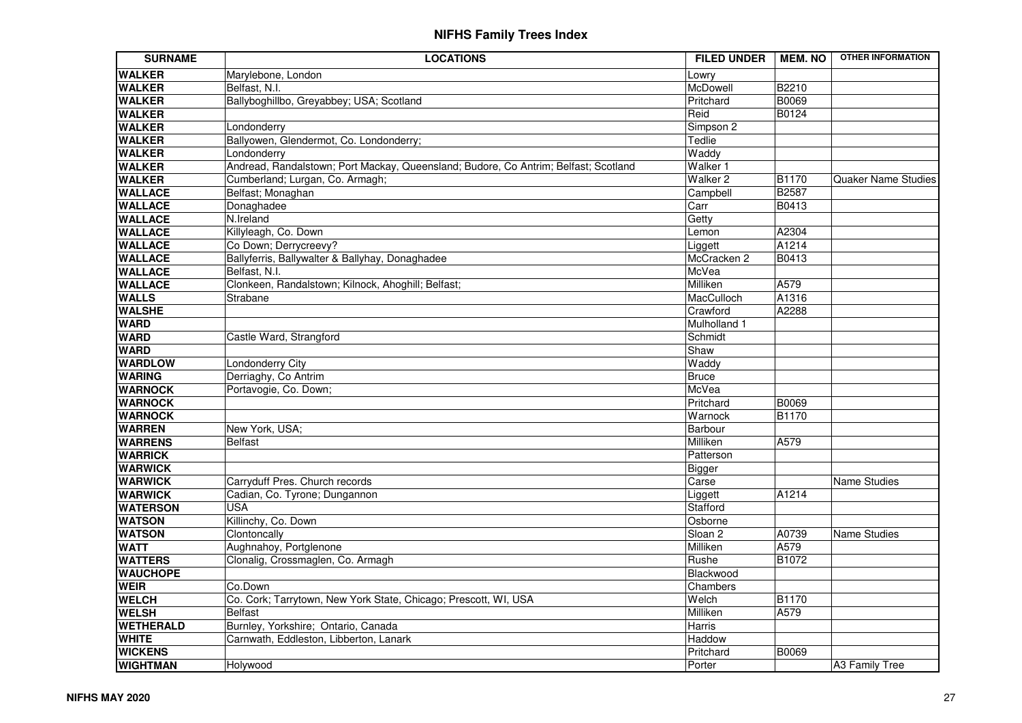| <b>SURNAME</b>                   | <b>LOCATIONS</b>                                                                    | <b>FILED UNDER</b>  | <b>MEM. NO</b> | <b>OTHER INFORMATION</b>   |
|----------------------------------|-------------------------------------------------------------------------------------|---------------------|----------------|----------------------------|
| <b>WALKER</b>                    | Marylebone, London                                                                  | Lowry               |                |                            |
| <b>WALKER</b>                    | Belfast, N.I.                                                                       | McDowell            | B2210          |                            |
| <b>WALKER</b>                    | Ballyboghillbo, Greyabbey; USA; Scotland                                            | Pritchard           | <b>B0069</b>   |                            |
| <b>WALKER</b>                    |                                                                                     | Reid                | B0124          |                            |
| <b>WALKER</b>                    | Londonderry                                                                         | Simpson 2           |                |                            |
| <b>WALKER</b>                    | Ballyowen, Glendermot, Co. Londonderry;                                             | Tedlie              |                |                            |
| <b>WALKER</b>                    | Londonderry                                                                         | Waddy               |                |                            |
| <b>WALKER</b>                    | Andread, Randalstown; Port Mackay, Queensland; Budore, Co Antrim; Belfast; Scotland | Walker 1            |                |                            |
| <b>WALKER</b>                    | Cumberland; Lurgan, Co. Armagh;                                                     | Walker <sub>2</sub> | <b>B1170</b>   | <b>Quaker Name Studies</b> |
| <b>WALLACE</b>                   | Belfast; Monaghan                                                                   | Campbell            | <b>B2587</b>   |                            |
| <b>WALLACE</b>                   | Donaghadee                                                                          | Carr                | B0413          |                            |
| <b>WALLACE</b>                   | N.Ireland                                                                           | Getty               |                |                            |
| <b>WALLACE</b>                   | Killyleagh, Co. Down                                                                | Lemon               | A2304          |                            |
| <b>WALLACE</b>                   | Co Down; Derrycreevy?                                                               | Liggett             | A1214          |                            |
| <b>WALLACE</b>                   | Ballyferris, Ballywalter & Ballyhay, Donaghadee                                     | McCracken 2         | <b>B0413</b>   |                            |
| <b>WALLACE</b>                   | Belfast, N.I.                                                                       | McVea               |                |                            |
| <b>WALLACE</b>                   | Clonkeen, Randalstown; Kilnock, Ahoghill; Belfast;                                  | Milliken            | A579           |                            |
| <b>WALLS</b>                     | Strabane                                                                            | MacCulloch          | A1316          |                            |
| <b>WALSHE</b>                    |                                                                                     | Crawford            | A2288          |                            |
| <b>WARD</b>                      |                                                                                     | Mulholland 1        |                |                            |
| <b>WARD</b>                      | Castle Ward, Strangford                                                             | Schmidt             |                |                            |
| <b>WARD</b>                      |                                                                                     | Shaw                |                |                            |
| <b>WARDLOW</b>                   | Londonderry City                                                                    | Waddy               |                |                            |
| <b>WARING</b>                    | Derriaghy, Co Antrim                                                                | <b>Bruce</b>        |                |                            |
| <b>WARNOCK</b>                   | Portavogie, Co. Down;                                                               | McVea               |                |                            |
| <b>WARNOCK</b>                   |                                                                                     | Pritchard           | B0069          |                            |
| <b>WARNOCK</b>                   |                                                                                     | Warnock             | <b>B1170</b>   |                            |
| <b>WARREN</b>                    | New York, USA;                                                                      | Barbour             |                |                            |
| <b>WARRENS</b>                   | <b>Belfast</b>                                                                      | Milliken            | A579           |                            |
| <b>WARRICK</b>                   |                                                                                     | Patterson           |                |                            |
| <b>WARWICK</b>                   |                                                                                     | Bigger              |                |                            |
| <b>WARWICK</b>                   | Carryduff Pres. Church records                                                      | Carse               |                | <b>Name Studies</b>        |
| <b>WARWICK</b>                   | Cadian, Co. Tyrone; Dungannon                                                       | Liggett             | A1214          |                            |
| <b>WATERSON</b>                  | <b>USA</b>                                                                          | Stafford            |                |                            |
| <b>WATSON</b>                    | Killinchy, Co. Down                                                                 | Osborne             |                |                            |
| <b>WATSON</b>                    | Clontoncally                                                                        | Sloan <sub>2</sub>  | A0739          | Name Studies               |
| <b>WATT</b>                      | Aughnahoy, Portglenone                                                              | Milliken            | A579           |                            |
| <b>WATTERS</b>                   | Clonalig, Crossmaglen, Co. Armagh                                                   | Rushe               | B1072          |                            |
| <b>WAUCHOPE</b>                  |                                                                                     | Blackwood           |                |                            |
| <b>WEIR</b>                      | Co.Down                                                                             | Chambers            | <b>B1170</b>   |                            |
| <b>WELCH</b>                     | Co. Cork; Tarrytown, New York State, Chicago; Prescott, WI, USA                     | Welch               |                |                            |
| <b>WELSH</b>                     | <b>Belfast</b>                                                                      | Milliken            | A579           |                            |
| <b>WETHERALD</b><br><b>WHITE</b> | Burnley, Yorkshire; Ontario, Canada                                                 | Harris              |                |                            |
|                                  | Carnwath, Eddleston, Libberton, Lanark                                              | Haddow              |                |                            |
| <b>WICKENS</b>                   |                                                                                     | Pritchard           | B0069          |                            |
| <b>WIGHTMAN</b>                  | Holywood                                                                            | Porter              |                | A3 Family Tree             |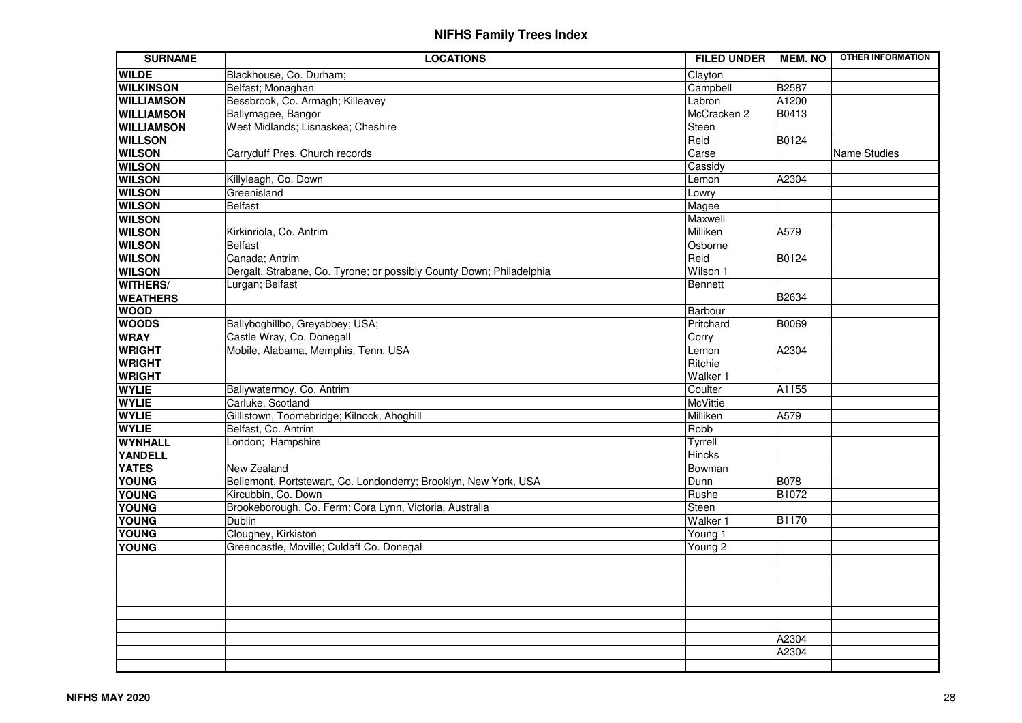| <b>SURNAME</b>    | <b>LOCATIONS</b>                                                     | <b>FILED UNDER</b> | <b>MEM. NO</b> | <b>OTHER INFORMATION</b> |
|-------------------|----------------------------------------------------------------------|--------------------|----------------|--------------------------|
| <b>WILDE</b>      | Blackhouse, Co. Durham;                                              | Clayton            |                |                          |
| <b>WILKINSON</b>  | Belfast; Monaghan                                                    | Campbell           | <b>B2587</b>   |                          |
| <b>WILLIAMSON</b> | Bessbrook, Co. Armagh; Killeavey                                     | Labron             | A1200          |                          |
| <b>WILLIAMSON</b> | Ballymagee, Bangor                                                   | McCracken 2        | B0413          |                          |
| <b>WILLIAMSON</b> | West Midlands; Lisnaskea; Cheshire                                   | Steen              |                |                          |
| <b>WILLSON</b>    |                                                                      | Reid               | <b>B0124</b>   |                          |
| <b>WILSON</b>     | Carryduff Pres. Church records                                       | Carse              |                | Name Studies             |
| <b>WILSON</b>     |                                                                      | Cassidy            |                |                          |
| <b>WILSON</b>     | Killyleagh, Co. Down                                                 | Lemon              | A2304          |                          |
| <b>WILSON</b>     | Greenisland                                                          | Lowry              |                |                          |
| <b>WILSON</b>     | <b>Belfast</b>                                                       | Magee              |                |                          |
| <b>WILSON</b>     |                                                                      | Maxwell            |                |                          |
| <b>WILSON</b>     | Kirkinriola, Co. Antrim                                              | Milliken           | A579           |                          |
| <b>WILSON</b>     | <b>Belfast</b>                                                       | Osborne            |                |                          |
| <b>WILSON</b>     | Canada; Antrim                                                       | Reid               | B0124          |                          |
| <b>WILSON</b>     | Dergalt, Strabane, Co. Tyrone; or possibly County Down; Philadelphia | Wilson 1           |                |                          |
| <b>WITHERS/</b>   | Lurgan; Belfast                                                      | Bennett            |                |                          |
| <b>WEATHERS</b>   |                                                                      |                    | <b>B2634</b>   |                          |
| <b>WOOD</b>       |                                                                      | Barbour            |                |                          |
| <b>WOODS</b>      | Ballyboghillbo, Greyabbey; USA;                                      | Pritchard          | B0069          |                          |
| <b>WRAY</b>       | Castle Wray, Co. Donegall                                            | Corry              |                |                          |
| <b>WRIGHT</b>     | Mobile, Alabama, Memphis, Tenn, USA                                  | Lemon              | A2304          |                          |
| <b>WRIGHT</b>     |                                                                      | Ritchie            |                |                          |
| <b>WRIGHT</b>     |                                                                      | Walker 1           |                |                          |
| <b>WYLIE</b>      | Ballywatermoy, Co. Antrim                                            | Coulter            | A1155          |                          |
| <b>WYLIE</b>      | Carluke, Scotland                                                    | <b>McVittie</b>    |                |                          |
| <b>WYLIE</b>      | Gillistown, Toomebridge; Kilnock, Ahoghill                           | Milliken           | A579           |                          |
| <b>WYLIE</b>      | Belfast, Co. Antrim                                                  | Robb               |                |                          |
| <b>WYNHALL</b>    | London; Hampshire                                                    | Tyrrell            |                |                          |
| <b>YANDELL</b>    |                                                                      | <b>Hincks</b>      |                |                          |
| <b>YATES</b>      | New Zealand                                                          | Bowman             |                |                          |
| <b>YOUNG</b>      | Bellemont, Portstewart, Co. Londonderry; Brooklyn, New York, USA     | Dunn               | <b>B078</b>    |                          |
| <b>YOUNG</b>      | Kircubbin, Co. Down                                                  | Rushe              | <b>B1072</b>   |                          |
| <b>YOUNG</b>      | Brookeborough, Co. Ferm; Cora Lynn, Victoria, Australia              | Steen              |                |                          |
| <b>YOUNG</b>      | <b>Dublin</b>                                                        | Walker 1           | <b>B1170</b>   |                          |
| <b>YOUNG</b>      | Cloughey, Kirkiston                                                  | Young 1            |                |                          |
| <b>YOUNG</b>      | Greencastle, Moville; Culdaff Co. Donegal                            | Young 2            |                |                          |
|                   |                                                                      |                    |                |                          |
|                   |                                                                      |                    |                |                          |
|                   |                                                                      |                    |                |                          |
|                   |                                                                      |                    |                |                          |
|                   |                                                                      |                    |                |                          |
|                   |                                                                      |                    |                |                          |
|                   |                                                                      |                    | A2304          |                          |
|                   |                                                                      |                    | A2304          |                          |
|                   |                                                                      |                    |                |                          |